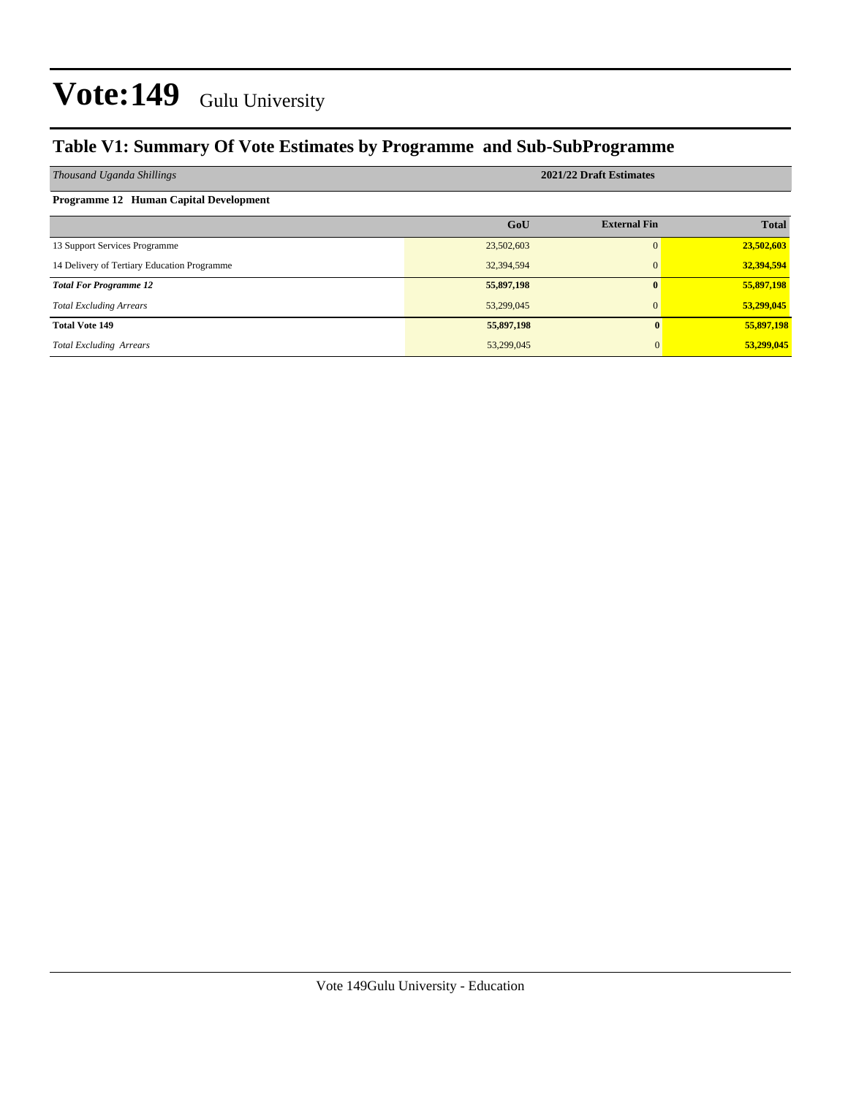### **Table V1: Summary Of Vote Estimates by Programme and Sub-SubProgramme**

| Thousand Uganda Shillings                   | 2021/22 Draft Estimates |                     |              |  |  |  |
|---------------------------------------------|-------------------------|---------------------|--------------|--|--|--|
| Programme 12 Human Capital Development      |                         |                     |              |  |  |  |
|                                             | GoU                     | <b>External Fin</b> | <b>Total</b> |  |  |  |
| 13 Support Services Programme               | 23,502,603              | 0                   | 23,502,603   |  |  |  |
| 14 Delivery of Tertiary Education Programme | 32,394,594              | $\Omega$            | 32,394,594   |  |  |  |
| <b>Total For Programme 12</b>               | 55,897,198              | $\mathbf{0}$        | 55,897,198   |  |  |  |
| <b>Total Excluding Arrears</b>              | 53,299,045              | $\Omega$            | 53,299,045   |  |  |  |
| <b>Total Vote 149</b>                       | 55,897,198              |                     | 55,897,198   |  |  |  |
| <b>Total Excluding Arrears</b>              | 53,299,045              |                     | 53,299,045   |  |  |  |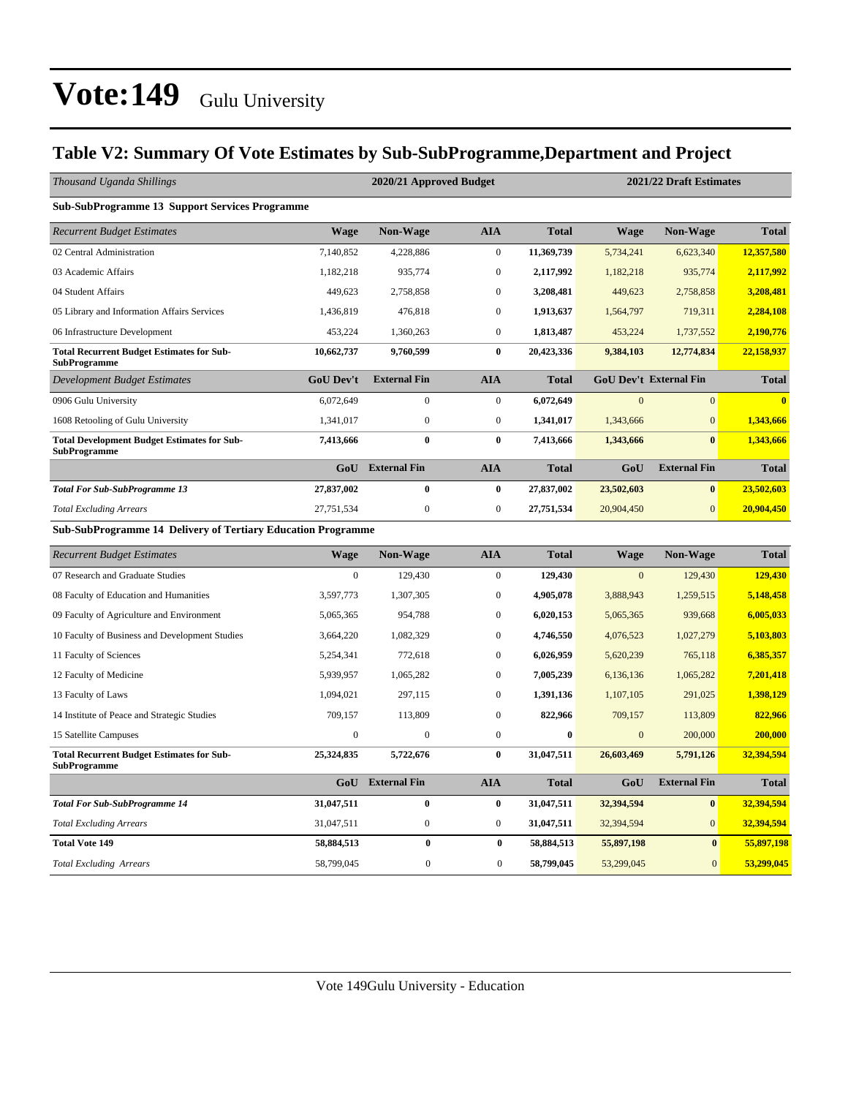### **Table V2: Summary Of Vote Estimates by Sub-SubProgramme,Department and Project**

| Thousand Uganda Shillings                                                 |                  | 2020/21 Approved Budget |                  |              | 2021/22 Draft Estimates |                               |              |  |
|---------------------------------------------------------------------------|------------------|-------------------------|------------------|--------------|-------------------------|-------------------------------|--------------|--|
| <b>Sub-SubProgramme 13 Support Services Programme</b>                     |                  |                         |                  |              |                         |                               |              |  |
| <b>Recurrent Budget Estimates</b>                                         | <b>Wage</b>      | <b>Non-Wage</b>         | <b>AIA</b>       | <b>Total</b> | <b>Wage</b>             | <b>Non-Wage</b>               | <b>Total</b> |  |
| 02 Central Administration                                                 | 7,140,852        | 4,228,886               | $\mathbf{0}$     | 11,369,739   | 5,734,241               | 6,623,340                     | 12,357,580   |  |
| 03 Academic Affairs                                                       | 1,182,218        | 935,774                 | $\boldsymbol{0}$ | 2,117,992    | 1,182,218               | 935,774                       | 2,117,992    |  |
| 04 Student Affairs                                                        | 449,623          | 2,758,858               | $\boldsymbol{0}$ | 3,208,481    | 449,623                 | 2,758,858                     | 3,208,481    |  |
| 05 Library and Information Affairs Services                               | 1,436,819        | 476,818                 | $\mathbf{0}$     | 1,913,637    | 1,564,797               | 719,311                       | 2,284,108    |  |
| 06 Infrastructure Development                                             | 453,224          | 1,360,263               | $\boldsymbol{0}$ | 1,813,487    | 453,224                 | 1,737,552                     | 2,190,776    |  |
| <b>Total Recurrent Budget Estimates for Sub-</b><br><b>SubProgramme</b>   | 10,662,737       | 9,760,599               | $\bf{0}$         | 20,423,336   | 9,384,103               | 12,774,834                    | 22,158,937   |  |
| <b>Development Budget Estimates</b>                                       | <b>GoU Dev't</b> | <b>External Fin</b>     | <b>AIA</b>       | <b>Total</b> |                         | <b>GoU Dev't External Fin</b> | <b>Total</b> |  |
| 0906 Gulu University                                                      | 6,072,649        | $\mathbf{0}$            | $\mathbf{0}$     | 6,072,649    | $\overline{0}$          | $\overline{0}$                | $\mathbf{0}$ |  |
| 1608 Retooling of Gulu University                                         | 1,341,017        | $\mathbf{0}$            | $\boldsymbol{0}$ | 1,341,017    | 1,343,666               | $\overline{0}$                | 1,343,666    |  |
| <b>Total Development Budget Estimates for Sub-</b><br><b>SubProgramme</b> | 7,413,666        | $\bf{0}$                | $\bf{0}$         | 7,413,666    | 1,343,666               | $\bf{0}$                      | 1,343,666    |  |
|                                                                           | GoU              | <b>External Fin</b>     | <b>AIA</b>       | <b>Total</b> | GoU                     | <b>External Fin</b>           | <b>Total</b> |  |
| <b>Total For Sub-SubProgramme 13</b>                                      | 27,837,002       | $\bf{0}$                | $\bf{0}$         | 27,837,002   | 23,502,603              | $\boldsymbol{0}$              | 23,502,603   |  |
| <b>Total Excluding Arrears</b>                                            | 27,751,534       | $\boldsymbol{0}$        | $\boldsymbol{0}$ | 27,751,534   | 20,904,450              | $\overline{0}$                | 20,904,450   |  |
| Sub-SubProgramme 14 Delivery of Tertiary Education Programme              |                  |                         |                  |              |                         |                               |              |  |
| <b>Recurrent Budget Estimates</b>                                         | <b>Wage</b>      | <b>Non-Wage</b>         | <b>AIA</b>       | <b>Total</b> | <b>Wage</b>             | <b>Non-Wage</b>               | <b>Total</b> |  |
| 07 Research and Graduate Studies                                          | $\mathbf{0}$     | 129,430                 | $\mathbf{0}$     | 129,430      | $\mathbf{0}$            | 129,430                       | 129,430      |  |
| 08 Faculty of Education and Humanities                                    | 3,597,773        | 1,307,305               | $\boldsymbol{0}$ | 4,905,078    | 3,888,943               | 1,259,515                     | 5,148,458    |  |
| 09 Faculty of Agriculture and Environment                                 | 5,065,365        | 954,788                 | $\mathbf{0}$     | 6,020,153    | 5,065,365               | 939,668                       | 6,005,033    |  |
| 10 Faculty of Business and Development Studies                            | 3,664,220        | 1,082,329               | $\mathbf{0}$     | 4,746,550    | 4,076,523               | 1,027,279                     | 5,103,803    |  |
| 11 Faculty of Sciences                                                    | 5,254,341        | 772,618                 | $\boldsymbol{0}$ | 6,026,959    | 5,620,239               | 765,118                       | 6,385,357    |  |
| 12 Faculty of Medicine                                                    | 5,939,957        | 1,065,282               | $\boldsymbol{0}$ | 7,005,239    | 6,136,136               | 1,065,282                     | 7,201,418    |  |
| 13 Faculty of Laws                                                        | 1,094,021        | 297,115                 | $\mathbf{0}$     | 1,391,136    | 1,107,105               | 291,025                       | 1,398,129    |  |
| 14 Institute of Peace and Strategic Studies                               | 709,157          | 113,809                 | $\boldsymbol{0}$ | 822,966      | 709,157                 | 113,809                       | 822,966      |  |
| 15 Satellite Campuses                                                     | $\boldsymbol{0}$ | $\mathbf{0}$            | $\boldsymbol{0}$ | $\bf{0}$     | $\mathbf{0}$            | 200,000                       | 200,000      |  |
| <b>Total Recurrent Budget Estimates for Sub-</b><br><b>SubProgramme</b>   | 25,324,835       | 5,722,676               | $\bf{0}$         | 31,047,511   | 26,603,469              | 5,791,126                     | 32,394,594   |  |
|                                                                           |                  | <b>GoU</b> External Fin | <b>AIA</b>       | <b>Total</b> | GoU                     | <b>External Fin</b>           | <b>Total</b> |  |
| <b>Total For Sub-SubProgramme 14</b>                                      | 31,047,511       | $\bf{0}$                | $\bf{0}$         | 31,047,511   | 32,394,594              | $\bf{0}$                      | 32,394,594   |  |
| <b>Total Excluding Arrears</b>                                            | 31,047,511       | $\boldsymbol{0}$        | $\boldsymbol{0}$ | 31,047,511   | 32,394,594              | $\overline{0}$                | 32,394,594   |  |
| <b>Total Vote 149</b>                                                     | 58,884,513       | $\bf{0}$                | $\bf{0}$         | 58,884,513   | 55,897,198              | $\bf{0}$                      | 55,897,198   |  |
| <b>Total Excluding Arrears</b>                                            | 58,799,045       | $\boldsymbol{0}$        | $\boldsymbol{0}$ | 58,799,045   | 53,299,045              | $\mathbf{0}$                  | 53,299,045   |  |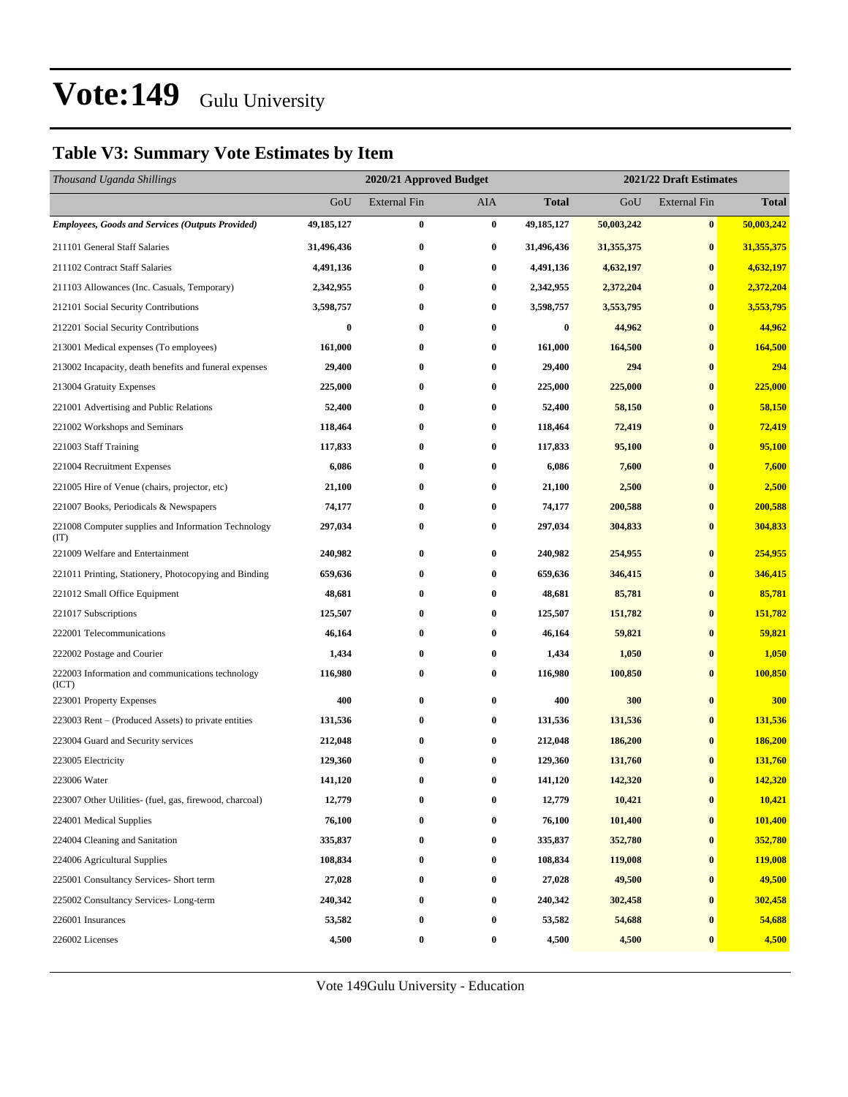### **Table V3: Summary Vote Estimates by Item**

| Thousand Uganda Shillings                                   |            | 2020/21 Approved Budget |          |              | 2021/22 Draft Estimates |                     |              |  |
|-------------------------------------------------------------|------------|-------------------------|----------|--------------|-------------------------|---------------------|--------------|--|
|                                                             | GoU        | <b>External Fin</b>     | AIA      | <b>Total</b> | GoU                     | <b>External Fin</b> | <b>Total</b> |  |
| <b>Employees, Goods and Services (Outputs Provided)</b>     | 49,185,127 | $\bf{0}$                | $\bf{0}$ | 49,185,127   | 50,003,242              | $\bf{0}$            | 50,003,242   |  |
| 211101 General Staff Salaries                               | 31,496,436 | $\bf{0}$                | $\bf{0}$ | 31,496,436   | 31,355,375              | $\bf{0}$            | 31,355,375   |  |
| 211102 Contract Staff Salaries                              | 4,491,136  | $\bf{0}$                | $\bf{0}$ | 4,491,136    | 4,632,197               | $\bf{0}$            | 4,632,197    |  |
| 211103 Allowances (Inc. Casuals, Temporary)                 | 2,342,955  | $\bf{0}$                | $\bf{0}$ | 2,342,955    | 2,372,204               | $\bf{0}$            | 2,372,204    |  |
| 212101 Social Security Contributions                        | 3,598,757  | $\bf{0}$                | $\bf{0}$ | 3,598,757    | 3,553,795               | $\bf{0}$            | 3,553,795    |  |
| 212201 Social Security Contributions                        | 0          | $\bf{0}$                | $\bf{0}$ | 0            | 44,962                  | $\bf{0}$            | 44,962       |  |
| 213001 Medical expenses (To employees)                      | 161,000    | $\bf{0}$                | $\bf{0}$ | 161,000      | 164,500                 | $\bf{0}$            | 164,500      |  |
| 213002 Incapacity, death benefits and funeral expenses      | 29,400     | $\bf{0}$                | $\bf{0}$ | 29,400       | 294                     | $\bf{0}$            | 294          |  |
| 213004 Gratuity Expenses                                    | 225,000    | $\bf{0}$                | $\bf{0}$ | 225,000      | 225,000                 | $\bf{0}$            | 225,000      |  |
| 221001 Advertising and Public Relations                     | 52,400     | $\bf{0}$                | $\bf{0}$ | 52,400       | 58,150                  | $\bf{0}$            | 58,150       |  |
| 221002 Workshops and Seminars                               | 118,464    | $\bf{0}$                | $\bf{0}$ | 118,464      | 72,419                  | $\bf{0}$            | 72,419       |  |
| 221003 Staff Training                                       | 117,833    | $\bf{0}$                | $\bf{0}$ | 117,833      | 95,100                  | $\bf{0}$            | 95,100       |  |
| 221004 Recruitment Expenses                                 | 6,086      | $\bf{0}$                | $\bf{0}$ | 6,086        | 7,600                   | $\bf{0}$            | 7,600        |  |
| 221005 Hire of Venue (chairs, projector, etc)               | 21,100     | $\bf{0}$                | 0        | 21,100       | 2,500                   | $\bf{0}$            | 2,500        |  |
| 221007 Books, Periodicals & Newspapers                      | 74,177     | $\bf{0}$                | $\bf{0}$ | 74,177       | 200,588                 | $\bf{0}$            | 200,588      |  |
| 221008 Computer supplies and Information Technology<br>(TT) | 297,034    | $\bf{0}$                | $\bf{0}$ | 297,034      | 304,833                 | $\bf{0}$            | 304,833      |  |
| 221009 Welfare and Entertainment                            | 240,982    | $\bf{0}$                | $\bf{0}$ | 240,982      | 254,955                 | $\bf{0}$            | 254,955      |  |
| 221011 Printing, Stationery, Photocopying and Binding       | 659,636    | $\bf{0}$                | $\bf{0}$ | 659,636      | 346,415                 | $\bf{0}$            | 346,415      |  |
| 221012 Small Office Equipment                               | 48,681     | $\bf{0}$                | $\bf{0}$ | 48,681       | 85,781                  | $\bf{0}$            | 85,781       |  |
| 221017 Subscriptions                                        | 125,507    | $\bf{0}$                | 0        | 125,507      | 151,782                 | $\bf{0}$            | 151,782      |  |
| 222001 Telecommunications                                   | 46,164     | $\bf{0}$                | $\bf{0}$ | 46,164       | 59,821                  | $\bf{0}$            | 59,821       |  |
| 222002 Postage and Courier                                  | 1,434      | $\bf{0}$                | 0        | 1,434        | 1,050                   | $\bf{0}$            | 1,050        |  |
| 222003 Information and communications technology<br>(ICT)   | 116,980    | $\bf{0}$                | $\bf{0}$ | 116,980      | 100,850                 | $\bf{0}$            | 100,850      |  |
| 223001 Property Expenses                                    | 400        | $\bf{0}$                | $\bf{0}$ | 400          | 300                     | $\bf{0}$            | 300          |  |
| 223003 Rent – (Produced Assets) to private entities         | 131,536    | $\bf{0}$                | $\bf{0}$ | 131,536      | 131,536                 | $\bf{0}$            | 131,536      |  |
| 223004 Guard and Security services                          | 212,048    | $\bf{0}$                | $\bf{0}$ | 212,048      | 186,200                 | $\bf{0}$            | 186,200      |  |
| 223005 Electricity                                          | 129,360    | $\bf{0}$                | $\bf{0}$ | 129,360      | 131,760                 | $\bf{0}$            | 131,760      |  |
| 223006 Water                                                | 141,120    | $\bf{0}$                | $\bf{0}$ | 141,120      | 142,320                 | $\bf{0}$            | 142,320      |  |
| 223007 Other Utilities- (fuel, gas, firewood, charcoal)     | 12,779     | $\bf{0}$                | $\bf{0}$ | 12,779       | 10,421                  | $\pmb{0}$           | 10,421       |  |
| 224001 Medical Supplies                                     | 76,100     | $\bf{0}$                | $\bf{0}$ | 76,100       | 101,400                 | $\bf{0}$            | 101,400      |  |
| 224004 Cleaning and Sanitation                              | 335,837    | $\bf{0}$                | $\bf{0}$ | 335,837      | 352,780                 | $\bf{0}$            | 352,780      |  |
| 224006 Agricultural Supplies                                | 108,834    | $\bf{0}$                | $\bf{0}$ | 108,834      | 119,008                 | $\bf{0}$            | 119,008      |  |
| 225001 Consultancy Services- Short term                     | 27,028     | $\bf{0}$                | $\bf{0}$ | 27,028       | 49,500                  | $\bf{0}$            | 49,500       |  |
| 225002 Consultancy Services-Long-term                       | 240,342    | $\bf{0}$                | $\bf{0}$ | 240,342      | 302,458                 | $\bf{0}$            | 302,458      |  |
| 226001 Insurances                                           | 53,582     | $\bf{0}$                | $\bf{0}$ | 53,582       | 54,688                  | $\bf{0}$            | 54,688       |  |
| 226002 Licenses                                             | 4,500      | $\boldsymbol{0}$        | $\bf{0}$ | 4,500        | 4,500                   | $\bf{0}$            | 4,500        |  |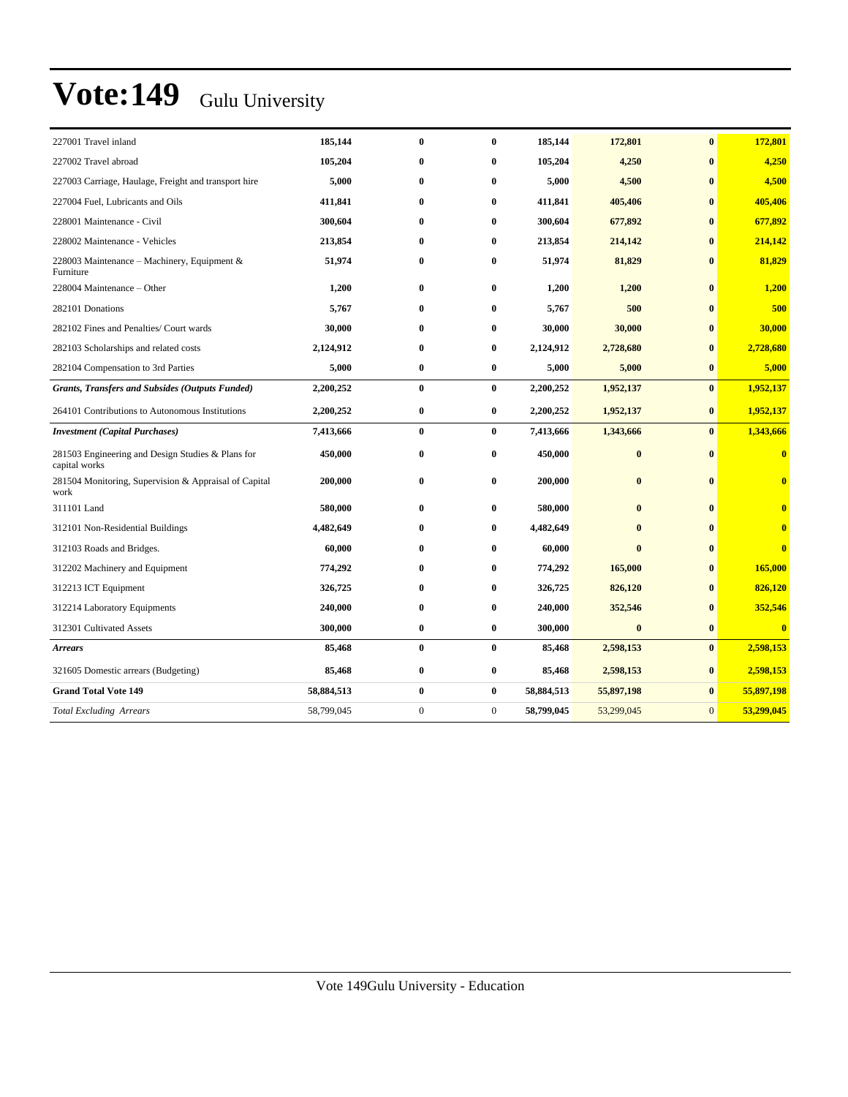| 227001 Travel inland                                               | 185,144    | $\bf{0}$     | $\bf{0}$     | 185,144    | 172,801      | $\bf{0}$     | 172,801        |
|--------------------------------------------------------------------|------------|--------------|--------------|------------|--------------|--------------|----------------|
| 227002 Travel abroad                                               | 105,204    | $\bf{0}$     | $\bf{0}$     | 105,204    | 4,250        | $\mathbf{0}$ | 4,250          |
| 227003 Carriage, Haulage, Freight and transport hire               | 5,000      | $\bf{0}$     | $\bf{0}$     | 5,000      | 4,500        | $\mathbf{0}$ | 4,500          |
| 227004 Fuel, Lubricants and Oils                                   | 411,841    | $\bf{0}$     | $\bf{0}$     | 411,841    | 405,406      | $\mathbf{0}$ | 405,406        |
| 228001 Maintenance - Civil                                         | 300,604    | $\bf{0}$     | $\bf{0}$     | 300,604    | 677,892      | $\bf{0}$     | 677,892        |
| 228002 Maintenance - Vehicles                                      | 213,854    | $\bf{0}$     | $\bf{0}$     | 213,854    | 214,142      | $\bf{0}$     | 214,142        |
| 228003 Maintenance – Machinery, Equipment $\&$<br>Furniture        | 51,974     | $\bf{0}$     | $\bf{0}$     | 51,974     | 81,829       | $\bf{0}$     | 81,829         |
| 228004 Maintenance – Other                                         | 1,200      | $\bf{0}$     | $\bf{0}$     | 1,200      | 1,200        | $\bf{0}$     | 1,200          |
| 282101 Donations                                                   | 5,767      | $\bf{0}$     | $\bf{0}$     | 5,767      | 500          | $\bf{0}$     | 500            |
| 282102 Fines and Penalties/ Court wards                            | 30,000     | $\bf{0}$     | $\bf{0}$     | 30,000     | 30,000       | $\bf{0}$     | 30,000         |
| 282103 Scholarships and related costs                              | 2,124,912  | $\bf{0}$     | $\bf{0}$     | 2,124,912  | 2,728,680    | $\bf{0}$     | 2,728,680      |
| 282104 Compensation to 3rd Parties                                 | 5,000      | $\bf{0}$     | $\bf{0}$     | 5,000      | 5,000        | $\bf{0}$     | 5,000          |
| <b>Grants, Transfers and Subsides (Outputs Funded)</b>             | 2,200,252  | $\bf{0}$     | $\bf{0}$     | 2,200,252  | 1,952,137    | $\mathbf{0}$ | 1,952,137      |
| 264101 Contributions to Autonomous Institutions                    | 2,200,252  | $\bf{0}$     | $\bf{0}$     | 2,200,252  | 1,952,137    | $\bf{0}$     | 1,952,137      |
| <b>Investment</b> (Capital Purchases)                              | 7,413,666  | $\bf{0}$     | $\bf{0}$     | 7,413,666  | 1,343,666    | $\bf{0}$     | 1,343,666      |
| 281503 Engineering and Design Studies & Plans for<br>capital works | 450,000    | $\bf{0}$     | $\bf{0}$     | 450,000    | $\bf{0}$     | $\mathbf{0}$ | $\bf{0}$       |
| 281504 Monitoring, Supervision & Appraisal of Capital<br>work      | 200,000    | $\bf{0}$     | $\bf{0}$     | 200,000    | $\bf{0}$     | $\bf{0}$     | $\bf{0}$       |
| 311101 Land                                                        | 580,000    | $\bf{0}$     | $\bf{0}$     | 580,000    | $\bf{0}$     | $\bf{0}$     | $\bf{0}$       |
| 312101 Non-Residential Buildings                                   | 4,482,649  | $\bf{0}$     | $\bf{0}$     | 4,482,649  | $\bf{0}$     | $\mathbf{0}$ | $\overline{0}$ |
| 312103 Roads and Bridges.                                          | 60,000     | 0            | $\bf{0}$     | 60,000     | $\mathbf{0}$ | $\bf{0}$     | $\bf{0}$       |
| 312202 Machinery and Equipment                                     | 774,292    | $\bf{0}$     | $\bf{0}$     | 774,292    | 165,000      | $\bf{0}$     | 165,000        |
| 312213 ICT Equipment                                               | 326,725    | $\bf{0}$     | $\bf{0}$     | 326,725    | 826,120      | $\bf{0}$     | 826,120        |
| 312214 Laboratory Equipments                                       | 240,000    | $\bf{0}$     | $\bf{0}$     | 240,000    | 352,546      | $\bf{0}$     | 352,546        |
| 312301 Cultivated Assets                                           | 300,000    | $\bf{0}$     | $\bf{0}$     | 300,000    | $\bf{0}$     | $\bf{0}$     | $\bf{0}$       |
| <b>Arrears</b>                                                     | 85,468     | $\bf{0}$     | $\bf{0}$     | 85,468     | 2,598,153    | $\bf{0}$     | 2,598,153      |
| 321605 Domestic arrears (Budgeting)                                | 85,468     | $\bf{0}$     | $\bf{0}$     | 85,468     | 2,598,153    | $\bf{0}$     | 2,598,153      |
| <b>Grand Total Vote 149</b>                                        | 58,884,513 | $\bf{0}$     | $\bf{0}$     | 58,884,513 | 55,897,198   | $\bf{0}$     | 55,897,198     |
| <b>Total Excluding Arrears</b>                                     | 58,799,045 | $\mathbf{0}$ | $\mathbf{0}$ | 58,799,045 | 53,299,045   | $\mathbf{0}$ | 53,299,045     |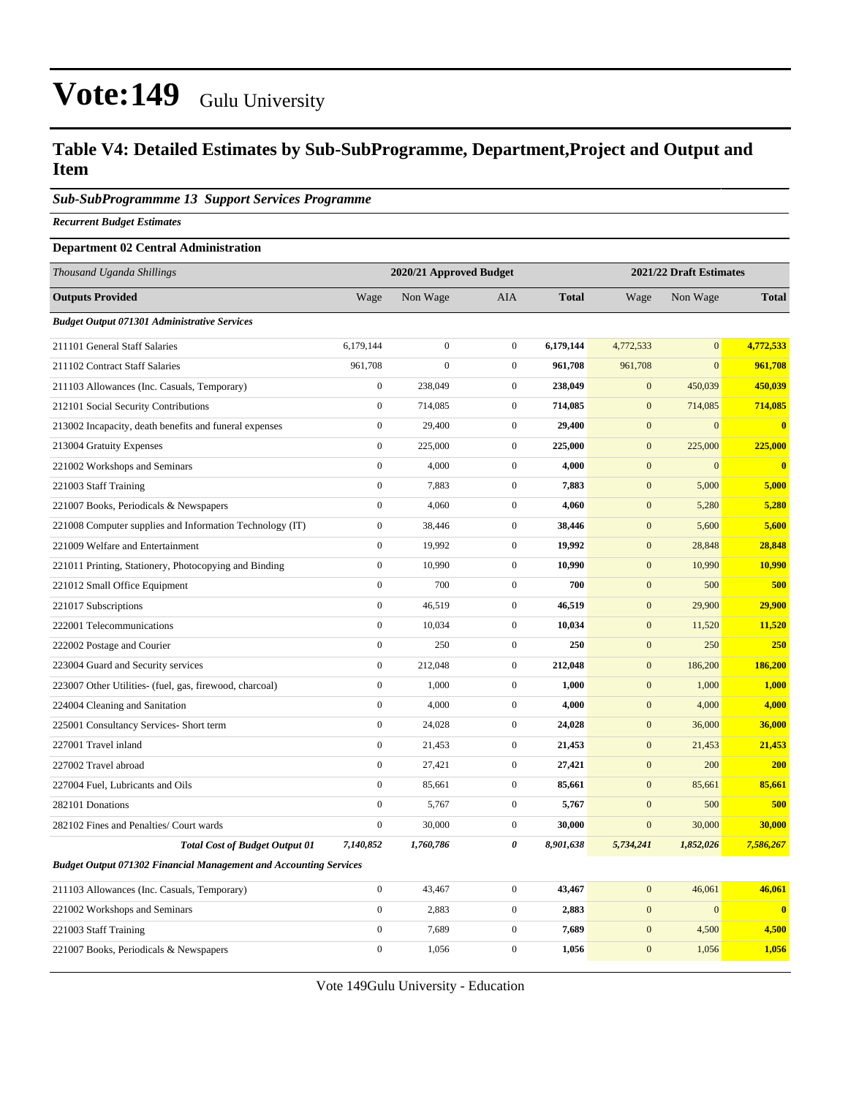### **Table V4: Detailed Estimates by Sub-SubProgramme, Department,Project and Output and Item**

#### *Sub-SubProgrammme 13 Support Services Programme*

*Recurrent Budget Estimates*

#### **Department 02 Central Administration**

| Thousand Uganda Shillings                                                |                  | 2020/21 Approved Budget |                  |              |                  | 2021/22 Draft Estimates |                         |  |
|--------------------------------------------------------------------------|------------------|-------------------------|------------------|--------------|------------------|-------------------------|-------------------------|--|
| <b>Outputs Provided</b>                                                  | Wage             | Non Wage                | AIA              | <b>Total</b> | Wage             | Non Wage                | <b>Total</b>            |  |
| <b>Budget Output 071301 Administrative Services</b>                      |                  |                         |                  |              |                  |                         |                         |  |
| 211101 General Staff Salaries                                            | 6,179,144        | $\boldsymbol{0}$        | $\mathbf{0}$     | 6,179,144    | 4,772,533        | $\mathbf{0}$            | 4,772,533               |  |
| 211102 Contract Staff Salaries                                           | 961,708          | $\mathbf{0}$            | $\boldsymbol{0}$ | 961,708      | 961,708          | $\mathbf{0}$            | 961,708                 |  |
| 211103 Allowances (Inc. Casuals, Temporary)                              | $\boldsymbol{0}$ | 238,049                 | $\overline{0}$   | 238,049      | $\boldsymbol{0}$ | 450,039                 | 450,039                 |  |
| 212101 Social Security Contributions                                     | $\boldsymbol{0}$ | 714,085                 | $\overline{0}$   | 714,085      | $\mathbf{0}$     | 714,085                 | 714,085                 |  |
| 213002 Incapacity, death benefits and funeral expenses                   | $\boldsymbol{0}$ | 29,400                  | $\overline{0}$   | 29,400       | $\mathbf{0}$     | $\mathbf{0}$            | $\overline{\mathbf{0}}$ |  |
| 213004 Gratuity Expenses                                                 | $\mathbf{0}$     | 225,000                 | $\boldsymbol{0}$ | 225,000      | $\mathbf{0}$     | 225,000                 | 225,000                 |  |
| 221002 Workshops and Seminars                                            | $\boldsymbol{0}$ | 4,000                   | $\overline{0}$   | 4,000        | $\mathbf{0}$     | $\mathbf{0}$            | $\overline{\mathbf{0}}$ |  |
| 221003 Staff Training                                                    | $\mathbf{0}$     | 7,883                   | $\overline{0}$   | 7,883        | $\mathbf{0}$     | 5,000                   | 5,000                   |  |
| 221007 Books, Periodicals & Newspapers                                   | $\boldsymbol{0}$ | 4,060                   | $\boldsymbol{0}$ | 4,060        | $\boldsymbol{0}$ | 5,280                   | 5,280                   |  |
| 221008 Computer supplies and Information Technology (IT)                 | $\boldsymbol{0}$ | 38,446                  | $\overline{0}$   | 38,446       | $\boldsymbol{0}$ | 5,600                   | 5,600                   |  |
| 221009 Welfare and Entertainment                                         | $\mathbf{0}$     | 19,992                  | $\boldsymbol{0}$ | 19,992       | $\mathbf{0}$     | 28,848                  | 28,848                  |  |
| 221011 Printing, Stationery, Photocopying and Binding                    | $\boldsymbol{0}$ | 10,990                  | $\mathbf{0}$     | 10,990       | $\mathbf{0}$     | 10,990                  | 10,990                  |  |
| 221012 Small Office Equipment                                            | $\mathbf{0}$     | 700                     | $\overline{0}$   | 700          | $\mathbf{0}$     | 500                     | 500                     |  |
| 221017 Subscriptions                                                     | $\mathbf{0}$     | 46,519                  | $\boldsymbol{0}$ | 46,519       | $\mathbf{0}$     | 29,900                  | 29,900                  |  |
| 222001 Telecommunications                                                | $\boldsymbol{0}$ | 10,034                  | $\overline{0}$   | 10,034       | $\mathbf{0}$     | 11,520                  | 11,520                  |  |
| 222002 Postage and Courier                                               | $\mathbf{0}$     | 250                     | $\boldsymbol{0}$ | 250          | $\mathbf{0}$     | 250                     | 250                     |  |
| 223004 Guard and Security services                                       | $\boldsymbol{0}$ | 212,048                 | $\overline{0}$   | 212,048      | $\mathbf{0}$     | 186,200                 | 186,200                 |  |
| 223007 Other Utilities- (fuel, gas, firewood, charcoal)                  | $\mathbf{0}$     | 1,000                   | $\boldsymbol{0}$ | 1,000        | $\mathbf{0}$     | 1,000                   | 1,000                   |  |
| 224004 Cleaning and Sanitation                                           | $\boldsymbol{0}$ | 4,000                   | $\boldsymbol{0}$ | 4,000        | $\boldsymbol{0}$ | 4,000                   | 4,000                   |  |
| 225001 Consultancy Services- Short term                                  | $\boldsymbol{0}$ | 24,028                  | $\overline{0}$   | 24,028       | $\boldsymbol{0}$ | 36,000                  | 36,000                  |  |
| 227001 Travel inland                                                     | $\mathbf{0}$     | 21,453                  | $\overline{0}$   | 21,453       | $\mathbf{0}$     | 21,453                  | 21,453                  |  |
| 227002 Travel abroad                                                     | $\boldsymbol{0}$ | 27,421                  | $\overline{0}$   | 27,421       | $\mathbf{0}$     | 200                     | 200                     |  |
| 227004 Fuel, Lubricants and Oils                                         | $\mathbf{0}$     | 85,661                  | $\boldsymbol{0}$ | 85,661       | $\mathbf{0}$     | 85,661                  | 85,661                  |  |
| 282101 Donations                                                         | $\boldsymbol{0}$ | 5,767                   | $\overline{0}$   | 5,767        | $\mathbf{0}$     | 500                     | 500                     |  |
| 282102 Fines and Penalties/ Court wards                                  | $\boldsymbol{0}$ | 30,000                  | $\overline{0}$   | 30,000       | $\boldsymbol{0}$ | 30,000                  | 30,000                  |  |
| <b>Total Cost of Budget Output 01</b>                                    | 7,140,852        | 1,760,786               | 0                | 8,901,638    | 5,734,241        | 1,852,026               | 7,586,267               |  |
| <b>Budget Output 071302 Financial Management and Accounting Services</b> |                  |                         |                  |              |                  |                         |                         |  |
| 211103 Allowances (Inc. Casuals, Temporary)                              | $\boldsymbol{0}$ | 43,467                  | $\boldsymbol{0}$ | 43,467       | $\boldsymbol{0}$ | 46,061                  | 46,061                  |  |
| 221002 Workshops and Seminars                                            | $\boldsymbol{0}$ | 2,883                   | $\overline{0}$   | 2,883        | $\mathbf{0}$     | $\mathbf{0}$            | $\overline{\mathbf{0}}$ |  |
| 221003 Staff Training                                                    | $\boldsymbol{0}$ | 7,689                   | $\boldsymbol{0}$ | 7,689        | $\mathbf{0}$     | 4,500                   | 4,500                   |  |
| 221007 Books, Periodicals & Newspapers                                   | $\mathbf{0}$     | 1,056                   | $\overline{0}$   | 1,056        | $\mathbf{0}$     | 1,056                   | 1,056                   |  |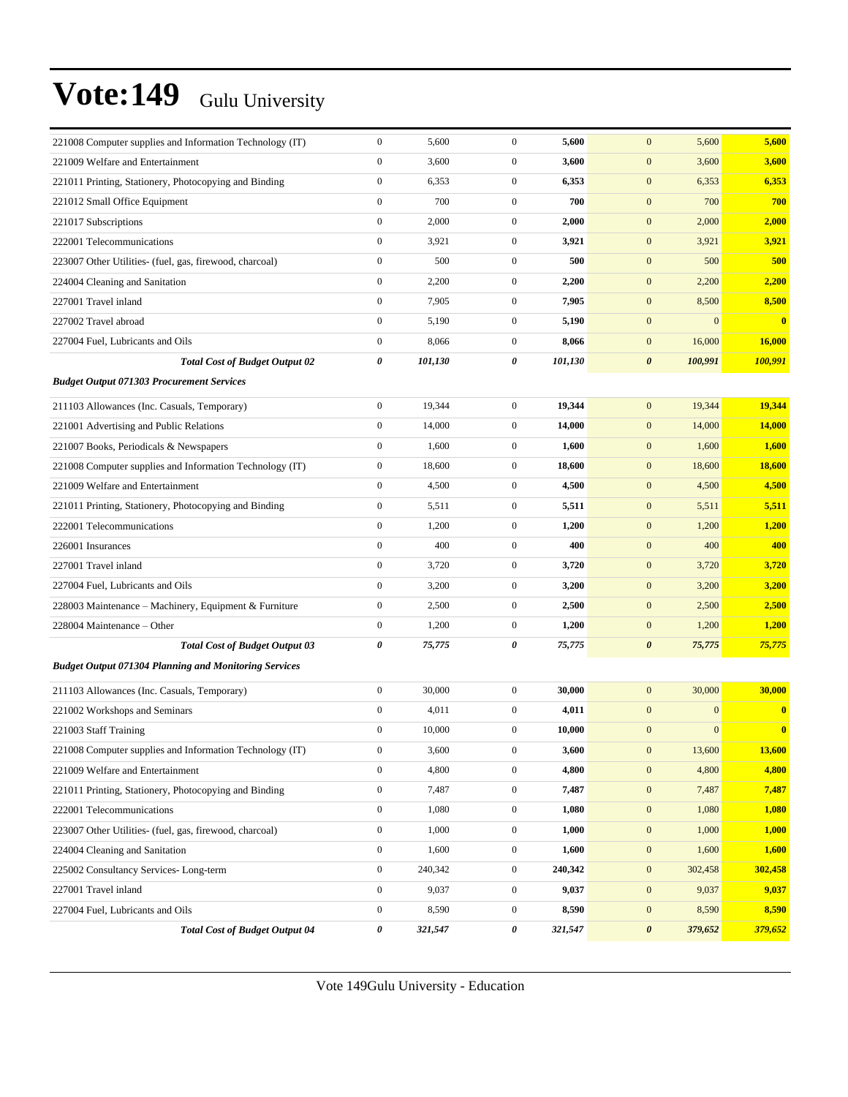| 221008 Computer supplies and Information Technology (IT)     | $\boldsymbol{0}$ | 5,600   | $\boldsymbol{0}$ | 5,600   | $\mathbf{0}$<br>5,600            | 5,600        |
|--------------------------------------------------------------|------------------|---------|------------------|---------|----------------------------------|--------------|
| 221009 Welfare and Entertainment                             | $\boldsymbol{0}$ | 3,600   | $\mathbf{0}$     | 3,600   | $\boldsymbol{0}$<br>3,600        | 3,600        |
| 221011 Printing, Stationery, Photocopying and Binding        | $\boldsymbol{0}$ | 6,353   | $\mathbf{0}$     | 6,353   | $\mathbf{0}$<br>6,353            | 6,353        |
| 221012 Small Office Equipment                                | $\overline{0}$   | 700     | $\boldsymbol{0}$ | 700     | 700<br>$\mathbf{0}$              | 700          |
| 221017 Subscriptions                                         | $\boldsymbol{0}$ | 2,000   | $\mathbf{0}$     | 2,000   | $\mathbf{0}$<br>2,000            | 2,000        |
| 222001 Telecommunications                                    | $\boldsymbol{0}$ | 3,921   | $\mathbf{0}$     | 3,921   | $\mathbf{0}$<br>3,921            | 3,921        |
| 223007 Other Utilities- (fuel, gas, firewood, charcoal)      | $\boldsymbol{0}$ | 500     | $\mathbf{0}$     | 500     | $\boldsymbol{0}$<br>500          | 500          |
| 224004 Cleaning and Sanitation                               | $\boldsymbol{0}$ | 2,200   | $\mathbf{0}$     | 2,200   | $\mathbf{0}$<br>2,200            | 2,200        |
| 227001 Travel inland                                         | $\boldsymbol{0}$ | 7,905   | $\mathbf{0}$     | 7,905   | $\mathbf{0}$<br>8,500            | 8,500        |
| 227002 Travel abroad                                         | $\boldsymbol{0}$ | 5,190   | $\mathbf{0}$     | 5,190   | $\mathbf{0}$<br>$\mathbf{0}$     | $\bf{0}$     |
| 227004 Fuel, Lubricants and Oils                             | $\boldsymbol{0}$ | 8,066   | $\mathbf{0}$     | 8,066   | $\mathbf{0}$<br>16,000           | 16,000       |
| <b>Total Cost of Budget Output 02</b>                        | 0                | 101,130 | 0                | 101,130 | $\boldsymbol{\theta}$<br>100,991 | 100,991      |
| <b>Budget Output 071303 Procurement Services</b>             |                  |         |                  |         |                                  |              |
| 211103 Allowances (Inc. Casuals, Temporary)                  | $\boldsymbol{0}$ | 19,344  | $\mathbf{0}$     | 19,344  | $\mathbf{0}$<br>19,344           | 19,344       |
| 221001 Advertising and Public Relations                      | $\boldsymbol{0}$ | 14,000  | $\mathbf{0}$     | 14,000  | $\mathbf{0}$<br>14,000           | 14,000       |
| 221007 Books, Periodicals & Newspapers                       | $\boldsymbol{0}$ | 1,600   | $\mathbf{0}$     | 1,600   | $\mathbf{0}$<br>1,600            | 1,600        |
| 221008 Computer supplies and Information Technology (IT)     | $\boldsymbol{0}$ | 18,600  | $\mathbf{0}$     | 18,600  | $\boldsymbol{0}$<br>18,600       | 18,600       |
| 221009 Welfare and Entertainment                             | $\boldsymbol{0}$ | 4,500   | $\mathbf{0}$     | 4,500   | $\mathbf{0}$<br>4,500            | 4,500        |
| 221011 Printing, Stationery, Photocopying and Binding        | $\boldsymbol{0}$ | 5,511   | $\mathbf{0}$     | 5,511   | $\mathbf{0}$<br>5,511            | 5,511        |
| 222001 Telecommunications                                    | $\boldsymbol{0}$ | 1,200   | $\mathbf{0}$     | 1,200   | $\mathbf{0}$<br>1,200            | 1,200        |
| 226001 Insurances                                            | $\boldsymbol{0}$ | 400     | $\mathbf{0}$     | 400     | $\mathbf{0}$<br>400              | 400          |
| 227001 Travel inland                                         | $\boldsymbol{0}$ | 3,720   | $\mathbf{0}$     | 3,720   | $\mathbf{0}$<br>3,720            | 3,720        |
| 227004 Fuel, Lubricants and Oils                             | $\boldsymbol{0}$ | 3,200   | $\mathbf{0}$     | 3,200   | $\mathbf{0}$<br>3,200            | 3,200        |
| 228003 Maintenance - Machinery, Equipment & Furniture        | $\boldsymbol{0}$ | 2,500   | $\mathbf{0}$     | 2,500   | $\mathbf{0}$<br>2,500            | 2,500        |
| 228004 Maintenance – Other                                   | $\boldsymbol{0}$ | 1,200   | $\mathbf{0}$     | 1,200   | $\mathbf{0}$<br>1,200            | 1,200        |
| <b>Total Cost of Budget Output 03</b>                        | 0                | 75,775  | 0                | 75,775  | $\boldsymbol{\theta}$<br>75,775  | 75,775       |
| <b>Budget Output 071304 Planning and Monitoring Services</b> |                  |         |                  |         |                                  |              |
| 211103 Allowances (Inc. Casuals, Temporary)                  | $\boldsymbol{0}$ | 30,000  | $\mathbf{0}$     | 30,000  | 30,000<br>$\mathbf{0}$           | 30,000       |
| 221002 Workshops and Seminars                                | $\overline{0}$   | 4,011   | $\mathbf{0}$     | 4,011   | $\mathbf{0}$<br>$\mathbf{0}$     | $\bf{0}$     |
| 221003 Staff Training                                        | $\boldsymbol{0}$ | 10,000  | $\mathbf{0}$     | 10,000  | $\mathbf{0}$<br>$\Omega$         | $\mathbf{0}$ |
| 221008 Computer supplies and Information Technology (IT)     | $\boldsymbol{0}$ | 3,600   | $\boldsymbol{0}$ | 3,600   | 13,600<br>$\mathbf{0}$           | 13,600       |
| 221009 Welfare and Entertainment                             | $\boldsymbol{0}$ | 4,800   | $\boldsymbol{0}$ | 4,800   | $\boldsymbol{0}$<br>4,800        | 4,800        |
| 221011 Printing, Stationery, Photocopying and Binding        | $\boldsymbol{0}$ | 7,487   | $\boldsymbol{0}$ | 7,487   | $\boldsymbol{0}$<br>7,487        | 7,487        |
| 222001 Telecommunications                                    | $\boldsymbol{0}$ | 1,080   | $\boldsymbol{0}$ | 1,080   | $\boldsymbol{0}$<br>1,080        | 1,080        |
| 223007 Other Utilities- (fuel, gas, firewood, charcoal)      | $\boldsymbol{0}$ | 1,000   | $\mathbf{0}$     | 1,000   | $\boldsymbol{0}$<br>1,000        | 1,000        |
| 224004 Cleaning and Sanitation                               | $\boldsymbol{0}$ | 1,600   | $\boldsymbol{0}$ | 1,600   | $\boldsymbol{0}$<br>1,600        | 1,600        |
| 225002 Consultancy Services-Long-term                        | $\boldsymbol{0}$ | 240,342 | $\boldsymbol{0}$ | 240,342 | $\boldsymbol{0}$<br>302,458      | 302,458      |
| 227001 Travel inland                                         | $\boldsymbol{0}$ | 9,037   | $\boldsymbol{0}$ | 9,037   | 9,037<br>$\boldsymbol{0}$        | 9,037        |
| 227004 Fuel, Lubricants and Oils                             | $\boldsymbol{0}$ | 8,590   | $\boldsymbol{0}$ | 8,590   | $\boldsymbol{0}$<br>8,590        | 8,590        |
| <b>Total Cost of Budget Output 04</b>                        | 0                | 321,547 | 0                | 321,547 | $\pmb{\theta}$<br>379,652        | 379,652      |
|                                                              |                  |         |                  |         |                                  |              |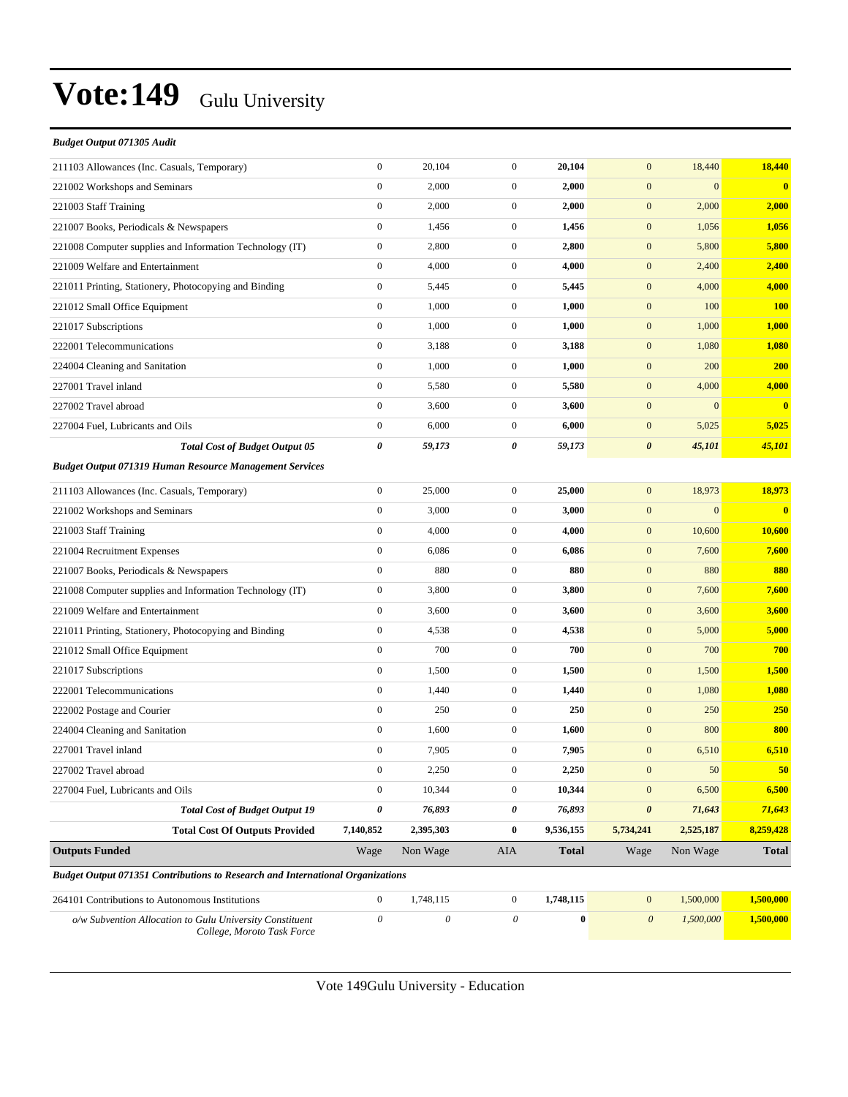| Budget Output 071305 Audit                                                            |                           |                           |                  |              |                       |                |              |
|---------------------------------------------------------------------------------------|---------------------------|---------------------------|------------------|--------------|-----------------------|----------------|--------------|
| 211103 Allowances (Inc. Casuals, Temporary)                                           | $\boldsymbol{0}$          | 20,104                    | $\boldsymbol{0}$ | 20,104       | $\mathbf{0}$          | 18,440         | 18,440       |
| 221002 Workshops and Seminars                                                         | $\boldsymbol{0}$          | 2,000                     | $\boldsymbol{0}$ | 2,000        | $\mathbf{0}$          | $\mathbf{0}$   | $\bf{0}$     |
| 221003 Staff Training                                                                 | $\boldsymbol{0}$          | 2,000                     | $\mathbf{0}$     | 2,000        | $\mathbf{0}$          | 2,000          | 2,000        |
| 221007 Books, Periodicals & Newspapers                                                | $\boldsymbol{0}$          | 1,456                     | $\mathbf{0}$     | 1,456        | $\boldsymbol{0}$      | 1,056          | 1,056        |
| 221008 Computer supplies and Information Technology (IT)                              | $\boldsymbol{0}$          | 2,800                     | $\mathbf{0}$     | 2,800        | $\mathbf{0}$          | 5,800          | 5,800        |
| 221009 Welfare and Entertainment                                                      | $\boldsymbol{0}$          | 4,000                     | $\boldsymbol{0}$ | 4,000        | $\mathbf{0}$          | 2,400          | 2,400        |
| 221011 Printing, Stationery, Photocopying and Binding                                 | $\boldsymbol{0}$          | 5,445                     | $\mathbf{0}$     | 5,445        | $\mathbf{0}$          | 4,000          | 4,000        |
| 221012 Small Office Equipment                                                         | $\boldsymbol{0}$          | 1,000                     | $\mathbf{0}$     | 1,000        | $\mathbf{0}$          | 100            | <b>100</b>   |
| 221017 Subscriptions                                                                  | $\boldsymbol{0}$          | 1,000                     | $\mathbf{0}$     | 1,000        | $\boldsymbol{0}$      | 1,000          | 1,000        |
| 222001 Telecommunications                                                             | $\boldsymbol{0}$          | 3,188                     | $\mathbf{0}$     | 3,188        | $\mathbf{0}$          | 1,080          | 1,080        |
| 224004 Cleaning and Sanitation                                                        | $\boldsymbol{0}$          | 1,000                     | $\mathbf{0}$     | 1,000        | $\mathbf{0}$          | 200            | 200          |
| 227001 Travel inland                                                                  | $\boldsymbol{0}$          | 5,580                     | $\mathbf{0}$     | 5,580        | $\mathbf{0}$          | 4,000          | 4,000        |
| 227002 Travel abroad                                                                  | $\boldsymbol{0}$          | 3,600                     | $\mathbf{0}$     | 3,600        | $\mathbf{0}$          | $\overline{0}$ | $\bf{0}$     |
| 227004 Fuel, Lubricants and Oils                                                      | $\boldsymbol{0}$          | 6,000                     | $\mathbf{0}$     | 6,000        | $\boldsymbol{0}$      | 5,025          | 5,025        |
| <b>Total Cost of Budget Output 05</b>                                                 | 0                         | 59,173                    | 0                | 59,173       | $\boldsymbol{\theta}$ | 45,101         | 45,101       |
| <b>Budget Output 071319 Human Resource Management Services</b>                        |                           |                           |                  |              |                       |                |              |
| 211103 Allowances (Inc. Casuals, Temporary)                                           | $\boldsymbol{0}$          | 25,000                    | $\boldsymbol{0}$ | 25,000       | $\mathbf{0}$          | 18,973         | 18,973       |
| 221002 Workshops and Seminars                                                         | $\boldsymbol{0}$          | 3,000                     | $\mathbf{0}$     | 3,000        | $\mathbf{0}$          | $\overline{0}$ | $\bf{0}$     |
| 221003 Staff Training                                                                 | $\boldsymbol{0}$          | 4,000                     | $\mathbf{0}$     | 4,000        | $\mathbf{0}$          | 10,600         | 10,600       |
| 221004 Recruitment Expenses                                                           | $\boldsymbol{0}$          | 6,086                     | $\mathbf{0}$     | 6,086        | $\boldsymbol{0}$      | 7,600          | 7,600        |
| 221007 Books, Periodicals & Newspapers                                                | $\boldsymbol{0}$          | 880                       | $\mathbf{0}$     | 880          | $\boldsymbol{0}$      | 880            | 880          |
| 221008 Computer supplies and Information Technology (IT)                              | $\boldsymbol{0}$          | 3,800                     | $\boldsymbol{0}$ | 3,800        | $\mathbf{0}$          | 7,600          | 7,600        |
| 221009 Welfare and Entertainment                                                      | $\boldsymbol{0}$          | 3,600                     | $\mathbf{0}$     | 3,600        | $\mathbf{0}$          | 3,600          | 3,600        |
| 221011 Printing, Stationery, Photocopying and Binding                                 | $\boldsymbol{0}$          | 4,538                     | $\mathbf{0}$     | 4,538        | $\mathbf{0}$          | 5,000          | 5,000        |
| 221012 Small Office Equipment                                                         | $\boldsymbol{0}$          | 700                       | $\mathbf{0}$     | 700          | $\boldsymbol{0}$      | 700            | 700          |
| 221017 Subscriptions                                                                  | $\boldsymbol{0}$          | 1,500                     | $\mathbf{0}$     | 1,500        | $\boldsymbol{0}$      | 1,500          | 1,500        |
| 222001 Telecommunications                                                             | $\boldsymbol{0}$          | 1,440                     | $\mathbf{0}$     | 1,440        | $\mathbf{0}$          | 1,080          | 1,080        |
| 222002 Postage and Courier                                                            | $\boldsymbol{0}$          | 250                       | $\mathbf{0}$     | 250          | $\mathbf{0}$          | 250            | 250          |
| 224004 Cleaning and Sanitation                                                        | $\boldsymbol{0}$          | 1,600                     | $\mathbf{0}$     | 1,600        | $\mathbf{0}$          | 800            | 800          |
| 227001 Travel inland                                                                  | $\boldsymbol{0}$          | 7,905                     | $\mathbf{0}$     | 7,905        | $\mathbf{0}$          | 6,510          | 6,510        |
| 227002 Travel abroad                                                                  | $\boldsymbol{0}$          | 2,250                     | $\boldsymbol{0}$ | 2,250        | $\mathbf{0}$          | 50             | 50           |
| 227004 Fuel, Lubricants and Oils                                                      | $\boldsymbol{0}$          | 10,344                    | $\boldsymbol{0}$ | 10,344       | $\mathbf{0}$          | 6,500          | 6,500        |
| <b>Total Cost of Budget Output 19</b>                                                 | 0                         | 76,893                    | 0                | 76,893       | $\boldsymbol{\theta}$ | 71,643         | 71,643       |
| <b>Total Cost Of Outputs Provided</b>                                                 | 7,140,852                 | 2,395,303                 | $\bf{0}$         | 9,536,155    | 5,734,241             | 2,525,187      | 8,259,428    |
| <b>Outputs Funded</b>                                                                 | Wage                      | Non Wage                  | AIA              | <b>Total</b> | Wage                  | Non Wage       | <b>Total</b> |
| <b>Budget Output 071351 Contributions to Research and International Organizations</b> |                           |                           |                  |              |                       |                |              |
| 264101 Contributions to Autonomous Institutions                                       | $\boldsymbol{0}$          | 1,748,115                 | $\mathbf{0}$     | 1,748,115    | $\mathbf{0}$          | 1,500,000      | 1,500,000    |
| o/w Subvention Allocation to Gulu University Constituent                              | $\boldsymbol{\mathit{0}}$ | $\boldsymbol{\mathit{0}}$ | $\theta$         | $\bf{0}$     | $\boldsymbol{0}$      | 1,500,000      | 1,500,000    |
| College, Moroto Task Force                                                            |                           |                           |                  |              |                       |                |              |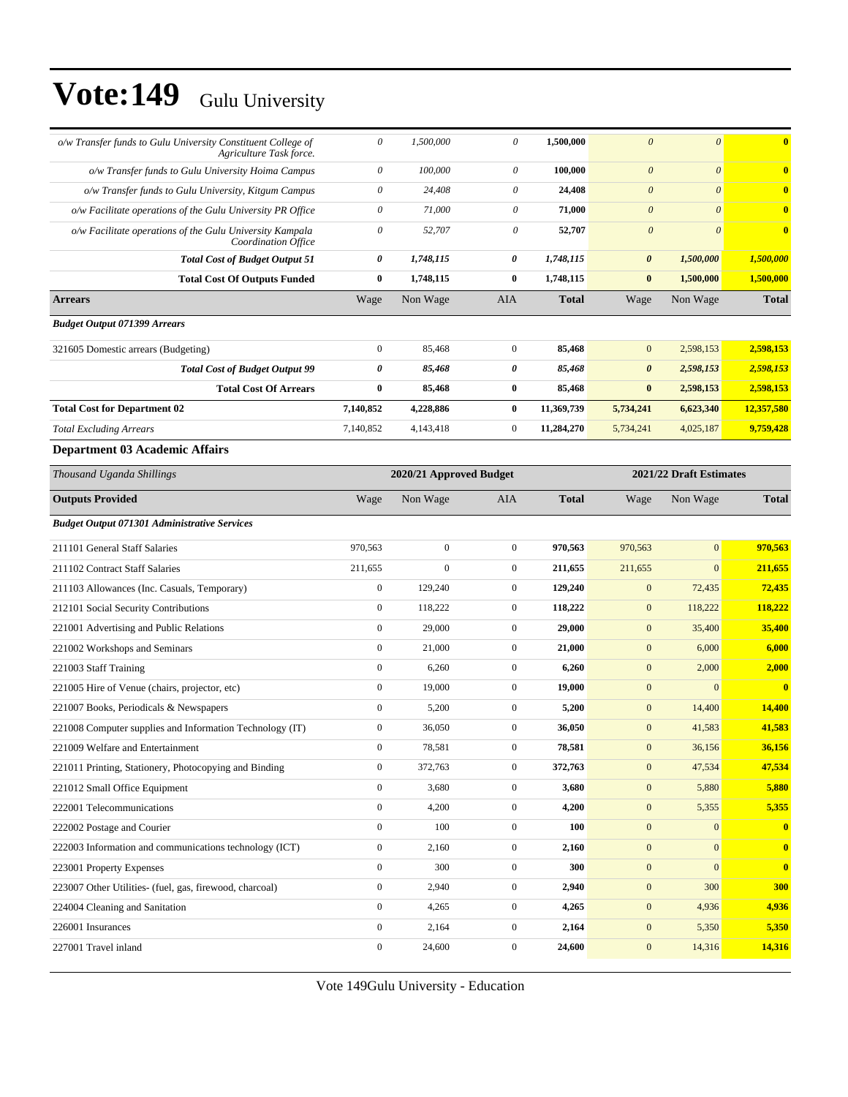| o/w Transfer funds to Gulu University Constituent College of<br>Agriculture Task force. | 0                         | 1,500,000                                          | $\boldsymbol{\theta}$     | 1,500,000    | $\boldsymbol{\theta}$ | $\boldsymbol{\theta}$ | $\bf{0}$      |  |
|-----------------------------------------------------------------------------------------|---------------------------|----------------------------------------------------|---------------------------|--------------|-----------------------|-----------------------|---------------|--|
| o/w Transfer funds to Gulu University Hoima Campus                                      | $\boldsymbol{\mathit{0}}$ | 100,000                                            | $\boldsymbol{\mathit{0}}$ | 100,000      | $\boldsymbol{\theta}$ | $\boldsymbol{\theta}$ | $\bf{0}$      |  |
| o/w Transfer funds to Gulu University, Kitgum Campus                                    | $\boldsymbol{\mathit{0}}$ | 24,408                                             | $\boldsymbol{\theta}$     | 24,408       | $\boldsymbol{\theta}$ | $\theta$              | $\bf{0}$      |  |
| o/w Facilitate operations of the Gulu University PR Office                              | $\boldsymbol{\mathit{0}}$ | 71,000                                             | $\boldsymbol{\mathit{0}}$ | 71,000       | $\boldsymbol{\theta}$ | $\boldsymbol{\theta}$ | $\bf{0}$      |  |
| o/w Facilitate operations of the Gulu University Kampala<br>Coordination Office         | $\boldsymbol{\mathit{0}}$ | 52,707                                             | $\boldsymbol{\theta}$     | 52,707       | $\boldsymbol{\theta}$ | $\theta$              | $\bf{0}$      |  |
| <b>Total Cost of Budget Output 51</b>                                                   | 0                         | 1,748,115                                          | 0                         | 1,748,115    | $\boldsymbol{\theta}$ | 1,500,000             | 1,500,000     |  |
| <b>Total Cost Of Outputs Funded</b>                                                     | $\bf{0}$                  | 1,748,115                                          | $\bf{0}$                  | 1,748,115    | $\bf{0}$              | 1,500,000             | 1,500,000     |  |
| <b>Arrears</b>                                                                          | Wage                      | Non Wage                                           | <b>AIA</b>                | <b>Total</b> | Wage                  | Non Wage              | <b>Total</b>  |  |
| <b>Budget Output 071399 Arrears</b>                                                     |                           |                                                    |                           |              |                       |                       |               |  |
| 321605 Domestic arrears (Budgeting)                                                     | $\boldsymbol{0}$          | 85,468                                             | $\boldsymbol{0}$          | 85,468       | $\mathbf{0}$          | 2,598,153             | 2,598,153     |  |
| <b>Total Cost of Budget Output 99</b>                                                   | 0                         | 85,468                                             | 0                         | 85,468       | $\boldsymbol{\theta}$ | 2,598,153             | 2,598,153     |  |
| <b>Total Cost Of Arrears</b>                                                            | 0                         | 85,468                                             | $\bf{0}$                  | 85,468       | $\bf{0}$              | 2,598,153             | 2,598,153     |  |
| <b>Total Cost for Department 02</b>                                                     | 7,140,852                 | 4,228,886                                          | $\bf{0}$                  | 11,369,739   | 5,734,241             | 6,623,340             | 12,357,580    |  |
| <b>Total Excluding Arrears</b>                                                          | 7,140,852                 | 4,143,418                                          | $\boldsymbol{0}$          | 11,284,270   | 5,734,241             | 4,025,187             | 9,759,428     |  |
| <b>Department 03 Academic Affairs</b>                                                   |                           |                                                    |                           |              |                       |                       |               |  |
| Thousand Uganda Shillings                                                               |                           | 2021/22 Draft Estimates<br>2020/21 Approved Budget |                           |              |                       |                       |               |  |
| <b>Outputs Provided</b>                                                                 | Wage                      | Non Wage                                           | AIA                       | <b>Total</b> | Wage                  | Non Wage              | <b>Total</b>  |  |
| <b>Budget Output 071301 Administrative Services</b>                                     |                           |                                                    |                           |              |                       |                       |               |  |
| 211101 General Staff Salaries                                                           | 970,563                   | $\mathbf{0}$                                       | $\boldsymbol{0}$          | 970,563      | 970,563               | $\mathbf{0}$          | 970,563       |  |
| 211102 Contract Staff Salaries                                                          | 211,655                   | $\overline{0}$                                     | $\mathbf{0}$              | 211,655      | 211,655               | $\overline{0}$        | 211,655       |  |
| 211103 Allowances (Inc. Casuals, Temporary)                                             | $\boldsymbol{0}$          | 129,240                                            | $\boldsymbol{0}$          | 129,240      | $\mathbf{0}$          | 72,435                | 72,435        |  |
| 212101 Social Security Contributions                                                    | $\boldsymbol{0}$          | 118,222                                            | $\boldsymbol{0}$          | 118,222      | $\mathbf{0}$          | 118,222               | 118,222       |  |
| 221001 Advertising and Public Relations                                                 | $\boldsymbol{0}$          | 29,000                                             | $\mathbf{0}$              | 29,000       | $\mathbf{0}$          | 35,400                | 35,400        |  |
| 221002 Workshops and Seminars                                                           | $\boldsymbol{0}$          | 21,000                                             | $\boldsymbol{0}$          | 21,000       | $\mathbf{0}$          | 6,000                 | 6,000         |  |
| 221003 Staff Training                                                                   | $\boldsymbol{0}$          | 6,260                                              | $\boldsymbol{0}$          | 6,260        | $\boldsymbol{0}$      | 2,000                 | 2,000         |  |
| 221005 Hire of Venue (chairs, projector, etc)                                           | $\boldsymbol{0}$          | 19,000                                             | $\boldsymbol{0}$          | 19,000       | $\mathbf{0}$          | $\overline{0}$        | $\bf{0}$      |  |
| 221007 Books, Periodicals & Newspapers                                                  | $\boldsymbol{0}$          | 5,200                                              | $\boldsymbol{0}$          | 5,200        | $\mathbf{0}$          | 14,400                | <b>14,400</b> |  |
| 221008 Computer supplies and Information Technology (IT)                                | $\boldsymbol{0}$          | 36,050                                             | $\boldsymbol{0}$          | 36,050       | $\mathbf{0}$          | 41,583                | 41,583        |  |
| 221009 Welfare and Entertainment                                                        | $\boldsymbol{0}$          | 78,581                                             | $\boldsymbol{0}$          | 78,581       | $\boldsymbol{0}$      | 36,156                | 36,156        |  |
| 221011 Printing, Stationery, Photocopying and Binding                                   | $\boldsymbol{0}$          | 372,763                                            | $\boldsymbol{0}$          | 372,763      | $\boldsymbol{0}$      | 47,534                | 47,534        |  |
| 221012 Small Office Equipment                                                           | $\boldsymbol{0}$          | 3,680                                              | $\boldsymbol{0}$          | 3,680        | $\boldsymbol{0}$      | 5,880                 | 5,880         |  |
| 222001 Telecommunications                                                               | $\boldsymbol{0}$          | 4,200                                              | $\boldsymbol{0}$          | 4,200        | $\boldsymbol{0}$      | 5,355                 | 5,355         |  |
| 222002 Postage and Courier                                                              | $\boldsymbol{0}$          | 100                                                | $\boldsymbol{0}$          | <b>100</b>   | $\boldsymbol{0}$      | $\boldsymbol{0}$      | $\bf{0}$      |  |
| 222003 Information and communications technology (ICT)                                  | $\boldsymbol{0}$          | 2,160                                              | $\boldsymbol{0}$          | 2,160        | $\boldsymbol{0}$      | $\mathbf{0}$          | $\bf{0}$      |  |
| 223001 Property Expenses                                                                | $\boldsymbol{0}$          | 300                                                | $\boldsymbol{0}$          | 300          | $\boldsymbol{0}$      | $\boldsymbol{0}$      | $\mathbf{0}$  |  |
| 223007 Other Utilities- (fuel, gas, firewood, charcoal)                                 | $\boldsymbol{0}$          | 2,940                                              | $\boldsymbol{0}$          | 2,940        | $\boldsymbol{0}$      | 300                   | <b>300</b>    |  |
| 224004 Cleaning and Sanitation                                                          | $\boldsymbol{0}$          | 4,265                                              | $\boldsymbol{0}$          | 4,265        | $\boldsymbol{0}$      | 4,936                 | 4,936         |  |
| 226001 Insurances                                                                       | $\boldsymbol{0}$          | 2,164                                              | $\boldsymbol{0}$          | 2,164        | $\boldsymbol{0}$      | 5,350                 | 5,350         |  |
|                                                                                         |                           |                                                    |                           |              |                       |                       |               |  |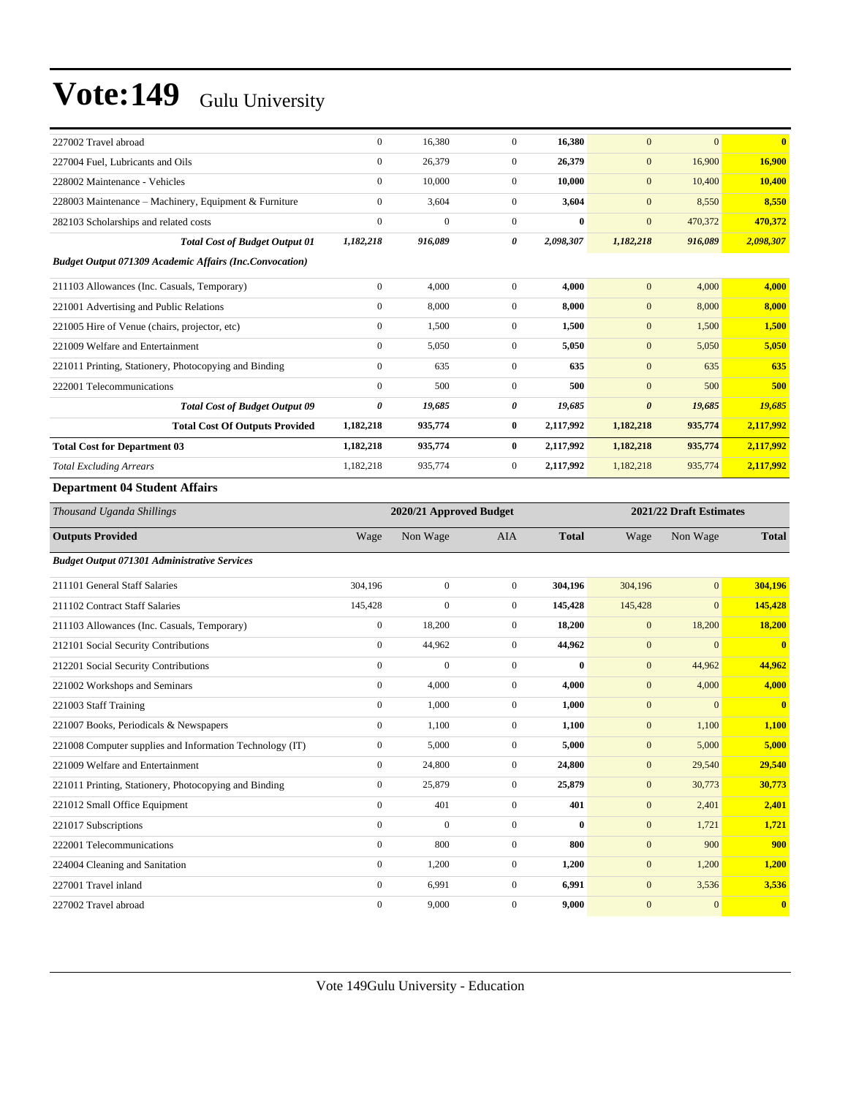| 227002 Travel abroad                                            | $\boldsymbol{0}$ | 16,380                  | $\mathbf{0}$     | 16,380       | $\mathbf{0}$          | $\mathbf{0}$            | $\mathbf{0}$            |
|-----------------------------------------------------------------|------------------|-------------------------|------------------|--------------|-----------------------|-------------------------|-------------------------|
| 227004 Fuel, Lubricants and Oils                                | $\boldsymbol{0}$ | 26,379                  | $\boldsymbol{0}$ | 26,379       | $\mathbf{0}$          | 16,900                  | 16,900                  |
| 228002 Maintenance - Vehicles                                   | $\boldsymbol{0}$ | 10,000                  | $\mathbf{0}$     | 10,000       | $\mathbf{0}$          | 10,400                  | 10,400                  |
| 228003 Maintenance – Machinery, Equipment & Furniture           | $\boldsymbol{0}$ | 3,604                   | $\boldsymbol{0}$ | 3,604        | $\mathbf{0}$          | 8,550                   | 8,550                   |
| 282103 Scholarships and related costs                           | $\mathbf{0}$     | $\overline{0}$          | $\boldsymbol{0}$ | $\bf{0}$     | $\boldsymbol{0}$      | 470,372                 | 470,372                 |
| <b>Total Cost of Budget Output 01</b>                           | 1,182,218        | 916,089                 | 0                | 2,098,307    | 1,182,218             | 916,089                 | 2,098,307               |
| <b>Budget Output 071309 Academic Affairs (Inc.Convocation)</b>  |                  |                         |                  |              |                       |                         |                         |
| 211103 Allowances (Inc. Casuals, Temporary)                     | $\boldsymbol{0}$ | 4,000                   | $\mathbf{0}$     | 4,000        | $\boldsymbol{0}$      | 4,000                   | 4,000                   |
| 221001 Advertising and Public Relations                         | $\boldsymbol{0}$ | 8,000                   | $\boldsymbol{0}$ | 8,000        | $\mathbf{0}$          | 8,000                   | 8,000                   |
| 221005 Hire of Venue (chairs, projector, etc)                   | $\boldsymbol{0}$ | 1,500                   | $\boldsymbol{0}$ | 1,500        | $\mathbf{0}$          | 1,500                   | 1,500                   |
| 221009 Welfare and Entertainment                                | $\mathbf{0}$     | 5,050                   | $\mathbf{0}$     | 5,050        | $\mathbf{0}$          | 5,050                   | 5,050                   |
| 221011 Printing, Stationery, Photocopying and Binding           | $\boldsymbol{0}$ | 635                     | $\boldsymbol{0}$ | 635          | $\mathbf{0}$          | 635                     | 635                     |
| 222001 Telecommunications                                       | $\boldsymbol{0}$ | 500                     | $\boldsymbol{0}$ | 500          | $\mathbf{0}$          | 500                     | 500                     |
| <b>Total Cost of Budget Output 09</b>                           | 0                | 19,685                  | 0                | 19,685       | $\boldsymbol{\theta}$ | 19,685                  | 19,685                  |
| <b>Total Cost Of Outputs Provided</b>                           | 1,182,218        | 935,774                 | 0                | 2,117,992    | 1,182,218             | 935,774                 | 2,117,992               |
| <b>Total Cost for Department 03</b>                             | 1,182,218        | 935,774                 | $\bf{0}$         | 2,117,992    | 1,182,218             | 935,774                 | 2,117,992               |
| <b>Total Excluding Arrears</b>                                  | 1,182,218        | 935,774                 | $\mathbf{0}$     | 2,117,992    | 1,182,218             | 935,774                 | 2,117,992               |
| <b>Department 04 Student Affairs</b>                            |                  |                         |                  |              |                       |                         |                         |
| Thousand Uganda Shillings                                       |                  | 2020/21 Approved Budget |                  |              |                       | 2021/22 Draft Estimates |                         |
| <b>Outputs Provided</b>                                         | Wage             | Non Wage                | AIA              | <b>Total</b> | Wage                  | Non Wage                | <b>Total</b>            |
| <b>Budget Output 071301 Administrative Services</b>             |                  |                         |                  |              |                       |                         |                         |
|                                                                 |                  |                         |                  |              |                       |                         |                         |
|                                                                 | 304,196          | $\boldsymbol{0}$        | $\boldsymbol{0}$ | 304,196      | 304,196               | $\mathbf{0}$            | 304,196                 |
| 211101 General Staff Salaries<br>211102 Contract Staff Salaries | 145,428          | $\mathbf{0}$            | $\boldsymbol{0}$ | 145,428      | 145,428               | $\mathbf{0}$            | 145,428                 |
| 211103 Allowances (Inc. Casuals, Temporary)                     | $\boldsymbol{0}$ | 18,200                  | $\mathbf{0}$     | 18,200       | $\mathbf{0}$          | 18,200                  | <b>18,200</b>           |
| 212101 Social Security Contributions                            | $\boldsymbol{0}$ | 44,962                  | $\boldsymbol{0}$ | 44,962       | $\boldsymbol{0}$      | $\mathbf{0}$            | $\overline{\mathbf{0}}$ |
| 212201 Social Security Contributions                            | $\boldsymbol{0}$ | $\boldsymbol{0}$        | $\boldsymbol{0}$ | $\bf{0}$     | $\mathbf{0}$          | 44,962                  | 44,962                  |
| 221002 Workshops and Seminars                                   | $\boldsymbol{0}$ | 4,000                   | $\boldsymbol{0}$ | 4,000        | $\mathbf{0}$          | 4,000                   | 4,000                   |
| 221003 Staff Training                                           | $\boldsymbol{0}$ | 1,000                   | $\boldsymbol{0}$ | 1,000        | $\mathbf{0}$          | $\mathbf{0}$            | $\overline{\mathbf{0}}$ |
| 221007 Books, Periodicals & Newspapers                          | $\boldsymbol{0}$ | 1,100                   | $\boldsymbol{0}$ | 1,100        | $\mathbf{0}$          | 1,100                   | 1,100                   |
| 221008 Computer supplies and Information Technology (IT)        | $\Omega$         | 5,000                   | $\Omega$         | 5.000        | $\mathbf{0}$          | 5,000                   | 5,000                   |
| 221009 Welfare and Entertainment                                | $\boldsymbol{0}$ | 24,800                  | $\boldsymbol{0}$ | 24,800       | $\mathbf{0}$          | 29,540                  | 29,540                  |
| 221011 Printing, Stationery, Photocopying and Binding           | $\boldsymbol{0}$ | 25,879                  | $\boldsymbol{0}$ | 25,879       | $\boldsymbol{0}$      | 30,773                  | 30,773                  |
| 221012 Small Office Equipment                                   | $\boldsymbol{0}$ | 401                     | $\boldsymbol{0}$ | 401          | $\boldsymbol{0}$      | 2,401                   | 2,401                   |
| 221017 Subscriptions                                            | $\boldsymbol{0}$ | $\boldsymbol{0}$        | $\boldsymbol{0}$ | $\bf{0}$     | $\boldsymbol{0}$      | 1,721                   | 1,721                   |
| 222001 Telecommunications                                       | $\boldsymbol{0}$ | 800                     | $\boldsymbol{0}$ | 800          | $\boldsymbol{0}$      | 900                     | 900                     |
| 224004 Cleaning and Sanitation                                  | $\boldsymbol{0}$ | 1,200                   | $\boldsymbol{0}$ | 1,200        | $\mathbf{0}$          | 1,200                   | 1,200                   |
| 227001 Travel inland                                            | $\boldsymbol{0}$ | 6,991                   | $\boldsymbol{0}$ | 6,991        | $\boldsymbol{0}$      | 3,536                   | 3,536                   |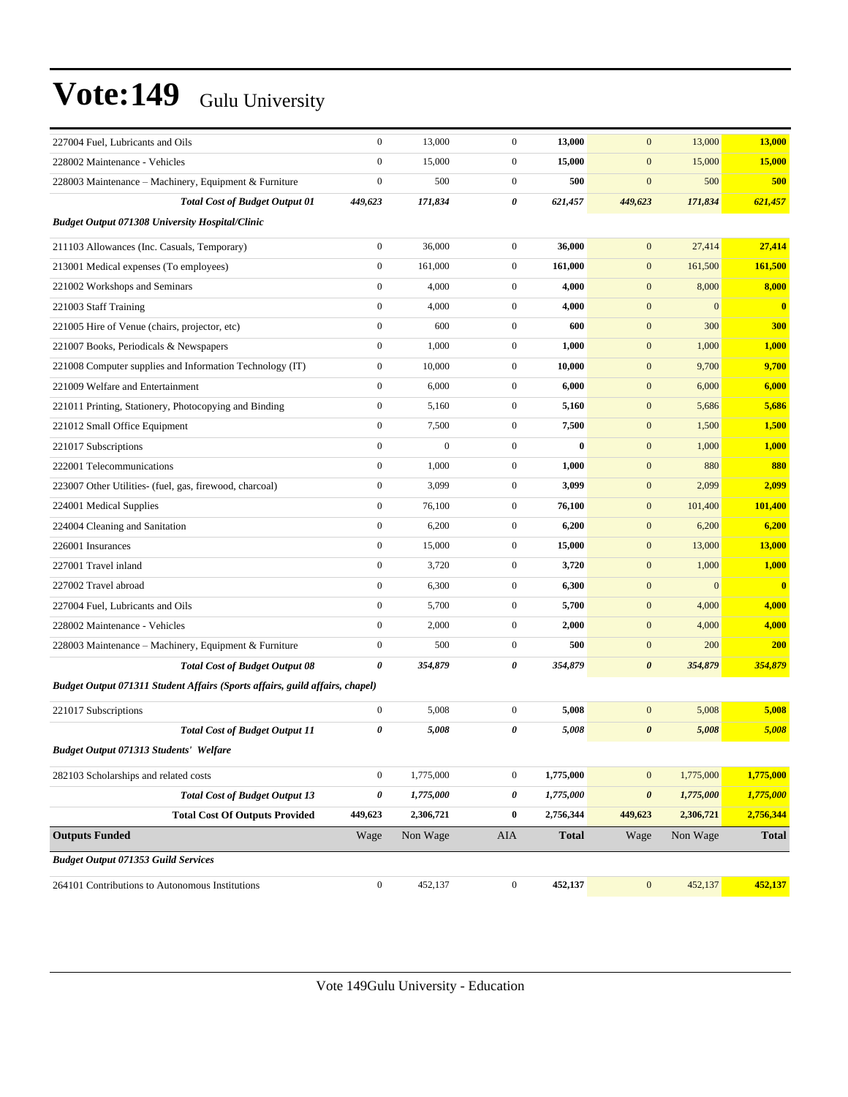| 227004 Fuel, Lubricants and Oils                                             | $\boldsymbol{0}$      | 13,000           | $\boldsymbol{0}$ | 13,000       | $\mathbf{0}$          | 13,000       | 13,000       |
|------------------------------------------------------------------------------|-----------------------|------------------|------------------|--------------|-----------------------|--------------|--------------|
| 228002 Maintenance - Vehicles                                                | $\theta$              | 15,000           | $\boldsymbol{0}$ | 15,000       | $\boldsymbol{0}$      | 15,000       | 15,000       |
| 228003 Maintenance – Machinery, Equipment & Furniture                        | $\boldsymbol{0}$      | 500              | $\boldsymbol{0}$ | 500          | $\mathbf{0}$          | 500          | 500          |
| <b>Total Cost of Budget Output 01</b>                                        | 449,623               | 171,834          | 0                | 621,457      | 449,623               | 171,834      | 621,457      |
| <b>Budget Output 071308 University Hospital/Clinic</b>                       |                       |                  |                  |              |                       |              |              |
| 211103 Allowances (Inc. Casuals, Temporary)                                  | $\mathbf{0}$          | 36,000           | $\boldsymbol{0}$ | 36,000       | $\boldsymbol{0}$      | 27,414       | 27,414       |
| 213001 Medical expenses (To employees)                                       | $\boldsymbol{0}$      | 161,000          | $\boldsymbol{0}$ | 161,000      | $\boldsymbol{0}$      | 161,500      | 161,500      |
| 221002 Workshops and Seminars                                                | $\mathbf{0}$          | 4,000            | $\boldsymbol{0}$ | 4,000        | $\boldsymbol{0}$      | 8,000        | 8,000        |
| 221003 Staff Training                                                        | $\boldsymbol{0}$      | 4,000            | $\boldsymbol{0}$ | 4,000        | $\mathbf{0}$          | $\mathbf{0}$ | $\mathbf{0}$ |
| 221005 Hire of Venue (chairs, projector, etc)                                | $\mathbf{0}$          | 600              | $\boldsymbol{0}$ | 600          | $\boldsymbol{0}$      | 300          | <b>300</b>   |
| 221007 Books, Periodicals & Newspapers                                       | $\mathbf{0}$          | 1,000            | $\boldsymbol{0}$ | 1,000        | $\boldsymbol{0}$      | 1,000        | 1,000        |
| 221008 Computer supplies and Information Technology (IT)                     | $\boldsymbol{0}$      | 10,000           | $\boldsymbol{0}$ | 10,000       | $\boldsymbol{0}$      | 9,700        | 9,700        |
| 221009 Welfare and Entertainment                                             | $\mathbf{0}$          | 6,000            | $\boldsymbol{0}$ | 6,000        | $\boldsymbol{0}$      | 6,000        | 6,000        |
| 221011 Printing, Stationery, Photocopying and Binding                        | $\mathbf{0}$          | 5,160            | $\boldsymbol{0}$ | 5,160        | $\boldsymbol{0}$      | 5,686        | 5,686        |
| 221012 Small Office Equipment                                                | $\mathbf{0}$          | 7,500            | $\boldsymbol{0}$ | 7,500        | $\boldsymbol{0}$      | 1,500        | 1,500        |
| 221017 Subscriptions                                                         | $\mathbf{0}$          | $\boldsymbol{0}$ | $\boldsymbol{0}$ | $\bf{0}$     | $\boldsymbol{0}$      | 1,000        | 1,000        |
| 222001 Telecommunications                                                    | $\boldsymbol{0}$      | 1,000            | $\boldsymbol{0}$ | 1,000        | $\boldsymbol{0}$      | 880          | 880          |
| 223007 Other Utilities- (fuel, gas, firewood, charcoal)                      | $\mathbf{0}$          | 3,099            | $\boldsymbol{0}$ | 3,099        | $\boldsymbol{0}$      | 2,099        | 2,099        |
| 224001 Medical Supplies                                                      | $\boldsymbol{0}$      | 76,100           | $\boldsymbol{0}$ | 76,100       | $\boldsymbol{0}$      | 101,400      | 101,400      |
| 224004 Cleaning and Sanitation                                               | $\mathbf{0}$          | 6,200            | $\boldsymbol{0}$ | 6,200        | $\boldsymbol{0}$      | 6,200        | 6,200        |
| 226001 Insurances                                                            | $\mathbf{0}$          | 15,000           | $\boldsymbol{0}$ | 15,000       | $\boldsymbol{0}$      | 13,000       | 13,000       |
| 227001 Travel inland                                                         | $\boldsymbol{0}$      | 3,720            | $\boldsymbol{0}$ | 3,720        | $\boldsymbol{0}$      | 1,000        | 1,000        |
| 227002 Travel abroad                                                         | $\mathbf{0}$          | 6,300            | $\boldsymbol{0}$ | 6,300        | $\boldsymbol{0}$      | $\mathbf{0}$ | $\bf{0}$     |
| 227004 Fuel, Lubricants and Oils                                             | $\boldsymbol{0}$      | 5,700            | $\boldsymbol{0}$ | 5,700        | $\boldsymbol{0}$      | 4,000        | 4,000        |
| 228002 Maintenance - Vehicles                                                | $\mathbf{0}$          | 2,000            | $\boldsymbol{0}$ | 2,000        | $\boldsymbol{0}$      | 4,000        | 4,000        |
| 228003 Maintenance - Machinery, Equipment & Furniture                        | $\mathbf{0}$          | 500              | $\boldsymbol{0}$ | 500          | $\boldsymbol{0}$      | 200          | <b>200</b>   |
| <b>Total Cost of Budget Output 08</b>                                        | $\boldsymbol{\theta}$ | 354,879          | 0                | 354,879      | $\boldsymbol{\theta}$ | 354,879      | 354,879      |
| Budget Output 071311 Student Affairs (Sports affairs, guild affairs, chapel) |                       |                  |                  |              |                       |              |              |
| 221017 Subscriptions                                                         | $\boldsymbol{0}$      | 5,008            | $\boldsymbol{0}$ | 5,008        | $\boldsymbol{0}$      | 5,008        | 5,008        |
| <b>Total Cost of Budget Output 11</b>                                        | 0                     | 5,008            | 0                | 5,008        | $\boldsymbol{\theta}$ | 5,008        | 5,008        |
| Budget Output 071313 Students' Welfare                                       |                       |                  |                  |              |                       |              |              |
| 282103 Scholarships and related costs                                        | $\boldsymbol{0}$      | 1,775,000        | $\boldsymbol{0}$ | 1,775,000    | $\mathbf{0}$          | 1,775,000    | 1,775,000    |
| <b>Total Cost of Budget Output 13</b>                                        | $\boldsymbol{\theta}$ | 1,775,000        | 0                | 1,775,000    | $\pmb{\theta}$        | 1,775,000    | 1,775,000    |
| <b>Total Cost Of Outputs Provided</b>                                        | 449,623               | 2,306,721        | $\bf{0}$         | 2,756,344    | 449,623               | 2,306,721    | 2,756,344    |
| <b>Outputs Funded</b>                                                        | Wage                  | Non Wage         | AIA              | <b>Total</b> | Wage                  | Non Wage     | <b>Total</b> |
| <b>Budget Output 071353 Guild Services</b>                                   |                       |                  |                  |              |                       |              |              |
| 264101 Contributions to Autonomous Institutions                              | $\boldsymbol{0}$      | 452,137          | $\overline{0}$   | 452,137      | $\mathbf{0}$          | 452,137      | 452,137      |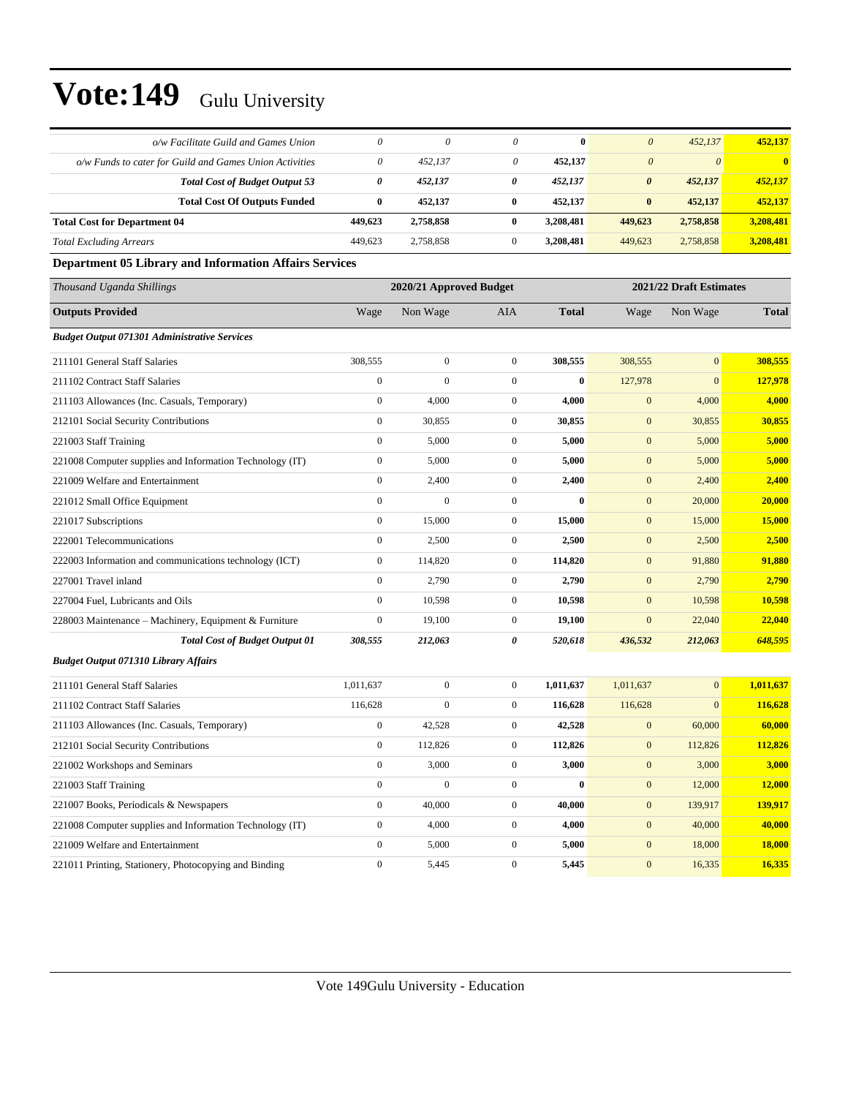| o/w Facilitate Guild and Games Union                     | 0                | $\theta$                | 0                | $\bf{0}$     | $\boldsymbol{\theta}$ | 452,137                 | 452,137      |
|----------------------------------------------------------|------------------|-------------------------|------------------|--------------|-----------------------|-------------------------|--------------|
| o/w Funds to cater for Guild and Games Union Activities  | 0                | 452,137                 | 0                | 452,137      | $\theta$              | $\theta$                |              |
| <b>Total Cost of Budget Output 53</b>                    | 0                | 452,137                 | 0                | 452,137      | $\boldsymbol{\theta}$ | 452,137                 | 452,137      |
| <b>Total Cost Of Outputs Funded</b>                      | $\bf{0}$         | 452,137                 | $\bf{0}$         | 452,137      | $\bf{0}$              | 452,137                 | 452,137      |
| <b>Total Cost for Department 04</b>                      | 449,623          | 2,758,858               | $\bf{0}$         | 3,208,481    | 449,623               | 2,758,858               | 3,208,481    |
| <b>Total Excluding Arrears</b>                           | 449,623          | 2,758,858               | $\boldsymbol{0}$ | 3,208,481    | 449,623               | 2,758,858               | 3,208,481    |
| Department 05 Library and Information Affairs Services   |                  |                         |                  |              |                       |                         |              |
| Thousand Uganda Shillings                                |                  | 2020/21 Approved Budget |                  |              |                       | 2021/22 Draft Estimates |              |
| <b>Outputs Provided</b>                                  | Wage             | Non Wage                | AIA              | <b>Total</b> | Wage                  | Non Wage                | <b>Total</b> |
| <b>Budget Output 071301 Administrative Services</b>      |                  |                         |                  |              |                       |                         |              |
| 211101 General Staff Salaries                            | 308,555          | $\overline{0}$          | $\boldsymbol{0}$ | 308,555      | 308,555               | $\overline{0}$          | 308,555      |
| 211102 Contract Staff Salaries                           | $\boldsymbol{0}$ | $\mathbf{0}$            | $\mathbf{0}$     | $\bf{0}$     | 127,978               | $\mathbf{0}$            | 127,978      |
| 211103 Allowances (Inc. Casuals, Temporary)              | $\boldsymbol{0}$ | 4,000                   | $\boldsymbol{0}$ | 4,000        | $\mathbf{0}$          | 4,000                   | 4,000        |
| 212101 Social Security Contributions                     | $\boldsymbol{0}$ | 30,855                  | $\boldsymbol{0}$ | 30,855       | $\boldsymbol{0}$      | 30,855                  | 30,855       |
| 221003 Staff Training                                    | $\boldsymbol{0}$ | 5,000                   | $\boldsymbol{0}$ | 5,000        | $\mathbf{0}$          | 5,000                   | 5,000        |
| 221008 Computer supplies and Information Technology (IT) | $\boldsymbol{0}$ | 5,000                   | $\boldsymbol{0}$ | 5,000        | $\mathbf{0}$          | 5,000                   | 5,000        |
| 221009 Welfare and Entertainment                         | $\boldsymbol{0}$ | 2,400                   | $\boldsymbol{0}$ | 2,400        | $\mathbf{0}$          | 2,400                   | 2,400        |
| 221012 Small Office Equipment                            | $\boldsymbol{0}$ | $\boldsymbol{0}$        | $\boldsymbol{0}$ | $\bf{0}$     | $\mathbf{0}$          | 20,000                  | 20,000       |
| 221017 Subscriptions                                     | $\boldsymbol{0}$ | 15,000                  | $\boldsymbol{0}$ | 15,000       | $\boldsymbol{0}$      | 15,000                  | 15,000       |
| 222001 Telecommunications                                | $\boldsymbol{0}$ | 2,500                   | $\boldsymbol{0}$ | 2,500        | $\mathbf{0}$          | 2,500                   | 2,500        |
| 222003 Information and communications technology (ICT)   | $\boldsymbol{0}$ | 114,820                 | $\boldsymbol{0}$ | 114,820      | $\mathbf{0}$          | 91,880                  | 91,880       |
| 227001 Travel inland                                     | $\overline{0}$   | 2,790                   | $\boldsymbol{0}$ | 2,790        | $\mathbf{0}$          | 2,790                   | 2,790        |
| 227004 Fuel, Lubricants and Oils                         | $\boldsymbol{0}$ | 10,598                  | $\mathbf{0}$     | 10,598       | $\mathbf{0}$          | 10,598                  | 10,598       |
| 228003 Maintenance - Machinery, Equipment & Furniture    | $\boldsymbol{0}$ | 19,100                  | $\boldsymbol{0}$ | 19,100       | $\mathbf{0}$          | 22,040                  | 22,040       |
| <b>Total Cost of Budget Output 01</b>                    | 308,555          | 212,063                 | 0                | 520,618      | 436,532               | 212,063                 | 648,595      |
| <b>Budget Output 071310 Library Affairs</b>              |                  |                         |                  |              |                       |                         |              |
| 211101 General Staff Salaries                            | 1,011,637        | $\overline{0}$          | $\boldsymbol{0}$ | 1,011,637    | 1,011,637             | $\mathbf{0}$            | 1,011,637    |
| 211102 Contract Staff Salaries                           | 116,628          | $\mathbf{0}$            | $\boldsymbol{0}$ | 116,628      | 116,628               | $\boldsymbol{0}$        | 116,628      |
| 211103 Allowances (Inc. Casuals, Temporary)              | $\boldsymbol{0}$ | 42,528                  | $\boldsymbol{0}$ | 42,528       | $\mathbf{0}$          | 60,000                  | 60,000       |
| 212101 Social Security Contributions                     | $\boldsymbol{0}$ | 112,826                 | $\boldsymbol{0}$ | 112,826      | $\mathbf{0}$          | 112,826                 | 112,826      |
| 221002 Workshops and Seminars                            | $\boldsymbol{0}$ | 3,000                   | $\boldsymbol{0}$ | 3,000        | $\boldsymbol{0}$      | 3,000                   | 3,000        |
| 221003 Staff Training                                    | $\boldsymbol{0}$ | $\overline{0}$          | $\boldsymbol{0}$ | $\bf{0}$     | $\boldsymbol{0}$      | 12,000                  | 12,000       |
| 221007 Books, Periodicals & Newspapers                   | $\boldsymbol{0}$ | 40,000                  | $\boldsymbol{0}$ | 40,000       | $\boldsymbol{0}$      | 139,917                 | 139,917      |
| 221008 Computer supplies and Information Technology (IT) | $\boldsymbol{0}$ | 4,000                   | $\boldsymbol{0}$ | 4,000        | $\boldsymbol{0}$      | 40,000                  | 40,000       |
| 221009 Welfare and Entertainment                         | $\boldsymbol{0}$ | 5,000                   | $\boldsymbol{0}$ | 5,000        | $\boldsymbol{0}$      | 18,000                  | 18,000       |
| 221011 Printing, Stationery, Photocopying and Binding    | $\boldsymbol{0}$ | 5,445                   | $\boldsymbol{0}$ | 5,445        | $\boldsymbol{0}$      | 16,335                  | 16,335       |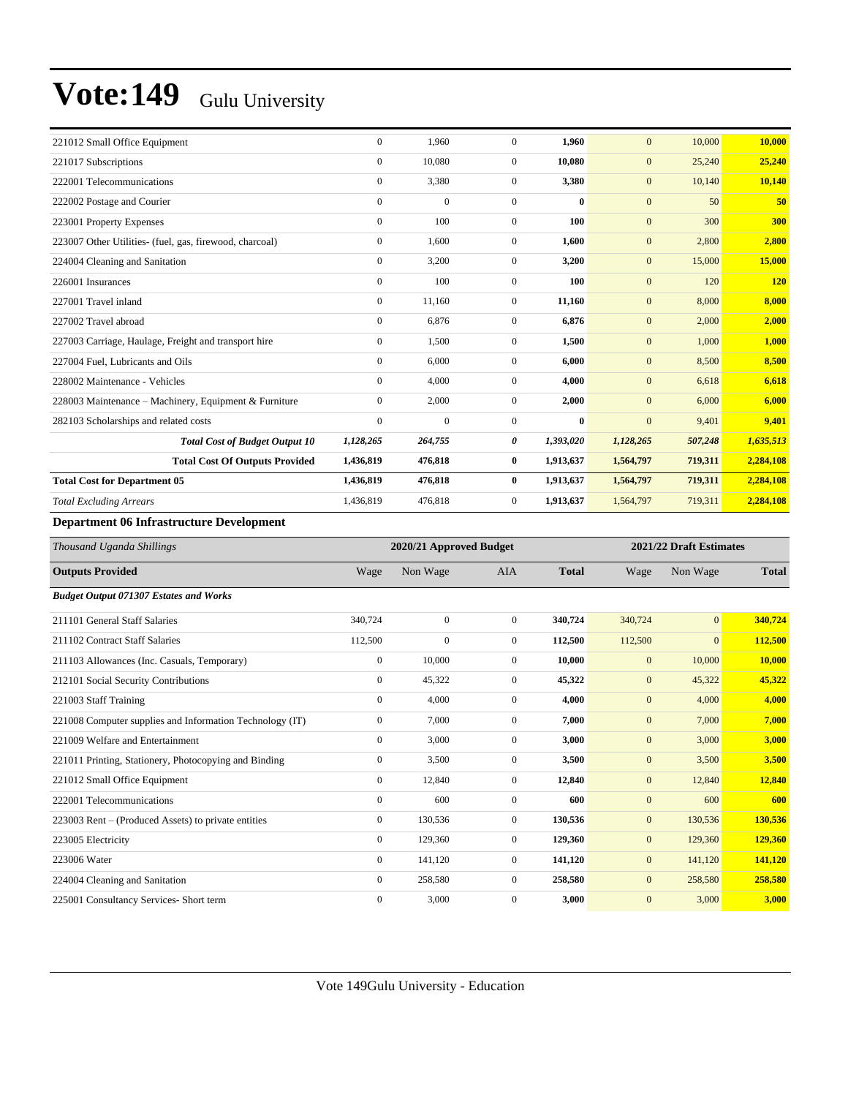| 221012 Small Office Equipment                           | $\mathbf{0}$   | 1.960          | $\mathbf{0}$ | 1,960     | $\mathbf{0}$     | 10,000  | 10,000     |
|---------------------------------------------------------|----------------|----------------|--------------|-----------|------------------|---------|------------|
| 221017 Subscriptions                                    | $\mathbf{0}$   | 10,080         | $\mathbf{0}$ | 10,080    | $\mathbf{0}$     | 25,240  | 25,240     |
| 222001 Telecommunications                               | $\mathbf{0}$   | 3,380          | $\mathbf{0}$ | 3,380     | $\boldsymbol{0}$ | 10,140  | 10,140     |
| 222002 Postage and Courier                              | $\mathbf{0}$   | $\overline{0}$ | $\mathbf{0}$ | $\bf{0}$  | $\mathbf{0}$     | 50      | 50         |
| 223001 Property Expenses                                | $\overline{0}$ | 100            | $\mathbf{0}$ | 100       | $\boldsymbol{0}$ | 300     | 300        |
| 223007 Other Utilities- (fuel, gas, firewood, charcoal) | $\mathbf{0}$   | 1,600          | $\mathbf{0}$ | 1,600     | $\boldsymbol{0}$ | 2,800   | 2,800      |
| 224004 Cleaning and Sanitation                          | $\mathbf{0}$   | 3,200          | $\mathbf{0}$ | 3,200     | $\boldsymbol{0}$ | 15,000  | 15,000     |
| 226001 Insurances                                       | $\mathbf{0}$   | 100            | $\mathbf{0}$ | 100       | $\mathbf{0}$     | 120     | <b>120</b> |
| 227001 Travel inland                                    | $\mathbf{0}$   | 11,160         | $\mathbf{0}$ | 11,160    | $\boldsymbol{0}$ | 8,000   | 8,000      |
| 227002 Travel abroad                                    | $\mathbf{0}$   | 6,876          | $\Omega$     | 6,876     | $\boldsymbol{0}$ | 2,000   | 2,000      |
| 227003 Carriage, Haulage, Freight and transport hire    | $\mathbf{0}$   | 1,500          | $\Omega$     | 1,500     | $\boldsymbol{0}$ | 1,000   | 1,000      |
| 227004 Fuel, Lubricants and Oils                        | $\Omega$       | 6.000          | $\Omega$     | 6,000     | $\mathbf{0}$     | 8,500   | 8,500      |
| 228002 Maintenance - Vehicles                           | $\Omega$       | 4,000          | $\mathbf{0}$ | 4,000     | $\boldsymbol{0}$ | 6,618   | 6,618      |
| 228003 Maintenance – Machinery, Equipment & Furniture   | $\mathbf{0}$   | 2,000          | $\mathbf{0}$ | 2,000     | $\mathbf{0}$     | 6,000   | 6,000      |
| 282103 Scholarships and related costs                   | $\mathbf{0}$   | $\mathbf{0}$   | $\mathbf{0}$ | $\bf{0}$  | $\mathbf{0}$     | 9,401   | 9,401      |
| <b>Total Cost of Budget Output 10</b>                   | 1,128,265      | 264,755        | 0            | 1,393,020 | 1,128,265        | 507,248 | 1,635,513  |
| <b>Total Cost Of Outputs Provided</b>                   | 1,436,819      | 476,818        | $\bf{0}$     | 1,913,637 | 1,564,797        | 719,311 | 2,284,108  |
| <b>Total Cost for Department 05</b>                     | 1,436,819      | 476,818        | $\bf{0}$     | 1,913,637 | 1,564,797        | 719,311 | 2,284,108  |
| <b>Total Excluding Arrears</b>                          | 1,436,819      | 476,818        | 0            | 1,913,637 | 1,564,797        | 719,311 | 2,284,108  |

#### **Department 06 Infrastructure Development**

| Thousand Uganda Shillings                                |                  | 2020/21 Approved Budget |                |              |                  | 2021/22 Draft Estimates |              |  |
|----------------------------------------------------------|------------------|-------------------------|----------------|--------------|------------------|-------------------------|--------------|--|
| <b>Outputs Provided</b>                                  | Wage             | Non Wage                | AIA            | <b>Total</b> | Wage             | Non Wage                | <b>Total</b> |  |
| <b>Budget Output 071307 Estates and Works</b>            |                  |                         |                |              |                  |                         |              |  |
| 211101 General Staff Salaries                            | 340,724          | $\overline{0}$          | $\overline{0}$ | 340,724      | 340,724          | $\overline{0}$          | 340,724      |  |
| 211102 Contract Staff Salaries                           | 112,500          | $\mathbf{0}$            | $\Omega$       | 112,500      | 112,500          | $\Omega$                | 112,500      |  |
| 211103 Allowances (Inc. Casuals, Temporary)              | $\boldsymbol{0}$ | 10,000                  | $\Omega$       | 10,000       | $\boldsymbol{0}$ | 10,000                  | 10,000       |  |
| 212101 Social Security Contributions                     | $\overline{0}$   | 45,322                  | $\Omega$       | 45,322       | $\mathbf{0}$     | 45,322                  | 45,322       |  |
| 221003 Staff Training                                    | $\overline{0}$   | 4,000                   | $\mathbf{0}$   | 4,000        | $\mathbf{0}$     | 4,000                   | 4,000        |  |
| 221008 Computer supplies and Information Technology (IT) | $\overline{0}$   | 7,000                   | $\Omega$       | 7,000        | $\overline{0}$   | 7,000                   | 7,000        |  |
| 221009 Welfare and Entertainment                         | $\overline{0}$   | 3,000                   | $\mathbf{0}$   | 3,000        | $\overline{0}$   | 3,000                   | 3,000        |  |
| 221011 Printing, Stationery, Photocopying and Binding    | $\overline{0}$   | 3,500                   | $\overline{0}$ | 3,500        | $\boldsymbol{0}$ | 3,500                   | 3,500        |  |
| 221012 Small Office Equipment                            | $\overline{0}$   | 12,840                  | $\overline{0}$ | 12,840       | $\mathbf{0}$     | 12,840                  | 12,840       |  |
| 222001 Telecommunications                                | $\overline{0}$   | 600                     | $\overline{0}$ | 600          | $\mathbf{0}$     | 600                     | 600          |  |
| 223003 Rent – (Produced Assets) to private entities      | $\overline{0}$   | 130,536                 | $\overline{0}$ | 130,536      | $\overline{0}$   | 130,536                 | 130,536      |  |
| 223005 Electricity                                       | $\overline{0}$   | 129,360                 | $\overline{0}$ | 129,360      | $\mathbf{0}$     | 129,360                 | 129,360      |  |
| 223006 Water                                             | $\overline{0}$   | 141,120                 | $\overline{0}$ | 141,120      | $\overline{0}$   | 141,120                 | 141,120      |  |
| 224004 Cleaning and Sanitation                           | $\overline{0}$   | 258,580                 | $\overline{0}$ | 258,580      | $\overline{0}$   | 258,580                 | 258,580      |  |
| 225001 Consultancy Services- Short term                  | $\mathbf{0}$     | 3,000                   | $\Omega$       | 3,000        | $\overline{0}$   | 3,000                   | 3,000        |  |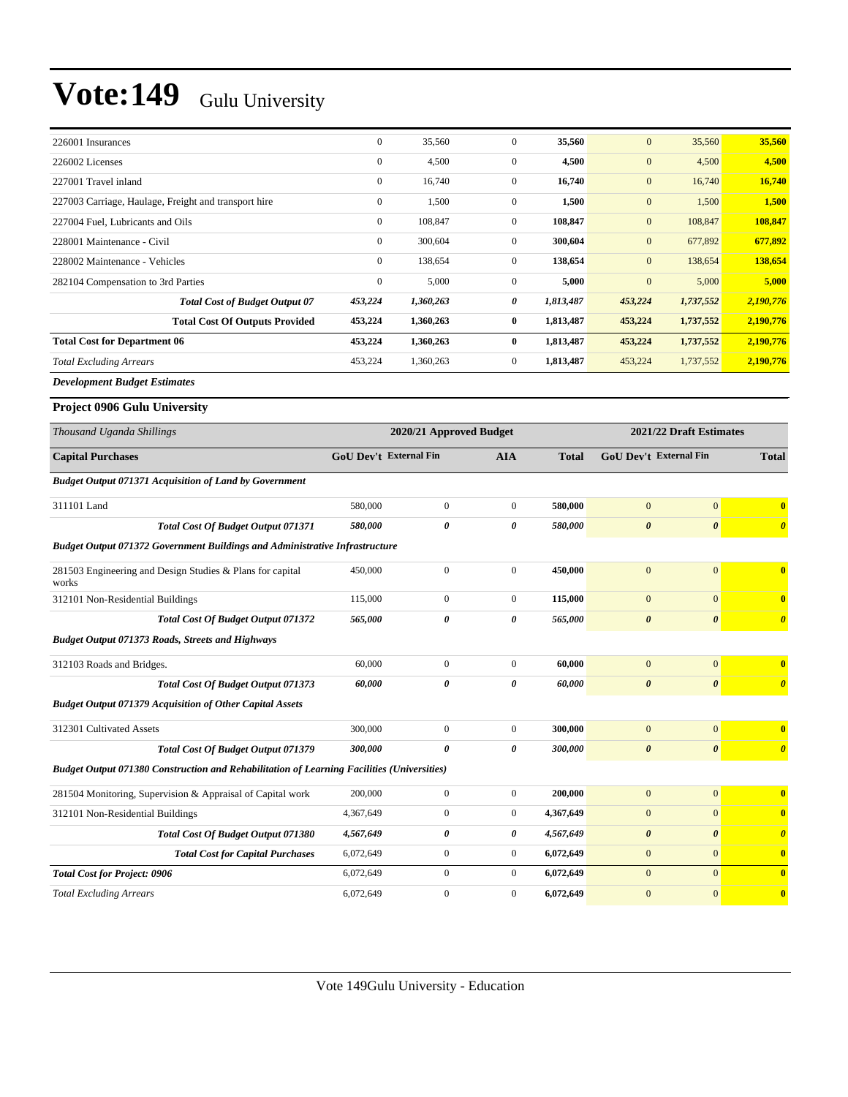| 226001 Insurances                                                                                 | $\boldsymbol{0}$              | 35,560                  | $\mathbf{0}$     | 35,560       | $\boldsymbol{0}$              | 35,560                  | 35,560                |
|---------------------------------------------------------------------------------------------------|-------------------------------|-------------------------|------------------|--------------|-------------------------------|-------------------------|-----------------------|
| 226002 Licenses                                                                                   | $\boldsymbol{0}$              | 4,500                   | $\boldsymbol{0}$ | 4,500        | $\mathbf{0}$                  | 4,500                   | 4,500                 |
| 227001 Travel inland                                                                              | $\boldsymbol{0}$              | 16,740                  | $\boldsymbol{0}$ | 16,740       | $\mathbf{0}$                  | 16,740                  | 16,740                |
| 227003 Carriage, Haulage, Freight and transport hire                                              | $\boldsymbol{0}$              | 1,500                   | $\mathbf{0}$     | 1,500        | $\boldsymbol{0}$              | 1,500                   | 1,500                 |
| 227004 Fuel, Lubricants and Oils                                                                  | $\boldsymbol{0}$              | 108,847                 | $\mathbf{0}$     | 108,847      | $\mathbf{0}$                  | 108,847                 | 108,847               |
| 228001 Maintenance - Civil                                                                        | $\boldsymbol{0}$              | 300,604                 | $\mathbf{0}$     | 300,604      | $\boldsymbol{0}$              | 677,892                 | 677,892               |
| 228002 Maintenance - Vehicles                                                                     | $\boldsymbol{0}$              | 138,654                 | $\mathbf{0}$     | 138,654      | $\mathbf{0}$                  | 138,654                 | 138,654               |
| 282104 Compensation to 3rd Parties                                                                | $\boldsymbol{0}$              | 5,000                   | $\mathbf{0}$     | 5,000        | $\mathbf{0}$                  | 5,000                   | 5,000                 |
| <b>Total Cost of Budget Output 07</b>                                                             | 453,224                       | 1,360,263               | 0                | 1,813,487    | 453,224                       | 1,737,552               | 2,190,776             |
| <b>Total Cost Of Outputs Provided</b>                                                             | 453,224                       | 1,360,263               | $\bf{0}$         | 1,813,487    | 453,224                       | 1,737,552               | 2,190,776             |
| <b>Total Cost for Department 06</b>                                                               | 453,224                       | 1,360,263               | $\bf{0}$         | 1,813,487    | 453,224                       | 1,737,552               | 2,190,776             |
| <b>Total Excluding Arrears</b>                                                                    | 453,224                       | 1,360,263               | $\boldsymbol{0}$ | 1,813,487    | 453,224                       | 1,737,552               | 2,190,776             |
| <b>Development Budget Estimates</b>                                                               |                               |                         |                  |              |                               |                         |                       |
| Project 0906 Gulu University                                                                      |                               |                         |                  |              |                               |                         |                       |
| Thousand Uganda Shillings                                                                         |                               | 2020/21 Approved Budget |                  |              |                               | 2021/22 Draft Estimates |                       |
| <b>Capital Purchases</b>                                                                          | <b>GoU Dev't External Fin</b> |                         | AIA              | <b>Total</b> | <b>GoU Dev't External Fin</b> |                         | <b>Total</b>          |
| <b>Budget Output 071371 Acquisition of Land by Government</b>                                     |                               |                         |                  |              |                               |                         |                       |
| 311101 Land                                                                                       | 580,000                       | $\boldsymbol{0}$        | $\boldsymbol{0}$ | 580,000      | $\boldsymbol{0}$              | $\boldsymbol{0}$        | $\bf{0}$              |
| Total Cost Of Budget Output 071371                                                                | 580,000                       | 0                       | 0                | 580,000      | $\boldsymbol{\theta}$         | $\boldsymbol{\theta}$   | $\boldsymbol{\theta}$ |
| Budget Output 071372 Government Buildings and Administrative Infrastructure                       |                               |                         |                  |              |                               |                         |                       |
| 281503 Engineering and Design Studies & Plans for capital<br>works                                | 450,000                       | $\boldsymbol{0}$        | $\boldsymbol{0}$ | 450,000      | $\mathbf{0}$                  | $\overline{0}$          | $\bf{0}$              |
| 312101 Non-Residential Buildings                                                                  | 115,000                       | $\boldsymbol{0}$        | $\boldsymbol{0}$ | 115,000      | $\mathbf{0}$                  | $\overline{0}$          | $\bf{0}$              |
| Total Cost Of Budget Output 071372                                                                | 565,000                       | 0                       | 0                | 565,000      | $\boldsymbol{\theta}$         | 0                       | $\boldsymbol{\theta}$ |
| <b>Budget Output 071373 Roads, Streets and Highways</b>                                           |                               |                         |                  |              |                               |                         |                       |
| 312103 Roads and Bridges.                                                                         | 60,000                        | $\boldsymbol{0}$        | $\boldsymbol{0}$ | 60,000       | $\mathbf{0}$                  | $\overline{0}$          | $\bf{0}$              |
| Total Cost Of Budget Output 071373                                                                | 60,000                        | 0                       | 0                | 60,000       | $\boldsymbol{\theta}$         | $\boldsymbol{\theta}$   | $\boldsymbol{\theta}$ |
| <b>Budget Output 071379 Acquisition of Other Capital Assets</b>                                   |                               |                         |                  |              |                               |                         |                       |
| 312301 Cultivated Assets                                                                          | 300,000                       | $\boldsymbol{0}$        | $\boldsymbol{0}$ | 300,000      | $\overline{0}$                | $\mathbf{0}$            | $\bf{0}$              |
| Total Cost Of Budget Output 071379                                                                | 300,000                       | 0                       | 0                | 300,000      | $\boldsymbol{\theta}$         |                         | $\boldsymbol{\theta}$ |
| <b>Budget Output 071380 Construction and Rehabilitation of Learning Facilities (Universities)</b> |                               |                         |                  |              |                               |                         |                       |
| 281504 Monitoring, Supervision & Appraisal of Capital work                                        | 200,000                       | $\boldsymbol{0}$        | $\mathbf{0}$     | 200,000      | $\mathbf{0}$                  | $\mathbf{0}$            | $\bf{0}$              |
| 312101 Non-Residential Buildings                                                                  | 4,367,649                     | $\boldsymbol{0}$        | $\boldsymbol{0}$ | 4,367,649    | $\bf{0}$                      | $\mathbf{0}$            | $\bf{0}$              |
| <b>Total Cost Of Budget Output 071380</b>                                                         | 4,567,649                     | 0                       | 0                | 4,567,649    | $\boldsymbol{\theta}$         | $\boldsymbol{\theta}$   | $\boldsymbol{\theta}$ |
| <b>Total Cost for Capital Purchases</b>                                                           | 6,072,649                     | $\boldsymbol{0}$        | $\boldsymbol{0}$ | 6,072,649    | $\bf{0}$                      | $\mathbf{0}$            | $\bf{0}$              |
| <b>Total Cost for Project: 0906</b>                                                               | 6,072,649                     | $\boldsymbol{0}$        | $\boldsymbol{0}$ | 6,072,649    | $\mathbf{0}$                  | $\mathbf{0}$            | $\bf{0}$              |

*Total Excluding Arrears* 6,072,649 0 0 **6,072,649** 0 0 **0**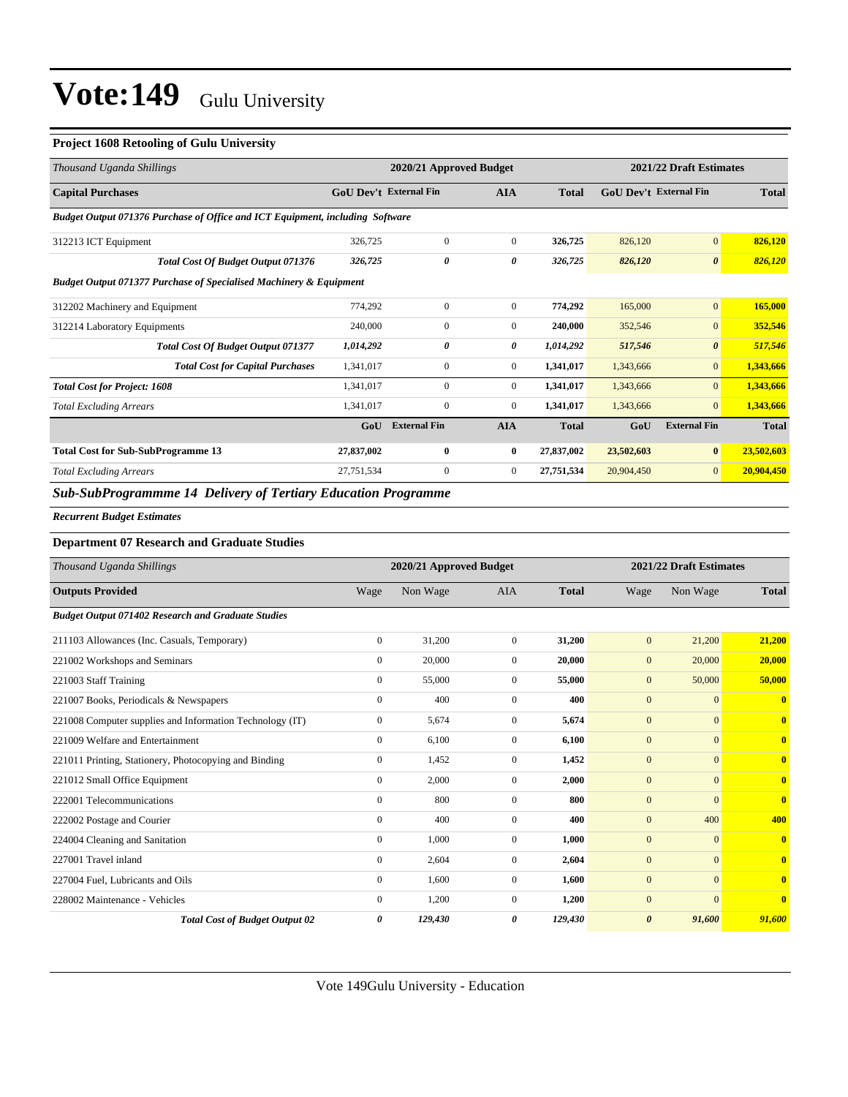#### **Project 1608 Retooling of Gulu University**

| Thousand Uganda Shillings                                                     | 2021/22 Draft Estimates<br>2020/21 Approved Budget |                     |                |              |                               |                       |              |
|-------------------------------------------------------------------------------|----------------------------------------------------|---------------------|----------------|--------------|-------------------------------|-----------------------|--------------|
| <b>Capital Purchases</b>                                                      | <b>GoU Dev't External Fin</b>                      |                     | <b>AIA</b>     | <b>Total</b> | <b>GoU Dev't External Fin</b> |                       | <b>Total</b> |
| Budget Output 071376 Purchase of Office and ICT Equipment, including Software |                                                    |                     |                |              |                               |                       |              |
| 312213 ICT Equipment                                                          | 326,725                                            | $\mathbf{0}$        | $\overline{0}$ | 326,725      | 826,120                       | $\mathbf{0}$          | 826,120      |
| Total Cost Of Budget Output 071376                                            | 326,725                                            | 0                   | 0              | 326,725      | 826,120                       | $\boldsymbol{\theta}$ | 826,120      |
| <b>Budget Output 071377 Purchase of Specialised Machinery &amp; Equipment</b> |                                                    |                     |                |              |                               |                       |              |
| 312202 Machinery and Equipment                                                | 774.292                                            | $\Omega$            | $\overline{0}$ | 774.292      | 165,000                       | $\mathbf{0}$          | 165,000      |
| 312214 Laboratory Equipments                                                  | 240,000                                            | $\overline{0}$      | $\overline{0}$ | 240,000      | 352,546                       | $\mathbf{0}$          | 352,546      |
| <b>Total Cost Of Budget Output 071377</b>                                     | 1,014,292                                          | 0                   | 0              | 1,014,292    | 517,546                       | $\boldsymbol{\theta}$ | 517,546      |
| <b>Total Cost for Capital Purchases</b>                                       | 1,341,017                                          | $\mathbf{0}$        | $\overline{0}$ | 1,341,017    | 1,343,666                     | $\overline{0}$        | 1,343,666    |
| <b>Total Cost for Project: 1608</b>                                           | 1,341,017                                          | $\overline{0}$      | $\overline{0}$ | 1,341,017    | 1,343,666                     | $\overline{0}$        | 1,343,666    |
| <b>Total Excluding Arrears</b>                                                | 1,341,017                                          | $\overline{0}$      | $\overline{0}$ | 1,341,017    | 1,343,666                     | $\overline{0}$        | 1,343,666    |
|                                                                               | GoU                                                | <b>External Fin</b> | <b>AIA</b>     | <b>Total</b> | GoU                           | <b>External Fin</b>   | <b>Total</b> |
| <b>Total Cost for Sub-SubProgramme 13</b>                                     | 27,837,002                                         | $\bf{0}$            | $\bf{0}$       | 27,837,002   | 23,502,603                    | $\bf{0}$              | 23,502,603   |
| <b>Total Excluding Arrears</b>                                                | 27,751,534                                         | $\mathbf{0}$        | $\overline{0}$ | 27,751,534   | 20,904,450                    | $\overline{0}$        | 20,904,450   |

#### *Sub-SubProgrammme 14 Delivery of Tertiary Education Programme*

#### *Recurrent Budget Estimates*

#### **Department 07 Research and Graduate Studies**

| Thousand Uganda Shillings                                 |                | 2020/21 Approved Budget |                |              |                       | 2021/22 Draft Estimates |              |  |
|-----------------------------------------------------------|----------------|-------------------------|----------------|--------------|-----------------------|-------------------------|--------------|--|
| <b>Outputs Provided</b>                                   | Wage           | Non Wage                | <b>AIA</b>     | <b>Total</b> | Wage                  | Non Wage                | <b>Total</b> |  |
| <b>Budget Output 071402 Research and Graduate Studies</b> |                |                         |                |              |                       |                         |              |  |
| 211103 Allowances (Inc. Casuals, Temporary)               | $\overline{0}$ | 31,200                  | $\mathbf{0}$   | 31,200       | $\mathbf{0}$          | 21,200                  | 21,200       |  |
| 221002 Workshops and Seminars                             | $\mathbf{0}$   | 20,000                  | $\Omega$       | 20,000       | $\mathbf{0}$          | 20,000                  | 20,000       |  |
| 221003 Staff Training                                     | $\overline{0}$ | 55,000                  | $\Omega$       | 55,000       | $\mathbf{0}$          | 50,000                  | 50,000       |  |
| 221007 Books, Periodicals & Newspapers                    | $\mathbf{0}$   | 400                     | $\Omega$       | 400          | $\mathbf{0}$          | $\mathbf{0}$            | $\mathbf{0}$ |  |
| 221008 Computer supplies and Information Technology (IT)  | $\mathbf{0}$   | 5,674                   | $\mathbf{0}$   | 5,674        | $\mathbf{0}$          | $\mathbf{0}$            | $\mathbf{0}$ |  |
| 221009 Welfare and Entertainment                          | $\mathbf{0}$   | 6,100                   | $\mathbf{0}$   | 6,100        | $\mathbf{0}$          | $\mathbf{0}$            | $\bf{0}$     |  |
| 221011 Printing, Stationery, Photocopying and Binding     | $\mathbf{0}$   | 1,452                   | $\Omega$       | 1,452        | $\mathbf{0}$          | $\Omega$                | $\mathbf{0}$ |  |
| 221012 Small Office Equipment                             | $\mathbf{0}$   | 2,000                   | $\Omega$       | 2,000        | $\mathbf{0}$          | $\Omega$                | $\mathbf{0}$ |  |
| 222001 Telecommunications                                 | $\mathbf{0}$   | 800                     | $\Omega$       | 800          | $\mathbf{0}$          | $\Omega$                | $\mathbf{0}$ |  |
| 222002 Postage and Courier                                | $\mathbf{0}$   | 400                     | $\overline{0}$ | 400          | $\mathbf{0}$          | 400                     | 400          |  |
| 224004 Cleaning and Sanitation                            | $\mathbf{0}$   | 1,000                   | $\mathbf{0}$   | 1,000        | $\mathbf{0}$          | $\mathbf{0}$            | $\bf{0}$     |  |
| 227001 Travel inland                                      | $\mathbf{0}$   | 2,604                   | 0              | 2,604        | $\mathbf{0}$          | $\mathbf{0}$            | $\mathbf{0}$ |  |
| 227004 Fuel, Lubricants and Oils                          | $\mathbf{0}$   | 1,600                   | $\Omega$       | 1.600        | $\mathbf{0}$          | $\mathbf{0}$            | $\mathbf{0}$ |  |
| 228002 Maintenance - Vehicles                             | $\Omega$       | 1,200                   | $\overline{0}$ | 1,200        | $\overline{0}$        | $\mathbf{0}$            | $\mathbf{0}$ |  |
| <b>Total Cost of Budget Output 02</b>                     | 0              | 129,430                 | 0              | 129,430      | $\boldsymbol{\theta}$ | 91,600                  | 91,600       |  |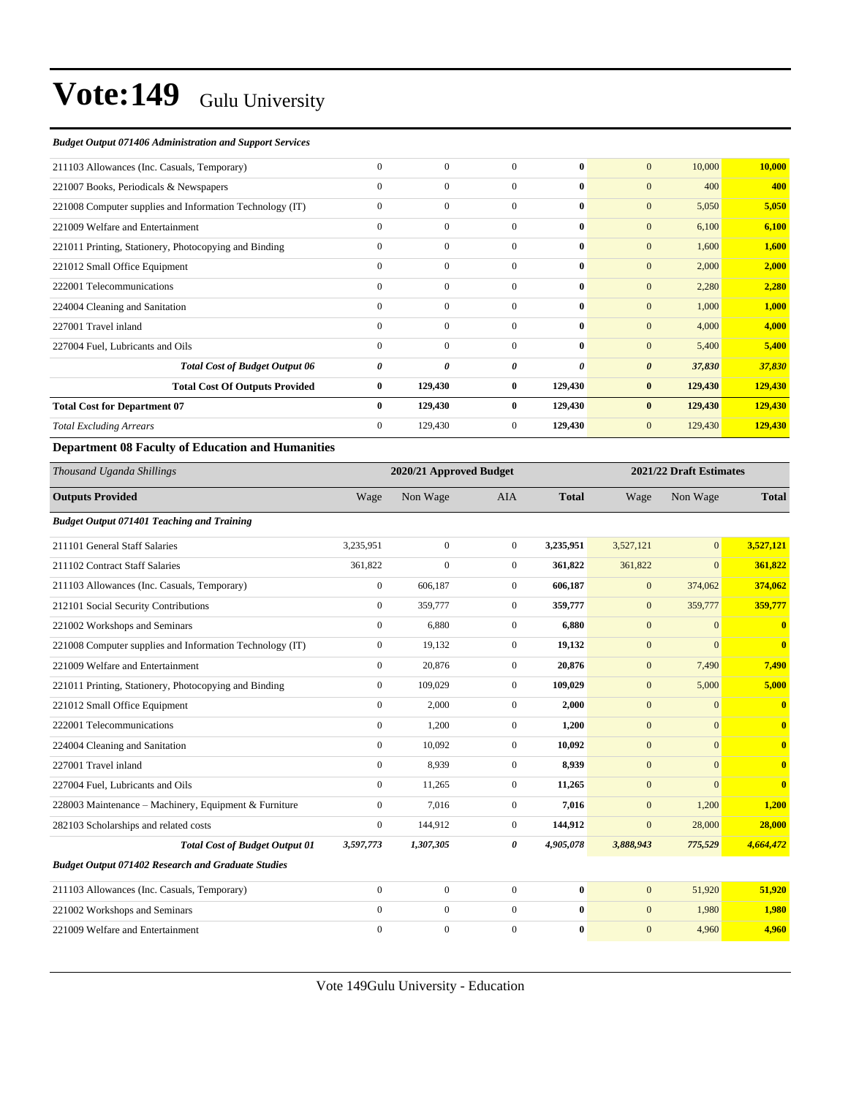#### *Budget Output 071406 Administration and Support Services*

| $\mathbf{0}$   | $\mathbf{0}$   | $\Omega$       | $\mathbf{0}$ | $\mathbf{0}$<br>10,000          | 10,000  |
|----------------|----------------|----------------|--------------|---------------------------------|---------|
| $\mathbf{0}$   | $\overline{0}$ | $\Omega$       | 0            | $\mathbf{0}$<br>400             | 400     |
| $\mathbf{0}$   | $\mathbf{0}$   | $\mathbf{0}$   | $\bf{0}$     | $\mathbf{0}$<br>5,050           | 5,050   |
| $\mathbf{0}$   | $\mathbf{0}$   | $\overline{0}$ | $\bf{0}$     | $\mathbf{0}$<br>6,100           | 6,100   |
| $\mathbf{0}$   | $\mathbf{0}$   | $\Omega$       | $\bf{0}$     | $\mathbf{0}$<br>1,600           | 1,600   |
| $\mathbf{0}$   | $\mathbf{0}$   | $\Omega$       | $\mathbf{0}$ | $\mathbf{0}$<br>2,000           | 2,000   |
| $\mathbf{0}$   | $\mathbf{0}$   | $\mathbf{0}$   | $\mathbf{0}$ | $\mathbf{0}$<br>2,280           | 2,280   |
| $\mathbf{0}$   | $\mathbf{0}$   | $\mathbf{0}$   | $\bf{0}$     | $\mathbf{0}$<br>1,000           | 1,000   |
| $\Omega$       | $\mathbf{0}$   | $\Omega$       | $\bf{0}$     | $\mathbf{0}$<br>4,000           | 4,000   |
| $\mathbf{0}$   | $\Omega$       | $\Omega$       | $\bf{0}$     | $\mathbf{0}$<br>5,400           | 5,400   |
| 0              | 0              | 0              | 0            | $\boldsymbol{\theta}$<br>37,830 | 37,830  |
| $\bf{0}$       | 129,430        | $\bf{0}$       | 129,430      | $\bf{0}$<br>129,430             | 129,430 |
| $\bf{0}$       | 129,430        | $\bf{0}$       | 129,430      | $\bf{0}$<br>129,430             | 129,430 |
| $\overline{0}$ | 129,430        | $\mathbf{0}$   | 129,430      | $\mathbf{0}$<br>129,430         | 129,430 |
|                |                |                |              |                                 |         |

#### **Department 08 Faculty of Education and Humanities**

| Thousand Uganda Shillings                                 |                  | 2020/21 Approved Budget |                |              |              | 2021/22 Draft Estimates |                         |
|-----------------------------------------------------------|------------------|-------------------------|----------------|--------------|--------------|-------------------------|-------------------------|
| <b>Outputs Provided</b>                                   | Wage             | Non Wage                | <b>AIA</b>     | <b>Total</b> | Wage         | Non Wage                | <b>Total</b>            |
| <b>Budget Output 071401 Teaching and Training</b>         |                  |                         |                |              |              |                         |                         |
| 211101 General Staff Salaries                             | 3,235,951        | $\mathbf{0}$            | $\overline{0}$ | 3,235,951    | 3,527,121    | $\mathbf{0}$            | 3,527,121               |
| 211102 Contract Staff Salaries                            | 361,822          | $\overline{0}$          | $\overline{0}$ | 361,822      | 361,822      | $\mathbf{0}$            | 361,822                 |
| 211103 Allowances (Inc. Casuals, Temporary)               | $\mathbf{0}$     | 606,187                 | $\overline{0}$ | 606,187      | $\mathbf{0}$ | 374,062                 | 374,062                 |
| 212101 Social Security Contributions                      | $\boldsymbol{0}$ | 359,777                 | $\overline{0}$ | 359,777      | $\mathbf{0}$ | 359,777                 | 359,777                 |
| 221002 Workshops and Seminars                             | $\mathbf{0}$     | 6,880                   | $\overline{0}$ | 6,880        | $\mathbf{0}$ | $\Omega$                | $\mathbf{0}$            |
| 221008 Computer supplies and Information Technology (IT)  | $\mathbf{0}$     | 19,132                  | $\overline{0}$ | 19,132       | $\mathbf{0}$ | $\overline{0}$          | $\bf{0}$                |
| 221009 Welfare and Entertainment                          | $\mathbf{0}$     | 20,876                  | $\overline{0}$ | 20,876       | $\mathbf{0}$ | 7,490                   | 7,490                   |
| 221011 Printing, Stationery, Photocopying and Binding     | $\mathbf{0}$     | 109.029                 | $\overline{0}$ | 109,029      | $\mathbf{0}$ | 5,000                   | 5,000                   |
| 221012 Small Office Equipment                             | $\mathbf{0}$     | 2,000                   | $\overline{0}$ | 2,000        | $\mathbf{0}$ | $\mathbf{0}$            | $\bf{0}$                |
| 222001 Telecommunications                                 | $\mathbf{0}$     | 1,200                   | $\overline{0}$ | 1,200        | $\mathbf{0}$ | $\Omega$                | $\bf{0}$                |
| 224004 Cleaning and Sanitation                            | $\mathbf{0}$     | 10,092                  | $\overline{0}$ | 10,092       | $\mathbf{0}$ | $\mathbf{0}$            | $\bf{0}$                |
| 227001 Travel inland                                      | $\mathbf{0}$     | 8.939                   | $\overline{0}$ | 8,939        | $\mathbf{0}$ | $\mathbf{0}$            | $\overline{\mathbf{0}}$ |
| 227004 Fuel. Lubricants and Oils                          | $\mathbf{0}$     | 11,265                  | $\overline{0}$ | 11,265       | $\mathbf{0}$ | $\Omega$                | $\overline{0}$          |
| 228003 Maintenance - Machinery, Equipment & Furniture     | $\mathbf{0}$     | 7,016                   | $\overline{0}$ | 7,016        | $\mathbf{0}$ | 1,200                   | 1,200                   |
| 282103 Scholarships and related costs                     | $\mathbf{0}$     | 144,912                 | $\overline{0}$ | 144,912      | $\mathbf{0}$ | 28,000                  | 28,000                  |
| <b>Total Cost of Budget Output 01</b>                     | 3,597,773        | 1,307,305               | 0              | 4,905,078    | 3,888,943    | 775,529                 | 4,664,472               |
| <b>Budget Output 071402 Research and Graduate Studies</b> |                  |                         |                |              |              |                         |                         |
| 211103 Allowances (Inc. Casuals, Temporary)               | $\mathbf{0}$     | $\mathbf{0}$            | $\overline{0}$ | $\bf{0}$     | $\mathbf{0}$ | 51.920                  | 51,920                  |
| 221002 Workshops and Seminars                             | $\mathbf{0}$     | $\mathbf{0}$            | $\overline{0}$ | $\bf{0}$     | $\mathbf{0}$ | 1,980                   | 1,980                   |
| 221009 Welfare and Entertainment                          | $\mathbf{0}$     | $\overline{0}$          | $\mathbf{0}$   | $\bf{0}$     | $\mathbf{0}$ | 4,960                   | 4,960                   |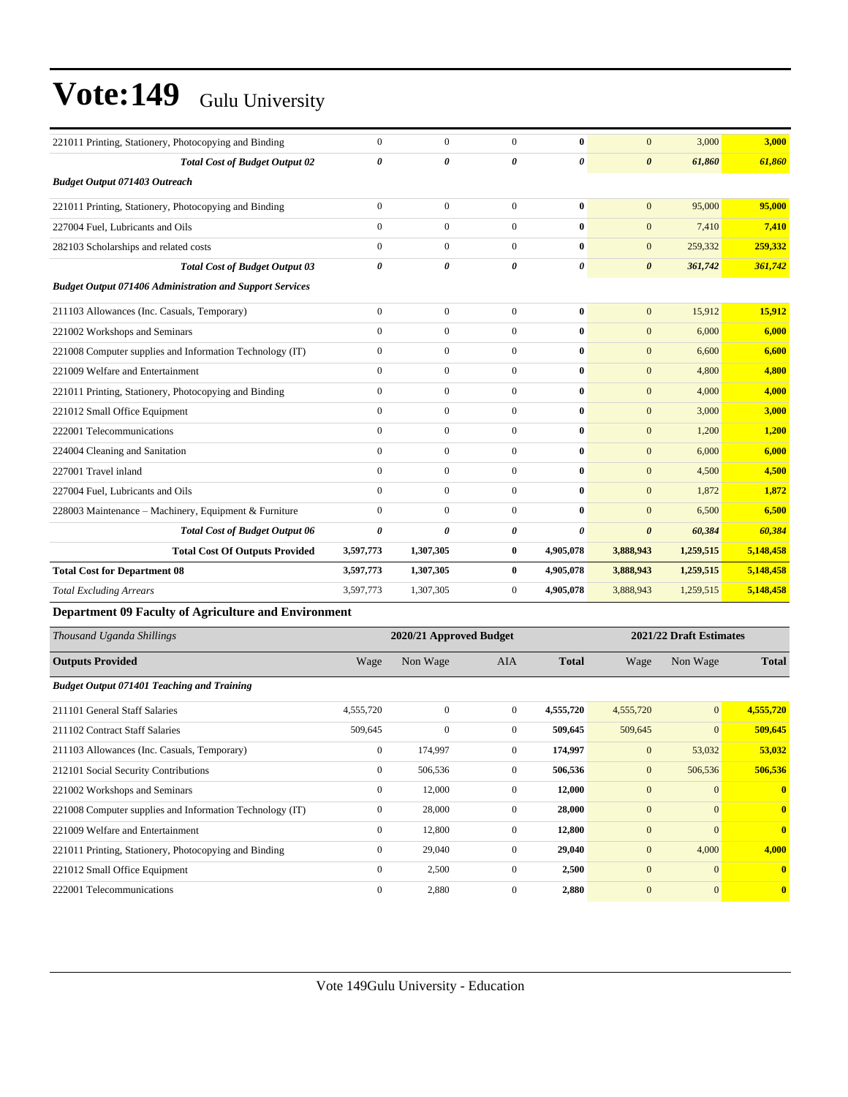| 221011 Printing, Stationery, Photocopying and Binding           | $\mathbf{0}$   | $\mathbf{0}$     | $\Omega$       | $\mathbf{0}$          | $\mathbf{0}$          | 3,000     | 3.000     |
|-----------------------------------------------------------------|----------------|------------------|----------------|-----------------------|-----------------------|-----------|-----------|
|                                                                 |                |                  |                |                       |                       |           |           |
| <b>Total Cost of Budget Output 02</b>                           | 0              | 0                | 0              | $\boldsymbol{\theta}$ | $\boldsymbol{\theta}$ | 61,860    | 61,860    |
| <b>Budget Output 071403 Outreach</b>                            |                |                  |                |                       |                       |           |           |
| 221011 Printing, Stationery, Photocopying and Binding           | $\overline{0}$ | $\mathbf{0}$     | $\Omega$       | $\mathbf{0}$          | $\mathbf{0}$          | 95,000    | 95,000    |
| 227004 Fuel, Lubricants and Oils                                | $\theta$       | $\mathbf{0}$     | $\overline{0}$ | $\mathbf{0}$          | $\mathbf{0}$          | 7,410     | 7,410     |
| 282103 Scholarships and related costs                           | $\theta$       | $\mathbf{0}$     | $\Omega$       | $\mathbf{0}$          | $\mathbf{0}$          | 259,332   | 259,332   |
| <b>Total Cost of Budget Output 03</b>                           | $\theta$       | 0                | $\theta$       | $\boldsymbol{\theta}$ | $\boldsymbol{\theta}$ | 361,742   | 361,742   |
| <b>Budget Output 071406 Administration and Support Services</b> |                |                  |                |                       |                       |           |           |
| 211103 Allowances (Inc. Casuals, Temporary)                     | $\overline{0}$ | $\overline{0}$   | $\Omega$       | $\mathbf{0}$          | $\mathbf{0}$          | 15,912    | 15,912    |
| 221002 Workshops and Seminars                                   | $\theta$       | $\boldsymbol{0}$ | $\overline{0}$ | $\bf{0}$              | $\mathbf{0}$          | 6,000     | 6,000     |
| 221008 Computer supplies and Information Technology (IT)        | $\overline{0}$ | $\overline{0}$   | $\overline{0}$ | $\bf{0}$              | $\mathbf{0}$          | 6,600     | 6,600     |
| 221009 Welfare and Entertainment                                | $\overline{0}$ | $\mathbf{0}$     | $\overline{0}$ | $\mathbf{0}$          | $\mathbf{0}$          | 4,800     | 4,800     |
| 221011 Printing, Stationery, Photocopying and Binding           | $\overline{0}$ | $\boldsymbol{0}$ | $\overline{0}$ | $\mathbf{0}$          | $\mathbf{0}$          | 4,000     | 4,000     |
| 221012 Small Office Equipment                                   | $\theta$       | $\mathbf{0}$     | $\overline{0}$ | $\mathbf{0}$          | $\mathbf{0}$          | 3,000     | 3,000     |
| 222001 Telecommunications                                       | $\overline{0}$ | $\boldsymbol{0}$ | $\overline{0}$ | $\mathbf{0}$          | $\mathbf{0}$          | 1,200     | 1,200     |
| 224004 Cleaning and Sanitation                                  | $\mathbf{0}$   | $\mathbf{0}$     | $\overline{0}$ | $\mathbf{0}$          | $\mathbf{0}$          | 6,000     | 6,000     |
| 227001 Travel inland                                            | $\theta$       | $\mathbf{0}$     | $\overline{0}$ | $\mathbf{0}$          | $\mathbf{0}$          | 4,500     | 4,500     |
| 227004 Fuel, Lubricants and Oils                                | $\Omega$       | $\mathbf{0}$     | $\overline{0}$ | $\mathbf{0}$          | $\mathbf{0}$          | 1,872     | 1.872     |
| 228003 Maintenance - Machinery, Equipment & Furniture           | $\theta$       | $\boldsymbol{0}$ | $\overline{0}$ | $\mathbf{0}$          | $\mathbf{0}$          | 6,500     | 6,500     |
| <b>Total Cost of Budget Output 06</b>                           | 0              | $\theta$         | 0              | 0                     | $\boldsymbol{\theta}$ | 60,384    | 60,384    |
| <b>Total Cost Of Outputs Provided</b>                           | 3,597,773      | 1,307,305        | $\bf{0}$       | 4,905,078             | 3,888,943             | 1,259,515 | 5,148,458 |
| <b>Total Cost for Department 08</b>                             | 3,597,773      | 1,307,305        | $\bf{0}$       | 4,905,078             | 3,888,943             | 1,259,515 | 5,148,458 |
| <b>Total Excluding Arrears</b>                                  | 3,597,773      | 1,307,305        | $\overline{0}$ | 4,905,078             | 3,888,943             | 1,259,515 | 5,148,458 |

**Department 09 Faculty of Agriculture and Environment**

| Thousand Uganda Shillings                                |                | 2020/21 Approved Budget |                | 2021/22 Draft Estimates |                |                |              |
|----------------------------------------------------------|----------------|-------------------------|----------------|-------------------------|----------------|----------------|--------------|
| <b>Outputs Provided</b>                                  | Wage           | Non Wage                | <b>AIA</b>     | <b>Total</b>            | Wage           | Non Wage       | <b>Total</b> |
| <b>Budget Output 071401 Teaching and Training</b>        |                |                         |                |                         |                |                |              |
| 211101 General Staff Salaries                            | 4,555,720      | $\mathbf{0}$            | $\mathbf{0}$   | 4,555,720               | 4,555,720      | $\mathbf{0}$   | 4,555,720    |
| 211102 Contract Staff Salaries                           | 509,645        | $\overline{0}$          | $\overline{0}$ | 509,645                 | 509,645        | $\overline{0}$ | 509,645      |
| 211103 Allowances (Inc. Casuals, Temporary)              | $\mathbf{0}$   | 174,997                 | $\mathbf{0}$   | 174,997                 | $\mathbf{0}$   | 53,032         | 53,032       |
| 212101 Social Security Contributions                     | $\mathbf{0}$   | 506,536                 | $\overline{0}$ | 506,536                 | $\mathbf{0}$   | 506,536        | 506,536      |
| 221002 Workshops and Seminars                            | $\mathbf{0}$   | 12,000                  | $\mathbf{0}$   | 12,000                  | $\mathbf{0}$   | $\mathbf{0}$   | $\mathbf{0}$ |
| 221008 Computer supplies and Information Technology (IT) | $\mathbf{0}$   | 28,000                  | $\mathbf{0}$   | 28,000                  | $\overline{0}$ | $\mathbf{0}$   | $\mathbf{0}$ |
| 221009 Welfare and Entertainment                         | $\mathbf{0}$   | 12,800                  | $\mathbf{0}$   | 12,800                  | $\mathbf{0}$   | $\mathbf{0}$   | $\mathbf{0}$ |
| 221011 Printing, Stationery, Photocopying and Binding    | $\overline{0}$ | 29,040                  | $\overline{0}$ | 29,040                  | $\mathbf{0}$   | 4,000          | 4,000        |
| 221012 Small Office Equipment                            | $\mathbf{0}$   | 2,500                   | $\mathbf{0}$   | 2,500                   | $\mathbf{0}$   | $\Omega$       | $\mathbf{0}$ |
| 222001 Telecommunications                                | $\mathbf{0}$   | 2,880                   | $\mathbf{0}$   | 2,880                   | $\overline{0}$ | $\mathbf{0}$   | $\bf{0}$     |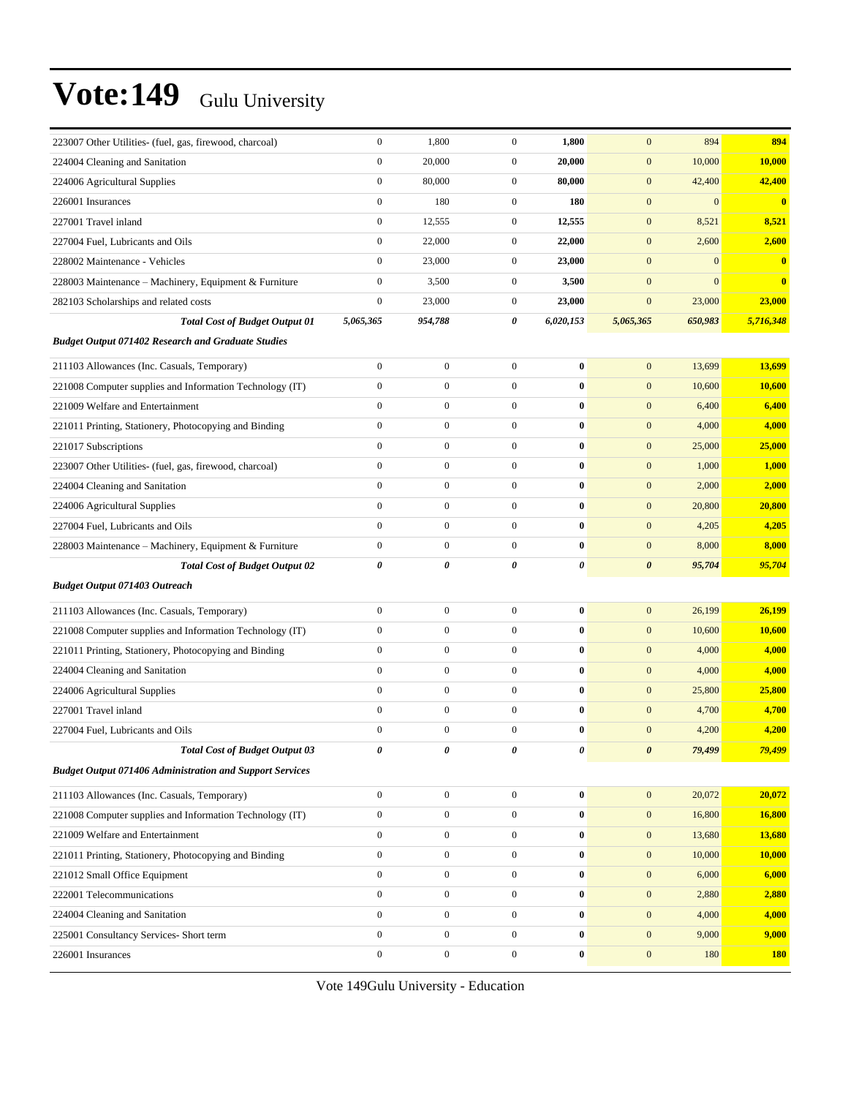| 223007 Other Utilities- (fuel, gas, firewood, charcoal)         | $\boldsymbol{0}$      | 1,800            | $\boldsymbol{0}$ | 1,800     | $\mathbf{0}$          | 894          | 894        |
|-----------------------------------------------------------------|-----------------------|------------------|------------------|-----------|-----------------------|--------------|------------|
| 224004 Cleaning and Sanitation                                  | $\boldsymbol{0}$      | 20,000           | $\boldsymbol{0}$ | 20,000    | $\mathbf{0}$          | 10,000       | 10,000     |
| 224006 Agricultural Supplies                                    | $\boldsymbol{0}$      | 80,000           | $\boldsymbol{0}$ | 80,000    | $\mathbf{0}$          | 42,400       | 42,400     |
| 226001 Insurances                                               | $\mathbf{0}$          | 180              | $\overline{0}$   | 180       | $\boldsymbol{0}$      | $\mathbf{0}$ | $\bf{0}$   |
| 227001 Travel inland                                            | $\boldsymbol{0}$      | 12,555           | $\mathbf{0}$     | 12,555    | $\mathbf{0}$          | 8,521        | 8,521      |
| 227004 Fuel, Lubricants and Oils                                | $\boldsymbol{0}$      | 22,000           | $\boldsymbol{0}$ | 22,000    | $\mathbf{0}$          | 2,600        | 2,600      |
| 228002 Maintenance - Vehicles                                   | $\boldsymbol{0}$      | 23,000           | $\boldsymbol{0}$ | 23,000    | $\mathbf{0}$          | $\mathbf{0}$ | $\bf{0}$   |
| 228003 Maintenance - Machinery, Equipment & Furniture           | $\boldsymbol{0}$      | 3,500            | $\mathbf{0}$     | 3,500     | $\mathbf{0}$          | $\mathbf{0}$ | $\bf{0}$   |
| 282103 Scholarships and related costs                           | $\boldsymbol{0}$      | 23,000           | $\mathbf{0}$     | 23,000    | $\mathbf{0}$          | 23,000       | 23,000     |
| <b>Total Cost of Budget Output 01</b>                           | 5,065,365             | 954,788          | 0                | 6,020,153 | 5,065,365             | 650,983      | 5,716,348  |
| <b>Budget Output 071402 Research and Graduate Studies</b>       |                       |                  |                  |           |                       |              |            |
| 211103 Allowances (Inc. Casuals, Temporary)                     | $\boldsymbol{0}$      | $\boldsymbol{0}$ | $\boldsymbol{0}$ | $\bf{0}$  | $\boldsymbol{0}$      | 13,699       | 13,699     |
| 221008 Computer supplies and Information Technology (IT)        | $\boldsymbol{0}$      | $\boldsymbol{0}$ | $\boldsymbol{0}$ | $\bf{0}$  | $\boldsymbol{0}$      | 10,600       | 10,600     |
| 221009 Welfare and Entertainment                                | $\boldsymbol{0}$      | $\boldsymbol{0}$ | $\mathbf{0}$     | $\bf{0}$  | $\mathbf{0}$          | 6,400        | 6,400      |
| 221011 Printing, Stationery, Photocopying and Binding           | $\boldsymbol{0}$      | $\boldsymbol{0}$ | $\boldsymbol{0}$ | $\bf{0}$  | $\mathbf{0}$          | 4,000        | 4,000      |
| 221017 Subscriptions                                            | $\boldsymbol{0}$      | $\boldsymbol{0}$ | $\boldsymbol{0}$ | $\bf{0}$  | $\mathbf{0}$          | 25,000       | 25,000     |
| 223007 Other Utilities- (fuel, gas, firewood, charcoal)         | $\boldsymbol{0}$      | $\boldsymbol{0}$ | $\boldsymbol{0}$ | $\bf{0}$  | $\mathbf{0}$          | 1,000        | 1,000      |
| 224004 Cleaning and Sanitation                                  | $\mathbf{0}$          | $\boldsymbol{0}$ | $\boldsymbol{0}$ | $\bf{0}$  | $\boldsymbol{0}$      | 2,000        | 2,000      |
| 224006 Agricultural Supplies                                    | $\mathbf{0}$          | $\boldsymbol{0}$ | $\mathbf{0}$     | $\bf{0}$  | $\mathbf{0}$          | 20,800       | 20,800     |
| 227004 Fuel, Lubricants and Oils                                | $\mathbf{0}$          | $\boldsymbol{0}$ | $\boldsymbol{0}$ | $\bf{0}$  | $\mathbf{0}$          | 4,205        | 4,205      |
| 228003 Maintenance - Machinery, Equipment & Furniture           | $\boldsymbol{0}$      | $\boldsymbol{0}$ | $\overline{0}$   | $\bf{0}$  | $\mathbf{0}$          | 8,000        | 8,000      |
| <b>Total Cost of Budget Output 02</b>                           | $\boldsymbol{\theta}$ | 0                | 0                | 0         | $\boldsymbol{\theta}$ | 95,704       | 95,704     |
| <b>Budget Output 071403 Outreach</b>                            |                       |                  |                  |           |                       |              |            |
| 211103 Allowances (Inc. Casuals, Temporary)                     | $\boldsymbol{0}$      | $\boldsymbol{0}$ | $\boldsymbol{0}$ | $\pmb{0}$ | $\mathbf{0}$          | 26,199       | 26,199     |
| 221008 Computer supplies and Information Technology (IT)        | $\boldsymbol{0}$      | $\boldsymbol{0}$ | $\overline{0}$   | $\bf{0}$  | $\mathbf{0}$          | 10,600       | 10,600     |
| 221011 Printing, Stationery, Photocopying and Binding           | $\mathbf{0}$          | $\boldsymbol{0}$ | $\boldsymbol{0}$ | $\bf{0}$  | $\boldsymbol{0}$      | 4,000        | 4,000      |
| 224004 Cleaning and Sanitation                                  | $\mathbf{0}$          | $\boldsymbol{0}$ | $\overline{0}$   | $\bf{0}$  | $\mathbf{0}$          | 4,000        | 4,000      |
| 224006 Agricultural Supplies                                    | $\mathbf{0}$          | $\boldsymbol{0}$ | $\boldsymbol{0}$ | $\bf{0}$  | $\mathbf{0}$          | 25,800       | 25,800     |
| 227001 Travel inland                                            | $\mathbf{0}$          | $\overline{0}$   | $\overline{0}$   | $\bf{0}$  | $\boldsymbol{0}$      | 4,700        | 4,700      |
| 227004 Fuel, Lubricants and Oils                                | $\boldsymbol{0}$      | $\boldsymbol{0}$ | $\boldsymbol{0}$ | $\bf{0}$  | $\mathbf{0}$          | 4,200        | 4,200      |
| <b>Total Cost of Budget Output 03</b>                           | $\pmb{o}$             | 0                | 0                | 0         | $\boldsymbol{\theta}$ | 79,499       | 79,499     |
| <b>Budget Output 071406 Administration and Support Services</b> |                       |                  |                  |           |                       |              |            |
| 211103 Allowances (Inc. Casuals, Temporary)                     | $\mathbf{0}$          | $\mathbf 0$      | $\boldsymbol{0}$ | $\bf{0}$  | $\boldsymbol{0}$      | 20,072       | 20,072     |
| 221008 Computer supplies and Information Technology (IT)        | $\boldsymbol{0}$      | $\boldsymbol{0}$ | $\overline{0}$   | $\bf{0}$  | $\mathbf{0}$          | 16,800       | 16,800     |
| 221009 Welfare and Entertainment                                | $\boldsymbol{0}$      | $\boldsymbol{0}$ | $\boldsymbol{0}$ | $\bf{0}$  | $\boldsymbol{0}$      | 13,680       | 13,680     |
| 221011 Printing, Stationery, Photocopying and Binding           | $\boldsymbol{0}$      | $\boldsymbol{0}$ | $\boldsymbol{0}$ | $\bf{0}$  | $\mathbf{0}$          | 10,000       | 10,000     |
| 221012 Small Office Equipment                                   | $\boldsymbol{0}$      | $\boldsymbol{0}$ | $\boldsymbol{0}$ | $\bf{0}$  | $\boldsymbol{0}$      | 6,000        | 6,000      |
| 222001 Telecommunications                                       | $\boldsymbol{0}$      | $\mathbf{0}$     | $\boldsymbol{0}$ | $\bf{0}$  | $\boldsymbol{0}$      | 2,880        | 2,880      |
| 224004 Cleaning and Sanitation                                  | $\boldsymbol{0}$      | $\boldsymbol{0}$ | $\overline{0}$   | $\bf{0}$  | $\mathbf{0}$          | 4,000        | 4,000      |
| 225001 Consultancy Services- Short term                         | $\boldsymbol{0}$      | $\mathbf{0}$     | $\boldsymbol{0}$ | $\bf{0}$  | $\boldsymbol{0}$      | 9,000        | 9,000      |
| 226001 Insurances                                               | $\boldsymbol{0}$      | $\boldsymbol{0}$ | $\boldsymbol{0}$ | $\bf{0}$  | $\boldsymbol{0}$      | 180          | <b>180</b> |
|                                                                 |                       |                  |                  |           |                       |              |            |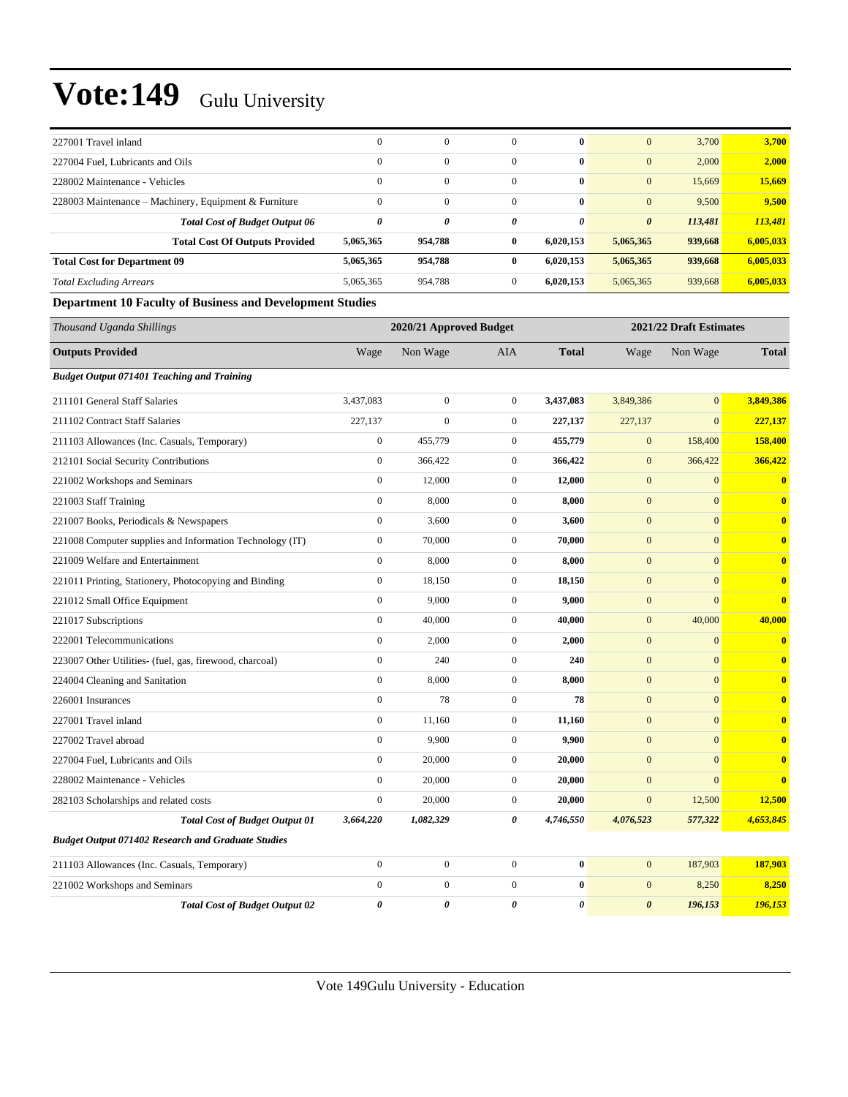| 227001 Travel inland                                             | $\mathbf{0}$          | $\mathbf{0}$            | $\mathbf{0}$     | $\bf{0}$              | $\mathbf{0}$          | 3,700                   | 3,700                   |
|------------------------------------------------------------------|-----------------------|-------------------------|------------------|-----------------------|-----------------------|-------------------------|-------------------------|
| 227004 Fuel, Lubricants and Oils                                 | $\boldsymbol{0}$      | $\mathbf{0}$            | $\mathbf{0}$     | $\bf{0}$              | $\mathbf{0}$          | 2,000                   | 2,000                   |
| 228002 Maintenance - Vehicles                                    | $\mathbf{0}$          | $\boldsymbol{0}$        | $\mathbf{0}$     | $\bf{0}$              | $\mathbf{0}$          | 15,669                  | 15,669                  |
| 228003 Maintenance - Machinery, Equipment & Furniture            | $\mathbf{0}$          | $\mathbf{0}$            | $\overline{0}$   | $\bf{0}$              | $\mathbf{0}$          | 9,500                   | 9,500                   |
| <b>Total Cost of Budget Output 06</b>                            | $\boldsymbol{\theta}$ | 0                       | 0                | $\boldsymbol{\theta}$ | $\boldsymbol{\theta}$ | 113,481                 | 113,481                 |
| <b>Total Cost Of Outputs Provided</b>                            | 5,065,365             | 954,788                 | $\bf{0}$         | 6,020,153             | 5,065,365             | 939,668                 | 6,005,033               |
| <b>Total Cost for Department 09</b>                              | 5,065,365             | 954,788                 | $\bf{0}$         | 6,020,153             | 5,065,365             | 939,668                 | 6,005,033               |
| <b>Total Excluding Arrears</b>                                   | 5,065,365             | 954,788                 | $\mathbf{0}$     | 6,020,153             | 5,065,365             | 939,668                 | 6,005,033               |
| <b>Department 10 Faculty of Business and Development Studies</b> |                       |                         |                  |                       |                       |                         |                         |
| Thousand Uganda Shillings                                        |                       | 2020/21 Approved Budget |                  |                       |                       | 2021/22 Draft Estimates |                         |
| <b>Outputs Provided</b>                                          | Wage                  | Non Wage                | AIA              | <b>Total</b>          | Wage                  | Non Wage                | <b>Total</b>            |
| <b>Budget Output 071401 Teaching and Training</b>                |                       |                         |                  |                       |                       |                         |                         |
| 211101 General Staff Salaries                                    | 3,437,083             | $\mathbf{0}$            | $\mathbf{0}$     | 3,437,083             | 3,849,386             | $\mathbf{0}$            | 3,849,386               |
| 211102 Contract Staff Salaries                                   | 227,137               | $\overline{0}$          | $\mathbf{0}$     | 227,137               | 227,137               | $\mathbf{0}$            | 227,137                 |
| 211103 Allowances (Inc. Casuals, Temporary)                      | $\boldsymbol{0}$      | 455,779                 | $\mathbf{0}$     | 455,779               | $\mathbf{0}$          | 158,400                 | 158,400                 |
| 212101 Social Security Contributions                             | $\boldsymbol{0}$      | 366,422                 | $\mathbf{0}$     | 366,422               | $\mathbf{0}$          | 366,422                 | 366,422                 |
| 221002 Workshops and Seminars                                    | $\boldsymbol{0}$      | 12,000                  | $\mathbf{0}$     | 12,000                | $\mathbf{0}$          | $\boldsymbol{0}$        | $\bf{0}$                |
| 221003 Staff Training                                            | $\boldsymbol{0}$      | 8,000                   | $\mathbf{0}$     | 8,000                 | $\mathbf{0}$          | $\mathbf{0}$            | $\bf{0}$                |
| 221007 Books, Periodicals & Newspapers                           | $\boldsymbol{0}$      | 3,600                   | $\boldsymbol{0}$ | 3,600                 | $\mathbf{0}$          | $\mathbf{0}$            | $\bf{0}$                |
| 221008 Computer supplies and Information Technology (IT)         | $\boldsymbol{0}$      | 70,000                  | $\overline{0}$   | 70,000                | $\mathbf{0}$          | $\mathbf{0}$            | $\bf{0}$                |
| 221009 Welfare and Entertainment                                 | $\boldsymbol{0}$      | 8,000                   | $\mathbf{0}$     | 8,000                 | $\mathbf{0}$          | $\mathbf{0}$            | $\overline{\mathbf{0}}$ |
| 221011 Printing, Stationery, Photocopying and Binding            | $\boldsymbol{0}$      | 18,150                  | $\mathbf{0}$     | 18,150                | $\mathbf{0}$          | $\mathbf{0}$            | $\bf{0}$                |
| 221012 Small Office Equipment                                    | $\boldsymbol{0}$      | 9,000                   | $\mathbf{0}$     | 9,000                 | $\mathbf{0}$          | $\mathbf{0}$            | $\overline{\mathbf{0}}$ |
| 221017 Subscriptions                                             | $\boldsymbol{0}$      | 40,000                  | $\boldsymbol{0}$ | 40,000                | $\mathbf{0}$          | 40,000                  | 40,000                  |
| 222001 Telecommunications                                        | $\boldsymbol{0}$      | 2,000                   | $\overline{0}$   | 2,000                 | $\mathbf{0}$          | $\mathbf{0}$            | $\bf{0}$                |
| 223007 Other Utilities- (fuel, gas, firewood, charcoal)          | $\boldsymbol{0}$      | 240                     | $\mathbf{0}$     | 240                   | $\mathbf{0}$          | $\mathbf{0}$            | $\bf{0}$                |
| 224004 Cleaning and Sanitation                                   | $\boldsymbol{0}$      | 8,000                   | $\mathbf{0}$     | 8,000                 | $\mathbf{0}$          | $\mathbf{0}$            | $\bf{0}$                |
| 226001 Insurances                                                | $\boldsymbol{0}$      | 78                      | $\mathbf{0}$     | 78                    | $\mathbf{0}$          | $\mathbf{0}$            | $\bf{0}$                |
| 227001 Travel inland                                             | $\boldsymbol{0}$      | 11,160                  | $\boldsymbol{0}$ | 11,160                | $\mathbf{0}$          | $\mathbf{0}$            | $\bf{0}$                |
| 227002 Travel abroad                                             | $\boldsymbol{0}$      | 9,900                   | $\mathbf{0}$     | 9,900                 | $\mathbf{0}$          | $\mathbf{0}$            | $\bf{0}$                |
| 227004 Fuel, Lubricants and Oils                                 | $\boldsymbol{0}$      | 20,000                  | $\boldsymbol{0}$ | 20,000                | $\boldsymbol{0}$      | $\mathbf{0}$            | $\bf{0}$                |
| 228002 Maintenance - Vehicles                                    | $\boldsymbol{0}$      | 20,000                  | $\overline{0}$   | 20,000                | $\boldsymbol{0}$      | $\mathbf{0}$            | $\bf{0}$                |
| 282103 Scholarships and related costs                            | $\boldsymbol{0}$      | 20,000                  | $\boldsymbol{0}$ | 20,000                | $\boldsymbol{0}$      | 12,500                  | 12,500                  |
| <b>Total Cost of Budget Output 01</b>                            | 3,664,220             | 1,082,329               | 0                | 4,746,550             | 4,076,523             | 577,322                 | 4,653,845               |
| <b>Budget Output 071402 Research and Graduate Studies</b>        |                       |                         |                  |                       |                       |                         |                         |
| 211103 Allowances (Inc. Casuals, Temporary)                      | $\boldsymbol{0}$      | $\boldsymbol{0}$        | $\mathbf{0}$     | $\bf{0}$              | $\boldsymbol{0}$      | 187,903                 | 187,903                 |
| 221002 Workshops and Seminars                                    | $\boldsymbol{0}$      | $\boldsymbol{0}$        | $\boldsymbol{0}$ | $\bf{0}$              | $\mathbf{0}$          | 8,250                   | 8,250                   |
| <b>Total Cost of Budget Output 02</b>                            | 0                     | 0                       | 0                | 0                     | $\boldsymbol{\theta}$ | 196,153                 | 196,153                 |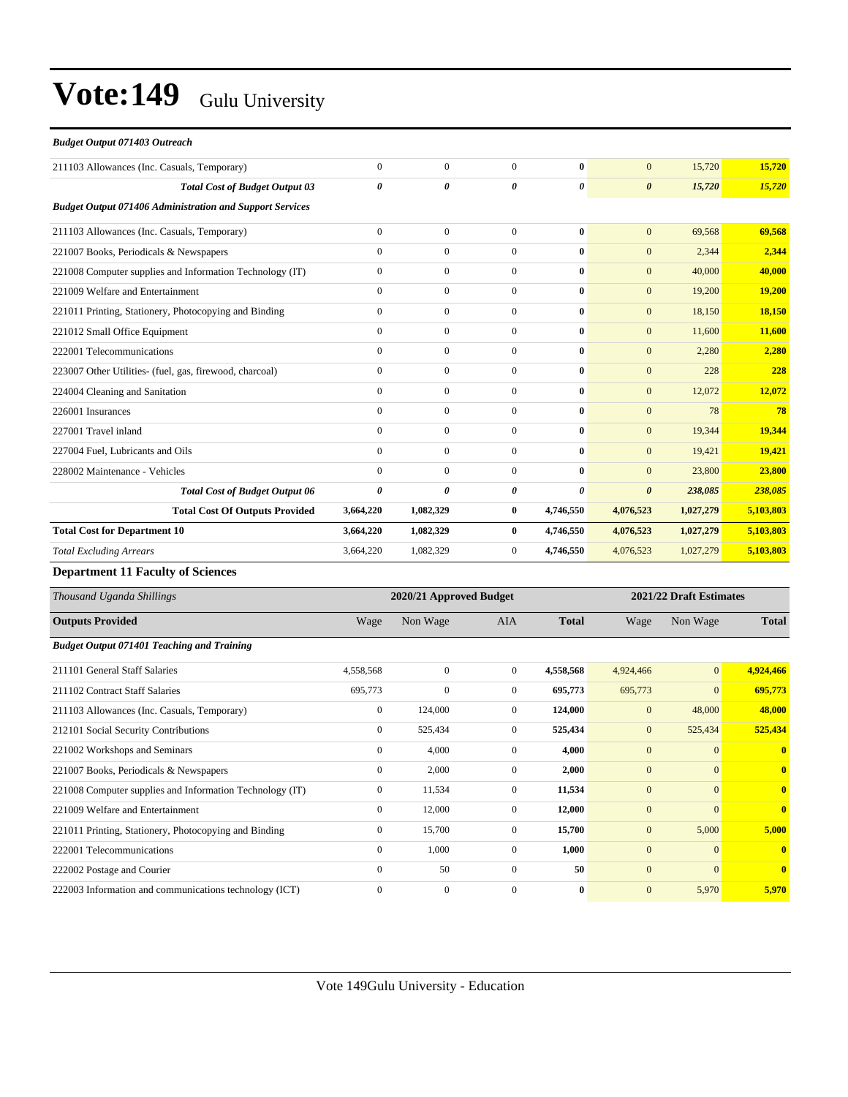| <b>Budget Output 071403 Outreach</b>                            |                |                  |              |           |                       |           |           |
|-----------------------------------------------------------------|----------------|------------------|--------------|-----------|-----------------------|-----------|-----------|
| 211103 Allowances (Inc. Casuals, Temporary)                     | $\mathbf{0}$   | $\overline{0}$   | $\Omega$     | $\bf{0}$  | $\overline{0}$        | 15,720    | 15,720    |
| <b>Total Cost of Budget Output 03</b>                           | 0              | $\theta$         | 0            | 0         | $\boldsymbol{\theta}$ | 15,720    | 15,720    |
| <b>Budget Output 071406 Administration and Support Services</b> |                |                  |              |           |                       |           |           |
| 211103 Allowances (Inc. Casuals, Temporary)                     | $\overline{0}$ | $\mathbf{0}$     | $\mathbf{0}$ | $\bf{0}$  | $\mathbf{0}$          | 69,568    | 69,568    |
| 221007 Books, Periodicals & Newspapers                          | $\mathbf{0}$   | $\mathbf{0}$     | $\mathbf{0}$ | 0         | $\mathbf{0}$          | 2,344     | 2.344     |
| 221008 Computer supplies and Information Technology (IT)        | $\mathbf{0}$   | $\mathbf{0}$     | $\Omega$     | $\bf{0}$  | $\mathbf{0}$          | 40,000    | 40,000    |
| 221009 Welfare and Entertainment                                | $\Omega$       | $\mathbf{0}$     | $\Omega$     | $\bf{0}$  | $\mathbf{0}$          | 19,200    | 19,200    |
| 221011 Printing, Stationery, Photocopying and Binding           | $\mathbf{0}$   | $\mathbf{0}$     | $\mathbf{0}$ | $\bf{0}$  | $\mathbf{0}$          | 18,150    | 18,150    |
| 221012 Small Office Equipment                                   | $\mathbf{0}$   | $\overline{0}$   | $\mathbf{0}$ | $\bf{0}$  | $\mathbf{0}$          | 11,600    | 11,600    |
| 222001 Telecommunications                                       | $\mathbf{0}$   | $\mathbf{0}$     | $\mathbf{0}$ | $\bf{0}$  | $\mathbf{0}$          | 2,280     | 2,280     |
| 223007 Other Utilities- (fuel, gas, firewood, charcoal)         | $\mathbf{0}$   | $\overline{0}$   | $\mathbf{0}$ | $\bf{0}$  | $\mathbf{0}$          | 228       | 228       |
| 224004 Cleaning and Sanitation                                  | $\mathbf{0}$   | $\mathbf{0}$     | $\mathbf{0}$ | $\bf{0}$  | $\mathbf{0}$          | 12,072    | 12,072    |
| 226001 Insurances                                               | $\mathbf{0}$   | $\overline{0}$   | $\mathbf{0}$ | $\bf{0}$  | $\overline{0}$        | 78        | 78        |
| 227001 Travel inland                                            | $\Omega$       | $\boldsymbol{0}$ | $\theta$     | $\bf{0}$  | $\mathbf{0}$          | 19,344    | 19,344    |
| 227004 Fuel, Lubricants and Oils                                | $\mathbf{0}$   | $\overline{0}$   | $\mathbf{0}$ | $\bf{0}$  | $\mathbf{0}$          | 19,421    | 19,421    |
| 228002 Maintenance - Vehicles                                   | $\mathbf{0}$   | $\mathbf{0}$     | $\mathbf{0}$ | $\bf{0}$  | $\mathbf{0}$          | 23,800    | 23,800    |
| <b>Total Cost of Budget Output 06</b>                           | 0              | 0                | 0            | 0         | $\boldsymbol{\theta}$ | 238,085   | 238,085   |
| <b>Total Cost Of Outputs Provided</b>                           | 3,664,220      | 1,082,329        | $\bf{0}$     | 4,746,550 | 4,076,523             | 1,027,279 | 5,103,803 |
| <b>Total Cost for Department 10</b>                             | 3,664,220      | 1,082,329        | $\bf{0}$     | 4,746,550 | 4,076,523             | 1,027,279 | 5,103,803 |
| <b>Total Excluding Arrears</b>                                  | 3,664,220      | 1,082,329        | $\mathbf{0}$ | 4,746,550 | 4,076,523             | 1,027,279 | 5,103,803 |
|                                                                 |                |                  |              |           |                       |           |           |

#### **Department 11 Faculty of Sciences**

| Thousand Uganda Shillings                                |              | 2020/21 Approved Budget |                |              |              |              | 2021/22 Draft Estimates |  |
|----------------------------------------------------------|--------------|-------------------------|----------------|--------------|--------------|--------------|-------------------------|--|
| <b>Outputs Provided</b>                                  | Wage         | Non Wage                | AIA            | <b>Total</b> | Wage         | Non Wage     | <b>Total</b>            |  |
| <b>Budget Output 071401 Teaching and Training</b>        |              |                         |                |              |              |              |                         |  |
| 211101 General Staff Salaries                            | 4,558,568    | $\overline{0}$          | $\overline{0}$ | 4,558,568    | 4,924,466    | $\mathbf{0}$ | 4,924,466               |  |
| 211102 Contract Staff Salaries                           | 695,773      | 0                       | $\theta$       | 695,773      | 695,773      | $\mathbf{0}$ | 695,773                 |  |
| 211103 Allowances (Inc. Casuals, Temporary)              | $\mathbf{0}$ | 124,000                 | $\overline{0}$ | 124,000      | $\mathbf{0}$ | 48,000       | 48,000                  |  |
| 212101 Social Security Contributions                     | $\mathbf{0}$ | 525,434                 | $\Omega$       | 525,434      | $\mathbf{0}$ | 525,434      | 525,434                 |  |
| 221002 Workshops and Seminars                            | $\mathbf{0}$ | 4,000                   | $\mathbf{0}$   | 4,000        | $\mathbf{0}$ | $\mathbf{0}$ | $\mathbf{0}$            |  |
| 221007 Books, Periodicals & Newspapers                   | $\mathbf{0}$ | 2,000                   | $\theta$       | 2,000        | $\mathbf{0}$ | $\mathbf{0}$ | $\mathbf{0}$            |  |
| 221008 Computer supplies and Information Technology (IT) | $\mathbf{0}$ | 11,534                  | $\mathbf{0}$   | 11,534       | $\mathbf{0}$ | $\mathbf{0}$ | $\mathbf{0}$            |  |
| 221009 Welfare and Entertainment                         | $\mathbf{0}$ | 12,000                  | $\overline{0}$ | 12,000       | $\mathbf{0}$ | $\mathbf{0}$ | $\mathbf{0}$            |  |
| 221011 Printing, Stationery, Photocopying and Binding    | $\mathbf{0}$ | 15,700                  | $\mathbf{0}$   | 15,700       | $\mathbf{0}$ | 5,000        | 5,000                   |  |
| 222001 Telecommunications                                | $\mathbf{0}$ | 1,000                   | $\theta$       | 1,000        | $\mathbf{0}$ | $\mathbf{0}$ | $\mathbf{0}$            |  |
| 222002 Postage and Courier                               | $\mathbf{0}$ | 50                      | $\mathbf{0}$   | 50           | $\mathbf{0}$ | $\mathbf{0}$ | $\mathbf{0}$            |  |
| 222003 Information and communications technology (ICT)   | $\Omega$     | $\mathbf{0}$            | $\Omega$       | $\bf{0}$     | $\mathbf{0}$ | 5,970        | 5,970                   |  |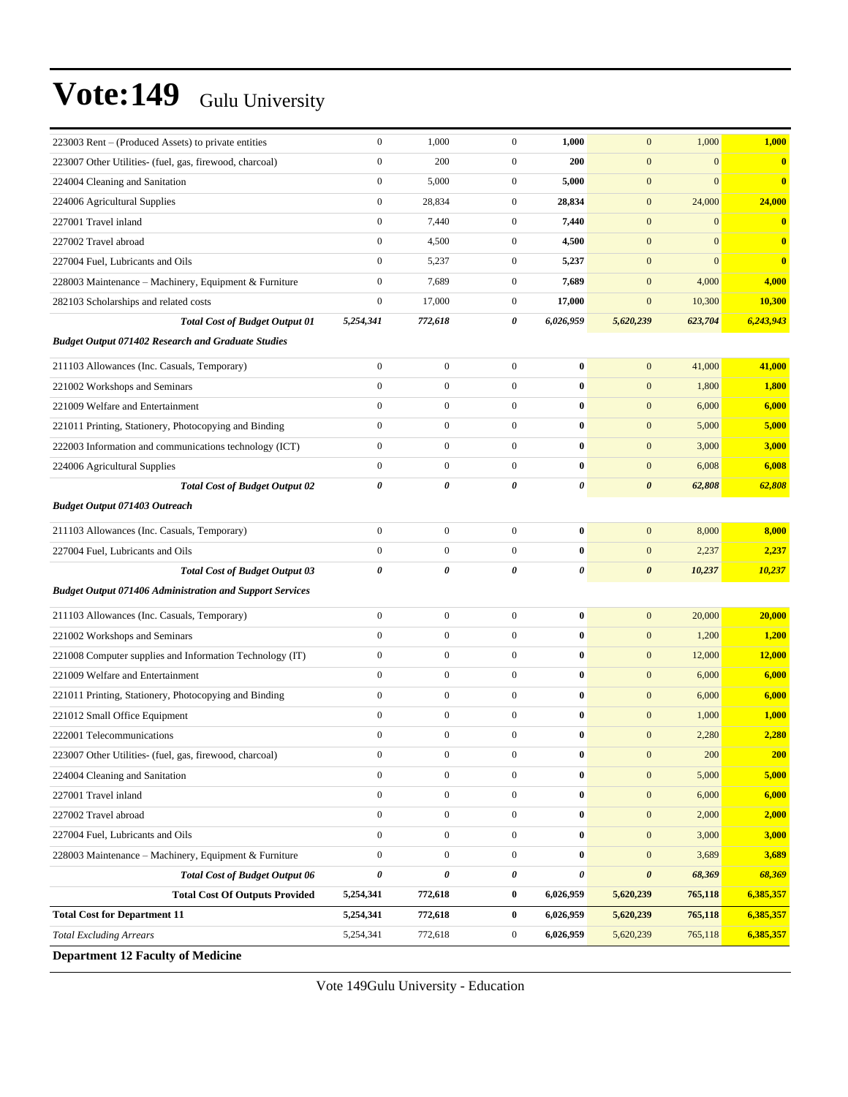| 223003 Rent – (Produced Assets) to private entities             | $\boldsymbol{0}$      | 1,000            | $\boldsymbol{0}$ | 1,000          | $\mathbf{0}$          | 1,000        | 1,000     |
|-----------------------------------------------------------------|-----------------------|------------------|------------------|----------------|-----------------------|--------------|-----------|
| 223007 Other Utilities- (fuel, gas, firewood, charcoal)         | $\mathbf{0}$          | 200              | $\boldsymbol{0}$ | 200            | $\mathbf{0}$          | $\mathbf{0}$ | $\bf{0}$  |
| 224004 Cleaning and Sanitation                                  | $\boldsymbol{0}$      | 5,000            | $\boldsymbol{0}$ | 5,000          | $\mathbf{0}$          | $\mathbf{0}$ | $\bf{0}$  |
| 224006 Agricultural Supplies                                    | $\mathbf{0}$          | 28,834           | $\boldsymbol{0}$ | 28,834         | $\mathbf{0}$          | 24,000       | 24,000    |
| 227001 Travel inland                                            | $\boldsymbol{0}$      | 7,440            | $\boldsymbol{0}$ | 7,440          | $\mathbf{0}$          | $\mathbf{0}$ | $\bf{0}$  |
| 227002 Travel abroad                                            | $\boldsymbol{0}$      | 4,500            | $\boldsymbol{0}$ | 4,500          | $\mathbf{0}$          | $\mathbf{0}$ | $\bf{0}$  |
| 227004 Fuel, Lubricants and Oils                                | $\mathbf{0}$          | 5,237            | $\mathbf{0}$     | 5,237          | $\mathbf{0}$          | $\mathbf{0}$ | $\bf{0}$  |
| 228003 Maintenance - Machinery, Equipment & Furniture           | $\boldsymbol{0}$      | 7,689            | $\boldsymbol{0}$ | 7,689          | $\mathbf{0}$          | 4,000        | 4,000     |
| 282103 Scholarships and related costs                           | $\boldsymbol{0}$      | 17,000           | $\boldsymbol{0}$ | 17,000         | $\mathbf{0}$          | 10,300       | 10,300    |
| <b>Total Cost of Budget Output 01</b>                           | 5,254,341             | 772,618          | 0                | 6,026,959      | 5,620,239             | 623,704      | 6,243,943 |
| <b>Budget Output 071402 Research and Graduate Studies</b>       |                       |                  |                  |                |                       |              |           |
| 211103 Allowances (Inc. Casuals, Temporary)                     | $\boldsymbol{0}$      | $\boldsymbol{0}$ | $\boldsymbol{0}$ | $\bf{0}$       | $\boldsymbol{0}$      | 41,000       | 41,000    |
| 221002 Workshops and Seminars                                   | $\mathbf{0}$          | $\boldsymbol{0}$ | $\boldsymbol{0}$ | $\bf{0}$       | $\mathbf{0}$          | 1,800        | 1,800     |
| 221009 Welfare and Entertainment                                | $\mathbf{0}$          | $\boldsymbol{0}$ | $\boldsymbol{0}$ | $\bf{0}$       | $\mathbf{0}$          | 6,000        | 6,000     |
| 221011 Printing, Stationery, Photocopying and Binding           | $\mathbf{0}$          | $\boldsymbol{0}$ | $\boldsymbol{0}$ | $\bf{0}$       | $\mathbf{0}$          | 5,000        | 5,000     |
| 222003 Information and communications technology (ICT)          | $\boldsymbol{0}$      | $\boldsymbol{0}$ | $\boldsymbol{0}$ | $\bf{0}$       | $\mathbf{0}$          | 3,000        | 3,000     |
| 224006 Agricultural Supplies                                    | $\boldsymbol{0}$      | $\boldsymbol{0}$ | $\boldsymbol{0}$ | $\bf{0}$       | $\boldsymbol{0}$      | 6,008        | 6,008     |
| <b>Total Cost of Budget Output 02</b>                           | $\boldsymbol{\theta}$ | 0                | 0                | $\pmb{\theta}$ | $\boldsymbol{\theta}$ | 62,808       | 62,808    |
| <b>Budget Output 071403 Outreach</b>                            |                       |                  |                  |                |                       |              |           |
| 211103 Allowances (Inc. Casuals, Temporary)                     | $\boldsymbol{0}$      | $\boldsymbol{0}$ | $\mathbf{0}$     | $\bf{0}$       | $\mathbf{0}$          | 8,000        | 8,000     |
| 227004 Fuel, Lubricants and Oils                                | $\mathbf{0}$          | $\boldsymbol{0}$ | $\overline{0}$   | $\bf{0}$       | $\mathbf{0}$          | 2,237        | 2,237     |
| <b>Total Cost of Budget Output 03</b>                           | 0                     | 0                | 0                | $\pmb{\theta}$ | $\boldsymbol{\theta}$ | 10,237       | 10,237    |
| <b>Budget Output 071406 Administration and Support Services</b> |                       |                  |                  |                |                       |              |           |
| 211103 Allowances (Inc. Casuals, Temporary)                     | $\boldsymbol{0}$      | $\boldsymbol{0}$ | $\boldsymbol{0}$ | $\bf{0}$       | $\boldsymbol{0}$      | 20,000       | 20,000    |
| 221002 Workshops and Seminars                                   | $\mathbf{0}$          | $\boldsymbol{0}$ | $\boldsymbol{0}$ | $\bf{0}$       | $\mathbf{0}$          | 1,200        | 1,200     |
| 221008 Computer supplies and Information Technology (IT)        | $\boldsymbol{0}$      | $\boldsymbol{0}$ | $\boldsymbol{0}$ | $\bf{0}$       | $\mathbf{0}$          | 12,000       | 12,000    |
| 221009 Welfare and Entertainment                                | $\mathbf{0}$          | $\boldsymbol{0}$ | $\boldsymbol{0}$ | $\bf{0}$       | $\mathbf{0}$          | 6,000        | 6,000     |
| 221011 Printing, Stationery, Photocopying and Binding           | $\boldsymbol{0}$      | $\boldsymbol{0}$ | $\boldsymbol{0}$ | $\bf{0}$       | $\mathbf{0}$          | 6,000        | 6,000     |
| 221012 Small Office Equipment                                   | $\boldsymbol{0}$      | $\boldsymbol{0}$ | $\boldsymbol{0}$ | $\bf{0}$       | $\mathbf{0}$          | 1,000        | 1,000     |
| 222001 Telecommunications                                       | $\mathbf{0}$          | $\boldsymbol{0}$ | $\boldsymbol{0}$ | $\bf{0}$       | $\mathbf{0}$          | 2,280        | 2,280     |
| 223007 Other Utilities- (fuel, gas, firewood, charcoal)         | $\boldsymbol{0}$      | $\boldsymbol{0}$ | $\boldsymbol{0}$ | $\pmb{0}$      | $\boldsymbol{0}$      | 200          | 200       |
| 224004 Cleaning and Sanitation                                  | $\boldsymbol{0}$      | $\boldsymbol{0}$ | $\boldsymbol{0}$ | $\bf{0}$       | $\boldsymbol{0}$      | 5,000        | 5,000     |
| 227001 Travel inland                                            | $\boldsymbol{0}$      | $\boldsymbol{0}$ | $\boldsymbol{0}$ | $\bf{0}$       | $\mathbf{0}$          | 6,000        | 6,000     |
| 227002 Travel abroad                                            | $\boldsymbol{0}$      | $\boldsymbol{0}$ | $\boldsymbol{0}$ | $\bf{0}$       | $\mathbf{0}$          | 2,000        | 2,000     |
| 227004 Fuel, Lubricants and Oils                                | $\boldsymbol{0}$      | $\overline{0}$   | $\boldsymbol{0}$ | $\bf{0}$       | $\boldsymbol{0}$      | 3,000        | 3,000     |
| 228003 Maintenance - Machinery, Equipment & Furniture           | $\boldsymbol{0}$      | $\boldsymbol{0}$ | $\boldsymbol{0}$ | $\bf{0}$       | $\boldsymbol{0}$      | 3,689        | 3,689     |
| <b>Total Cost of Budget Output 06</b>                           | $\pmb{\theta}$        | 0                | 0                | $\pmb{\theta}$ | $\boldsymbol{\theta}$ | 68,369       | 68,369    |
| <b>Total Cost Of Outputs Provided</b>                           | 5,254,341             | 772,618          | 0                | 6,026,959      | 5,620,239             | 765,118      | 6,385,357 |
| <b>Total Cost for Department 11</b>                             | 5,254,341             | 772,618          | $\bf{0}$         | 6,026,959      | 5,620,239             | 765,118      | 6,385,357 |
| <b>Total Excluding Arrears</b>                                  | 5,254,341             | 772,618          | $\boldsymbol{0}$ | 6,026,959      | 5,620,239             | 765,118      | 6,385,357 |
| <b>Department 12 Faculty of Medicine</b>                        |                       |                  |                  |                |                       |              |           |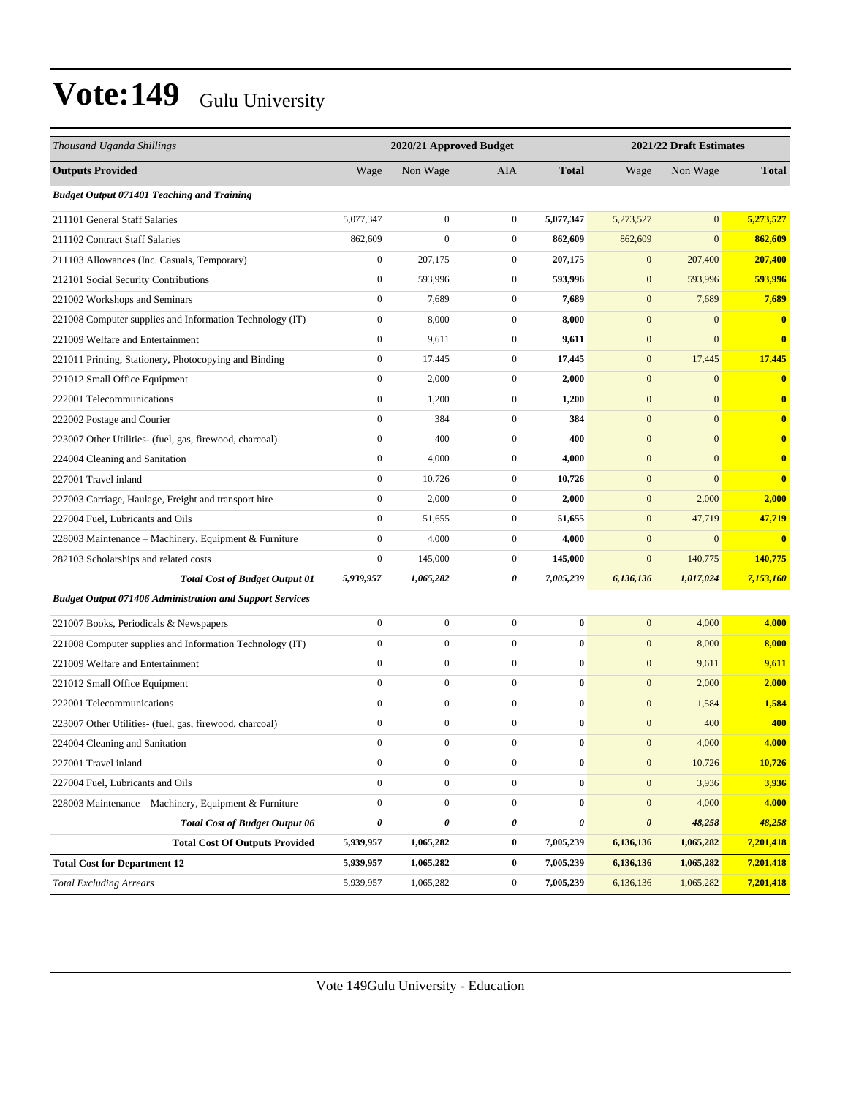| Thousand Uganda Shillings                                       |                  | 2020/21 Approved Budget |                  | 2021/22 Draft Estimates |                  |                  |              |
|-----------------------------------------------------------------|------------------|-------------------------|------------------|-------------------------|------------------|------------------|--------------|
| <b>Outputs Provided</b>                                         | Wage             | Non Wage                | <b>AIA</b>       | <b>Total</b>            | Wage             | Non Wage         | <b>Total</b> |
| <b>Budget Output 071401 Teaching and Training</b>               |                  |                         |                  |                         |                  |                  |              |
| 211101 General Staff Salaries                                   | 5,077,347        | $\boldsymbol{0}$        | $\boldsymbol{0}$ | 5,077,347               | 5,273,527        | $\overline{0}$   | 5,273,527    |
| 211102 Contract Staff Salaries                                  | 862,609          | $\boldsymbol{0}$        | $\boldsymbol{0}$ | 862,609                 | 862,609          | $\overline{0}$   | 862,609      |
| 211103 Allowances (Inc. Casuals, Temporary)                     | $\boldsymbol{0}$ | 207,175                 | $\boldsymbol{0}$ | 207,175                 | $\mathbf{0}$     | 207,400          | 207,400      |
| 212101 Social Security Contributions                            | $\boldsymbol{0}$ | 593,996                 | $\boldsymbol{0}$ | 593,996                 | $\boldsymbol{0}$ | 593,996          | 593,996      |
| 221002 Workshops and Seminars                                   | $\boldsymbol{0}$ | 7,689                   | $\boldsymbol{0}$ | 7,689                   | $\mathbf{0}$     | 7,689            | 7,689        |
| 221008 Computer supplies and Information Technology (IT)        | $\boldsymbol{0}$ | 8,000                   | $\boldsymbol{0}$ | 8,000                   | $\boldsymbol{0}$ | $\overline{0}$   | $\bf{0}$     |
| 221009 Welfare and Entertainment                                | $\boldsymbol{0}$ | 9,611                   | $\overline{0}$   | 9,611                   | $\mathbf{0}$     | $\overline{0}$   | $\bf{0}$     |
| 221011 Printing, Stationery, Photocopying and Binding           | $\boldsymbol{0}$ | 17,445                  | $\boldsymbol{0}$ | 17,445                  | $\mathbf{0}$     | 17,445           | 17,445       |
| 221012 Small Office Equipment                                   | $\boldsymbol{0}$ | 2,000                   | $\boldsymbol{0}$ | 2,000                   | $\boldsymbol{0}$ | $\boldsymbol{0}$ | $\bf{0}$     |
| 222001 Telecommunications                                       | $\boldsymbol{0}$ | 1,200                   | $\boldsymbol{0}$ | 1,200                   | $\mathbf{0}$     | $\mathbf{0}$     | $\bf{0}$     |
| 222002 Postage and Courier                                      | $\boldsymbol{0}$ | 384                     | $\boldsymbol{0}$ | 384                     | $\boldsymbol{0}$ | $\overline{0}$   | $\bf{0}$     |
| 223007 Other Utilities- (fuel, gas, firewood, charcoal)         | $\mathbf{0}$     | 400                     | $\boldsymbol{0}$ | 400                     | $\mathbf{0}$     | $\overline{0}$   | $\bf{0}$     |
| 224004 Cleaning and Sanitation                                  | $\boldsymbol{0}$ | 4,000                   | $\boldsymbol{0}$ | 4,000                   | $\mathbf{0}$     | $\mathbf{0}$     | $\bf{0}$     |
| 227001 Travel inland                                            | $\boldsymbol{0}$ | 10,726                  | $\boldsymbol{0}$ | 10,726                  | $\boldsymbol{0}$ | $\overline{0}$   | $\bf{0}$     |
| 227003 Carriage, Haulage, Freight and transport hire            | $\boldsymbol{0}$ | 2,000                   | $\boldsymbol{0}$ | 2,000                   | $\mathbf{0}$     | 2,000            | 2,000        |
| 227004 Fuel, Lubricants and Oils                                | $\boldsymbol{0}$ | 51,655                  | $\boldsymbol{0}$ | 51,655                  | $\mathbf{0}$     | 47,719           | 47,719       |
| 228003 Maintenance - Machinery, Equipment & Furniture           | $\mathbf{0}$     | 4,000                   | $\mathbf{0}$     | 4,000                   | $\mathbf{0}$     | $\boldsymbol{0}$ | $\mathbf{0}$ |
| 282103 Scholarships and related costs                           | $\boldsymbol{0}$ | 145,000                 | $\boldsymbol{0}$ | 145,000                 | $\boldsymbol{0}$ | 140,775          | 140,775      |
| <b>Total Cost of Budget Output 01</b>                           | 5,939,957        | 1,065,282               | 0                | 7,005,239               | 6,136,136        | 1,017,024        | 7,153,160    |
| <b>Budget Output 071406 Administration and Support Services</b> |                  |                         |                  |                         |                  |                  |              |
| 221007 Books, Periodicals & Newspapers                          | $\boldsymbol{0}$ | $\boldsymbol{0}$        | $\boldsymbol{0}$ | $\bf{0}$                | $\mathbf{0}$     | 4,000            | 4,000        |
| 221008 Computer supplies and Information Technology (IT)        | $\boldsymbol{0}$ | $\boldsymbol{0}$        | $\boldsymbol{0}$ | $\bf{0}$                | $\mathbf{0}$     | 8,000            | 8,000        |
| 221009 Welfare and Entertainment                                | $\mathbf{0}$     | $\mathbf{0}$            | $\boldsymbol{0}$ | $\bf{0}$                | $\mathbf{0}$     | 9,611            | 9,611        |
| 221012 Small Office Equipment                                   | $\boldsymbol{0}$ | $\boldsymbol{0}$        | $\boldsymbol{0}$ | $\bf{0}$                | $\mathbf{0}$     | 2,000            | 2,000        |
| 222001 Telecommunications                                       | $\mathbf{0}$     | $\boldsymbol{0}$        | $\boldsymbol{0}$ | $\bf{0}$                | $\boldsymbol{0}$ | 1,584            | 1,584        |
| 223007 Other Utilities- (fuel, gas, firewood, charcoal)         | $\boldsymbol{0}$ | $\boldsymbol{0}$        | $\boldsymbol{0}$ | $\bf{0}$                | $\mathbf{0}$     | 400              | 400          |
| 224004 Cleaning and Sanitation                                  | $\mathbf{0}$     | $\boldsymbol{0}$        | $\mathbf{0}$     | $\bf{0}$                | $\mathbf{0}$     | 4,000            | 4,000        |
| 227001 Travel inland                                            | $\boldsymbol{0}$ | $\boldsymbol{0}$        | $\boldsymbol{0}$ | $\pmb{0}$               | $\mathbf{0}$     | 10,726           | 10,726       |
| 227004 Fuel, Lubricants and Oils                                | $\boldsymbol{0}$ | $\boldsymbol{0}$        | $\boldsymbol{0}$ | $\bf{0}$                | $\mathbf{0}$     | 3,936            | 3,936        |
| 228003 Maintenance - Machinery, Equipment & Furniture           | $\boldsymbol{0}$ | $\boldsymbol{0}$        | $\boldsymbol{0}$ | $\bf{0}$                | $\mathbf{0}$     | 4,000            | 4,000        |
| <b>Total Cost of Budget Output 06</b>                           | $\pmb{\theta}$   | 0                       | 0                | 0                       | $\pmb{\theta}$   | 48,258           | 48,258       |
| <b>Total Cost Of Outputs Provided</b>                           | 5,939,957        | 1,065,282               | $\bf{0}$         | 7,005,239               | 6,136,136        | 1,065,282        | 7,201,418    |
| <b>Total Cost for Department 12</b>                             | 5,939,957        | 1,065,282               | $\bf{0}$         | 7,005,239               | 6,136,136        | 1,065,282        | 7,201,418    |
| <b>Total Excluding Arrears</b>                                  | 5,939,957        | 1,065,282               | $\boldsymbol{0}$ | 7,005,239               | 6,136,136        | 1,065,282        | 7,201,418    |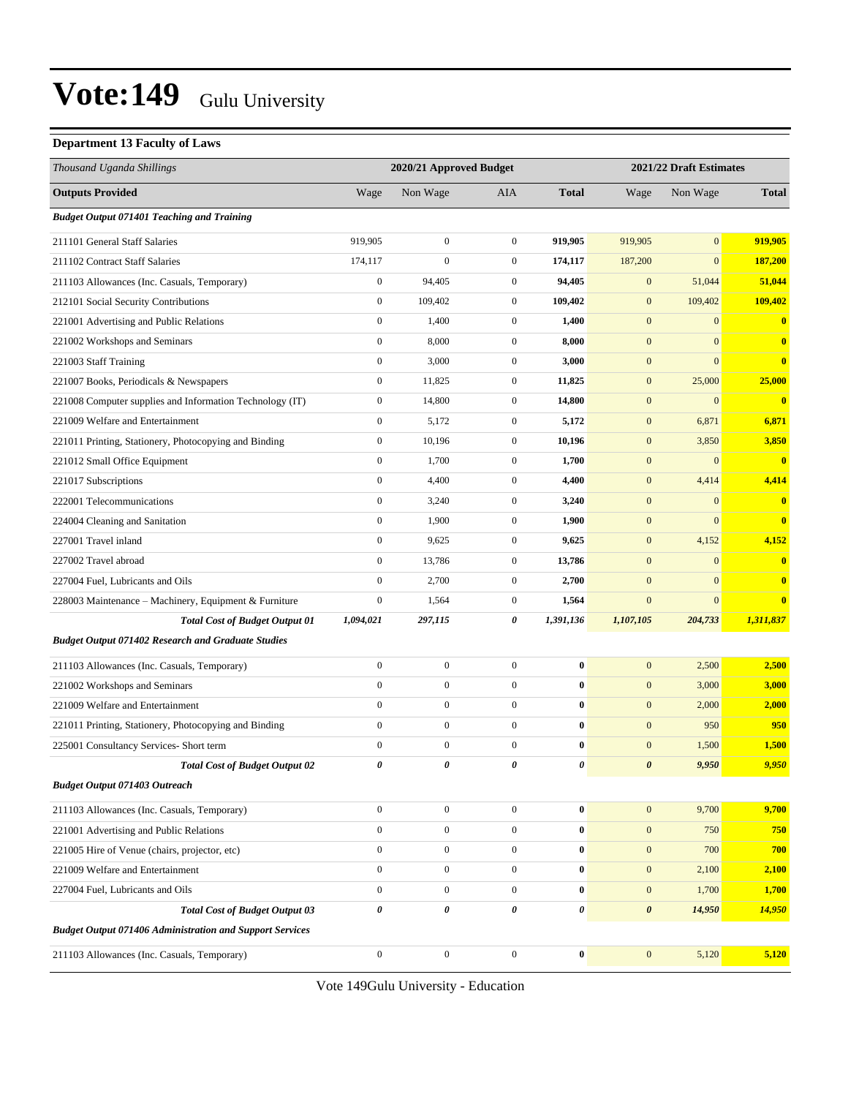#### **Department 13 Faculty of Laws**

| Thousand Uganda Shillings                                       |                  | 2020/21 Approved Budget |                  | 2021/22 Draft Estimates |                       |                  |              |
|-----------------------------------------------------------------|------------------|-------------------------|------------------|-------------------------|-----------------------|------------------|--------------|
| <b>Outputs Provided</b>                                         | Wage             | Non Wage                | AIA              | <b>Total</b>            | Wage                  | Non Wage         | <b>Total</b> |
| <b>Budget Output 071401 Teaching and Training</b>               |                  |                         |                  |                         |                       |                  |              |
| 211101 General Staff Salaries                                   | 919,905          | $\mathbf{0}$            | $\boldsymbol{0}$ | 919,905                 | 919,905               | $\mathbf{0}$     | 919,905      |
| 211102 Contract Staff Salaries                                  | 174,117          | $\overline{0}$          | $\mathbf{0}$     | 174,117                 | 187,200               | $\mathbf{0}$     | 187,200      |
| 211103 Allowances (Inc. Casuals, Temporary)                     | $\boldsymbol{0}$ | 94,405                  | $\mathbf{0}$     | 94,405                  | $\mathbf{0}$          | 51,044           | 51,044       |
| 212101 Social Security Contributions                            | $\boldsymbol{0}$ | 109,402                 | $\boldsymbol{0}$ | 109,402                 | $\mathbf{0}$          | 109,402          | 109,402      |
| 221001 Advertising and Public Relations                         | $\boldsymbol{0}$ | 1,400                   | $\mathbf{0}$     | 1,400                   | $\boldsymbol{0}$      | $\mathbf{0}$     | $\bf{0}$     |
| 221002 Workshops and Seminars                                   | $\boldsymbol{0}$ | 8,000                   | $\mathbf{0}$     | 8,000                   | $\boldsymbol{0}$      | $\mathbf{0}$     | $\bf{0}$     |
| 221003 Staff Training                                           | $\boldsymbol{0}$ | 3,000                   | $\mathbf{0}$     | 3,000                   | $\boldsymbol{0}$      | $\mathbf{0}$     | $\bf{0}$     |
| 221007 Books, Periodicals & Newspapers                          | $\boldsymbol{0}$ | 11,825                  | $\mathbf{0}$     | 11,825                  | $\mathbf{0}$          | 25,000           | 25,000       |
| 221008 Computer supplies and Information Technology (IT)        | $\boldsymbol{0}$ | 14,800                  | $\boldsymbol{0}$ | 14,800                  | $\mathbf{0}$          | $\boldsymbol{0}$ | $\bf{0}$     |
| 221009 Welfare and Entertainment                                | $\boldsymbol{0}$ | 5,172                   | $\boldsymbol{0}$ | 5,172                   | $\mathbf{0}$          | 6,871            | 6,871        |
| 221011 Printing, Stationery, Photocopying and Binding           | $\boldsymbol{0}$ | 10,196                  | $\mathbf{0}$     | 10,196                  | $\mathbf{0}$          | 3,850            | 3,850        |
| 221012 Small Office Equipment                                   | $\boldsymbol{0}$ | 1,700                   | $\mathbf{0}$     | 1,700                   | $\mathbf{0}$          | $\mathbf{0}$     | $\bf{0}$     |
| 221017 Subscriptions                                            | $\boldsymbol{0}$ | 4,400                   | $\mathbf{0}$     | 4,400                   | $\mathbf{0}$          | 4,414            | 4,414        |
| 222001 Telecommunications                                       | $\boldsymbol{0}$ | 3,240                   | $\boldsymbol{0}$ | 3,240                   | $\mathbf{0}$          | $\bf{0}$         | $\bf{0}$     |
| 224004 Cleaning and Sanitation                                  | $\boldsymbol{0}$ | 1,900                   | $\mathbf{0}$     | 1,900                   | $\boldsymbol{0}$      | $\mathbf{0}$     | $\bf{0}$     |
| 227001 Travel inland                                            | $\boldsymbol{0}$ | 9,625                   | $\mathbf{0}$     | 9,625                   | $\boldsymbol{0}$      | 4,152            | 4,152        |
| 227002 Travel abroad                                            | $\boldsymbol{0}$ | 13,786                  | $\mathbf{0}$     | 13,786                  | $\mathbf{0}$          | $\mathbf{0}$     | $\bf{0}$     |
| 227004 Fuel, Lubricants and Oils                                | $\boldsymbol{0}$ | 2,700                   | $\mathbf{0}$     | 2,700                   | $\mathbf{0}$          | $\mathbf{0}$     | $\bf{0}$     |
| 228003 Maintenance - Machinery, Equipment & Furniture           | $\boldsymbol{0}$ | 1,564                   | $\boldsymbol{0}$ | 1,564                   | $\boldsymbol{0}$      | $\mathbf{0}$     | $\bf{0}$     |
| <b>Total Cost of Budget Output 01</b>                           | 1,094,021        | 297,115                 | 0                | 1,391,136               | 1,107,105             | 204,733          | 1,311,837    |
| <b>Budget Output 071402 Research and Graduate Studies</b>       |                  |                         |                  |                         |                       |                  |              |
| 211103 Allowances (Inc. Casuals, Temporary)                     | $\boldsymbol{0}$ | $\boldsymbol{0}$        | $\boldsymbol{0}$ | $\bf{0}$                | $\mathbf{0}$          | 2,500            | 2,500        |
| 221002 Workshops and Seminars                                   | $\boldsymbol{0}$ | $\boldsymbol{0}$        | $\mathbf{0}$     | $\bf{0}$                | $\mathbf{0}$          | 3,000            | 3,000        |
| 221009 Welfare and Entertainment                                | $\boldsymbol{0}$ | $\boldsymbol{0}$        | $\boldsymbol{0}$ | $\bf{0}$                | $\mathbf{0}$          | 2,000            | 2,000        |
| 221011 Printing, Stationery, Photocopying and Binding           | $\boldsymbol{0}$ | $\boldsymbol{0}$        | $\mathbf{0}$     | $\bf{0}$                | $\mathbf{0}$          | 950              | 950          |
| 225001 Consultancy Services- Short term                         | $\boldsymbol{0}$ | $\boldsymbol{0}$        | $\mathbf{0}$     | $\bf{0}$                | $\mathbf{0}$          | 1,500            | 1,500        |
| <b>Total Cost of Budget Output 02</b>                           | 0                | 0                       | 0                | 0                       | $\boldsymbol{\theta}$ | 9,950            | 9,950        |
| <b>Budget Output 071403 Outreach</b>                            |                  |                         |                  |                         |                       |                  |              |
| 211103 Allowances (Inc. Casuals, Temporary)                     | $\overline{0}$   | $\boldsymbol{0}$        | $\mathbf 0$      | $\bf{0}$                | $\mathbf{0}$          | 9,700            | 9,700        |
| 221001 Advertising and Public Relations                         | $\overline{0}$   | $\boldsymbol{0}$        | $\mathbf 0$      | $\bf{0}$                | $\boldsymbol{0}$      | 750              | 750          |
| 221005 Hire of Venue (chairs, projector, etc)                   | $\overline{0}$   | $\boldsymbol{0}$        | $\overline{0}$   | $\bf{0}$                | $\mathbf{0}$          | 700              | 700          |
| 221009 Welfare and Entertainment                                | $\overline{0}$   | $\boldsymbol{0}$        | $\mathbf{0}$     | $\bf{0}$                | $\mathbf{0}$          | 2,100            | 2,100        |
| 227004 Fuel, Lubricants and Oils                                | $\overline{0}$   | $\mathbf{0}$            | $\mathbf{0}$     | $\bf{0}$                | $\mathbf{0}$          | 1,700            | 1,700        |
| <b>Total Cost of Budget Output 03</b>                           | 0                | 0                       | 0                | 0                       | $\boldsymbol{\theta}$ | 14,950           | 14,950       |
| <b>Budget Output 071406 Administration and Support Services</b> |                  |                         |                  |                         |                       |                  |              |
| 211103 Allowances (Inc. Casuals, Temporary)                     | $\boldsymbol{0}$ | $\boldsymbol{0}$        | $\boldsymbol{0}$ | $\bf{0}$                | $\boldsymbol{0}$      | 5,120            | 5,120        |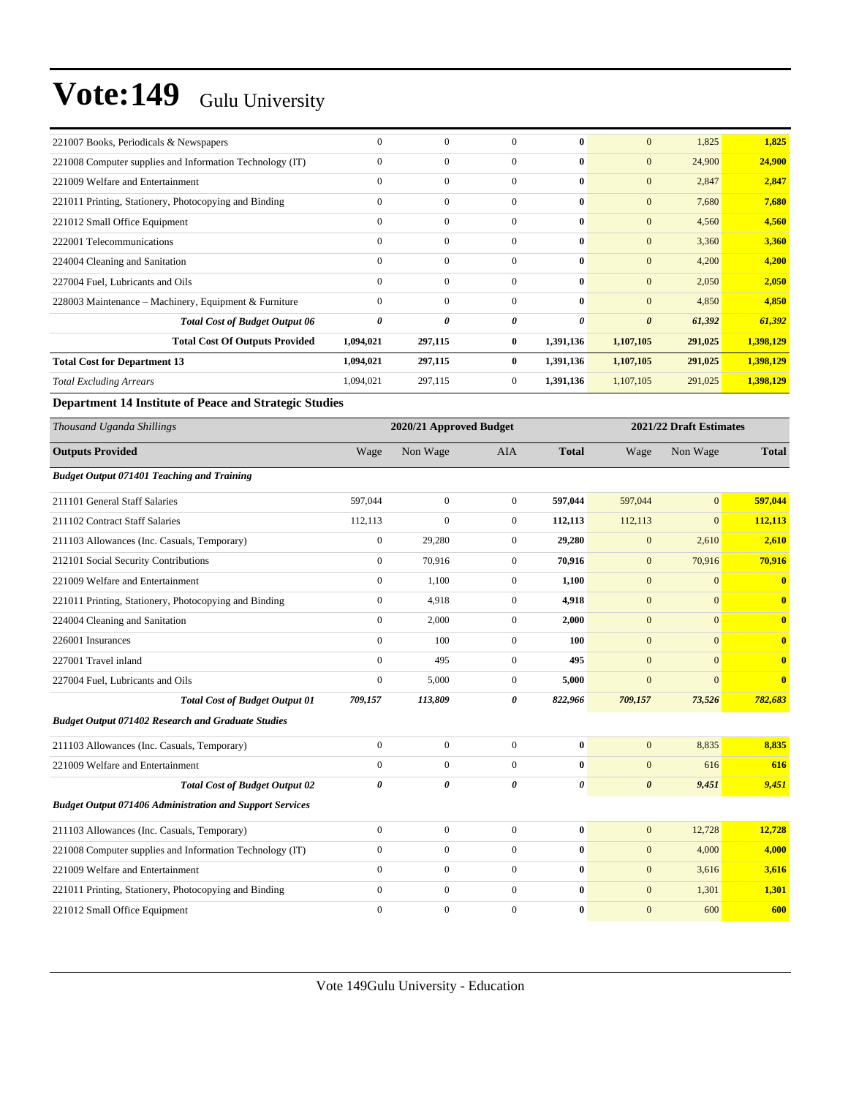| 221007 Books, Periodicals & Newspapers                          | $\boldsymbol{0}$ | $\boldsymbol{0}$        | $\mathbf{0}$     | $\bf{0}$              | $\mathbf{0}$          | 1,825          | 1,825                   |  |
|-----------------------------------------------------------------|------------------|-------------------------|------------------|-----------------------|-----------------------|----------------|-------------------------|--|
| 221008 Computer supplies and Information Technology (IT)        | $\boldsymbol{0}$ | $\boldsymbol{0}$        | $\boldsymbol{0}$ | $\bf{0}$              | $\mathbf{0}$          | 24,900         | 24,900                  |  |
| 221009 Welfare and Entertainment                                | $\boldsymbol{0}$ | $\boldsymbol{0}$        | $\boldsymbol{0}$ | $\bf{0}$              | $\mathbf{0}$          | 2,847          | 2,847                   |  |
| 221011 Printing, Stationery, Photocopying and Binding           | $\mathbf{0}$     | $\boldsymbol{0}$        | $\boldsymbol{0}$ | $\bf{0}$              | $\mathbf{0}$          | 7,680          | 7,680                   |  |
| 221012 Small Office Equipment                                   | $\mathbf{0}$     | $\boldsymbol{0}$        | $\boldsymbol{0}$ | $\bf{0}$              | $\boldsymbol{0}$      | 4,560          | 4,560                   |  |
| 222001 Telecommunications                                       | $\mathbf{0}$     | $\boldsymbol{0}$        | $\boldsymbol{0}$ | $\bf{0}$              | $\mathbf{0}$          | 3,360          | 3,360                   |  |
| 224004 Cleaning and Sanitation                                  | $\mathbf{0}$     | $\boldsymbol{0}$        | $\boldsymbol{0}$ | $\bf{0}$              | $\mathbf{0}$          | 4,200          | 4,200                   |  |
| 227004 Fuel, Lubricants and Oils                                | $\mathbf{0}$     | $\boldsymbol{0}$        | $\boldsymbol{0}$ | $\bf{0}$              | $\mathbf{0}$          | 2,050          | 2,050                   |  |
| 228003 Maintenance – Machinery, Equipment & Furniture           | $\mathbf{0}$     | $\boldsymbol{0}$        | $\boldsymbol{0}$ | $\bf{0}$              | $\mathbf{0}$          | 4,850          | 4,850                   |  |
| <b>Total Cost of Budget Output 06</b>                           | $\pmb{\theta}$   | 0                       | 0                | $\boldsymbol{\theta}$ | $\boldsymbol{\theta}$ | 61,392         | 61,392                  |  |
| <b>Total Cost Of Outputs Provided</b>                           | 1,094,021        | 297,115                 | 0                | 1,391,136             | 1,107,105             | 291,025        | 1,398,129               |  |
| <b>Total Cost for Department 13</b>                             | 1,094,021        | 297,115                 | 0                | 1,391,136             | 1,107,105             | 291,025        | 1,398,129               |  |
| <b>Total Excluding Arrears</b>                                  | 1,094,021        | 297,115                 | $\mathbf{0}$     | 1,391,136             | 1,107,105             | 291,025        | 1,398,129               |  |
| Department 14 Institute of Peace and Strategic Studies          |                  |                         |                  |                       |                       |                |                         |  |
| Thousand Uganda Shillings                                       |                  | 2020/21 Approved Budget |                  |                       |                       |                | 2021/22 Draft Estimates |  |
| <b>Outputs Provided</b>                                         | Wage             | Non Wage                | AIA              | <b>Total</b>          | Wage                  | Non Wage       | <b>Total</b>            |  |
| <b>Budget Output 071401 Teaching and Training</b>               |                  |                         |                  |                       |                       |                |                         |  |
| 211101 General Staff Salaries                                   | 597,044          | $\boldsymbol{0}$        | $\boldsymbol{0}$ | 597,044               | 597,044               | $\overline{0}$ | 597,044                 |  |
| 211102 Contract Staff Salaries                                  | 112,113          | $\overline{0}$          | $\mathbf{0}$     | 112,113               | 112,113               | $\mathbf{0}$   | 112,113                 |  |
| 211103 Allowances (Inc. Casuals, Temporary)                     | $\boldsymbol{0}$ | 29,280                  | $\boldsymbol{0}$ | 29,280                | $\mathbf{0}$          | 2,610          | 2,610                   |  |
| 212101 Social Security Contributions                            | $\boldsymbol{0}$ | 70,916                  | $\mathbf{0}$     | 70,916                | $\mathbf{0}$          | 70,916         | 70,916                  |  |
| 221009 Welfare and Entertainment                                | $\boldsymbol{0}$ | 1,100                   | $\boldsymbol{0}$ | 1,100                 | $\mathbf{0}$          | $\mathbf{0}$   | $\mathbf{0}$            |  |
| 221011 Printing, Stationery, Photocopying and Binding           | $\boldsymbol{0}$ | 4,918                   | $\boldsymbol{0}$ | 4,918                 | $\mathbf{0}$          | $\mathbf{0}$   | $\bf{0}$                |  |
| 224004 Cleaning and Sanitation                                  | $\mathbf{0}$     | 2,000                   | $\boldsymbol{0}$ | 2,000                 | $\mathbf{0}$          | $\mathbf{0}$   | $\bf{0}$                |  |
| 226001 Insurances                                               | $\boldsymbol{0}$ | 100                     | $\boldsymbol{0}$ | 100                   | $\mathbf{0}$          | $\mathbf{0}$   | $\bf{0}$                |  |
| 227001 Travel inland                                            | $\boldsymbol{0}$ | 495                     | $\boldsymbol{0}$ | 495                   | $\mathbf{0}$          | $\mathbf{0}$   | $\mathbf{0}$            |  |
| 227004 Fuel, Lubricants and Oils                                | $\boldsymbol{0}$ | 5,000                   | $\boldsymbol{0}$ | 5,000                 | $\mathbf{0}$          | $\mathbf{0}$   | $\bf{0}$                |  |
| <b>Total Cost of Budget Output 01</b>                           | 709,157          | 113,809                 | 0                | 822,966               | 709,157               | 73,526         | 782,683                 |  |
| <b>Budget Output 071402 Research and Graduate Studies</b>       |                  |                         |                  |                       |                       |                |                         |  |
| 211103 Allowances (Inc. Casuals, Temporary)                     | $\mathbf{0}$     | $\mathbf{0}$            | $\mathbf{0}$     | $\bf{0}$              | $\mathbf{0}$          | 8,835          | 8,835                   |  |
| 221009 Welfare and Entertainment                                | $\boldsymbol{0}$ | $\boldsymbol{0}$        | $\boldsymbol{0}$ | $\bf{0}$              | $\mathbf{0}$          | 616            | 616                     |  |
| <b>Total Cost of Budget Output 02</b>                           | $\pmb{\theta}$   | 0                       | 0                | $\pmb{\theta}$        | $\boldsymbol{\theta}$ | 9,451          | 9,451                   |  |
| <b>Budget Output 071406 Administration and Support Services</b> |                  |                         |                  |                       |                       |                |                         |  |
| 211103 Allowances (Inc. Casuals, Temporary)                     | $\boldsymbol{0}$ | $\boldsymbol{0}$        | $\boldsymbol{0}$ | $\bf{0}$              | $\mathbf{0}$          | 12,728         | 12,728                  |  |
| 221008 Computer supplies and Information Technology (IT)        | $\boldsymbol{0}$ | $\boldsymbol{0}$        | $\boldsymbol{0}$ | $\bf{0}$              | $\boldsymbol{0}$      | 4,000          | 4,000                   |  |
| 221009 Welfare and Entertainment                                | $\boldsymbol{0}$ | $\boldsymbol{0}$        | $\boldsymbol{0}$ | $\bf{0}$              | $\mathbf{0}$          | 3,616          | 3,616                   |  |
| 221011 Printing, Stationery, Photocopying and Binding           | $\boldsymbol{0}$ | $\boldsymbol{0}$        | $\boldsymbol{0}$ | $\bf{0}$              | $\mathbf{0}$          | 1,301          | 1,301                   |  |
| 221012 Small Office Equipment                                   | $\boldsymbol{0}$ | $\boldsymbol{0}$        | $\boldsymbol{0}$ | $\pmb{0}$             | $\boldsymbol{0}$      | 600            | 600                     |  |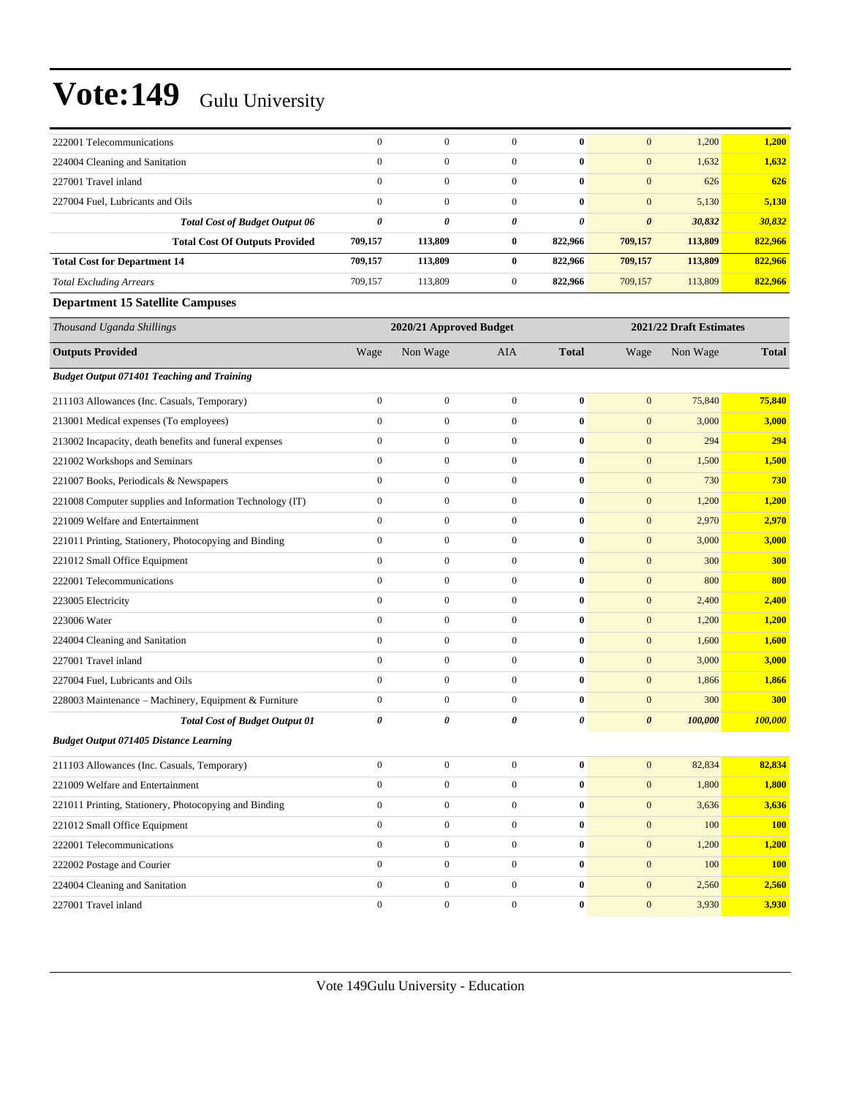| 222001 Telecommunications                                | $\boldsymbol{0}$      | $\mathbf{0}$            | $\mathbf{0}$     | $\bf{0}$         | $\mathbf{0}$          | 1,200                   | 1,200        |
|----------------------------------------------------------|-----------------------|-------------------------|------------------|------------------|-----------------------|-------------------------|--------------|
| 224004 Cleaning and Sanitation                           | $\mathbf{0}$          | $\overline{0}$          | $\boldsymbol{0}$ | $\bf{0}$         | $\boldsymbol{0}$      | 1,632                   | 1,632        |
| 227001 Travel inland                                     | $\mathbf{0}$          | $\boldsymbol{0}$        | $\boldsymbol{0}$ | $\bf{0}$         | $\mathbf{0}$          | 626                     | 626          |
| 227004 Fuel, Lubricants and Oils                         | $\mathbf{0}$          | $\boldsymbol{0}$        | $\boldsymbol{0}$ | $\bf{0}$         | $\boldsymbol{0}$      | 5,130                   | 5,130        |
| <b>Total Cost of Budget Output 06</b>                    | $\boldsymbol{\theta}$ | 0                       | 0                | 0                | $\boldsymbol{\theta}$ | 30,832                  | 30,832       |
| <b>Total Cost Of Outputs Provided</b>                    | 709,157               | 113,809                 | 0                | 822,966          | 709,157               | 113,809                 | 822,966      |
| <b>Total Cost for Department 14</b>                      | 709,157               | 113,809                 | $\bf{0}$         | 822,966          | 709,157               | 113,809                 | 822,966      |
| <b>Total Excluding Arrears</b>                           | 709,157               | 113,809                 | $\boldsymbol{0}$ | 822,966          | 709,157               | 113,809                 | 822,966      |
| <b>Department 15 Satellite Campuses</b>                  |                       |                         |                  |                  |                       |                         |              |
| Thousand Uganda Shillings                                |                       | 2020/21 Approved Budget |                  |                  |                       | 2021/22 Draft Estimates |              |
| <b>Outputs Provided</b>                                  | Wage                  | Non Wage                | <b>AIA</b>       | <b>Total</b>     | Wage                  | Non Wage                | <b>Total</b> |
| <b>Budget Output 071401 Teaching and Training</b>        |                       |                         |                  |                  |                       |                         |              |
| 211103 Allowances (Inc. Casuals, Temporary)              | $\mathbf{0}$          | $\boldsymbol{0}$        | $\boldsymbol{0}$ | $\boldsymbol{0}$ | $\boldsymbol{0}$      | 75,840                  | 75,840       |
| 213001 Medical expenses (To employees)                   | $\mathbf{0}$          | $\boldsymbol{0}$        | $\boldsymbol{0}$ | $\bf{0}$         | $\mathbf{0}$          | 3,000                   | 3,000        |
| 213002 Incapacity, death benefits and funeral expenses   | $\boldsymbol{0}$      | $\boldsymbol{0}$        | $\boldsymbol{0}$ | $\bf{0}$         | $\mathbf{0}$          | 294                     | 294          |
| 221002 Workshops and Seminars                            | $\mathbf{0}$          | $\boldsymbol{0}$        | $\boldsymbol{0}$ | $\bf{0}$         | $\boldsymbol{0}$      | 1,500                   | 1,500        |
| 221007 Books, Periodicals & Newspapers                   | $\boldsymbol{0}$      | $\boldsymbol{0}$        | $\boldsymbol{0}$ | $\bf{0}$         | $\boldsymbol{0}$      | 730                     | 730          |
| 221008 Computer supplies and Information Technology (IT) | $\boldsymbol{0}$      | $\boldsymbol{0}$        | $\boldsymbol{0}$ | $\bf{0}$         | $\boldsymbol{0}$      | 1,200                   | 1,200        |
| 221009 Welfare and Entertainment                         | $\mathbf{0}$          | $\boldsymbol{0}$        | $\boldsymbol{0}$ | $\bf{0}$         | $\mathbf{0}$          | 2,970                   | 2,970        |
| 221011 Printing, Stationery, Photocopying and Binding    | $\mathbf{0}$          | $\boldsymbol{0}$        | $\boldsymbol{0}$ | $\bf{0}$         | $\boldsymbol{0}$      | 3,000                   | 3,000        |
| 221012 Small Office Equipment                            | $\mathbf{0}$          | $\boldsymbol{0}$        | $\boldsymbol{0}$ | $\bf{0}$         | $\boldsymbol{0}$      | 300                     | <b>300</b>   |
| 222001 Telecommunications                                | $\boldsymbol{0}$      | $\boldsymbol{0}$        | $\boldsymbol{0}$ | $\bf{0}$         | $\mathbf{0}$          | 800                     | 800          |
| 223005 Electricity                                       | $\mathbf{0}$          | $\boldsymbol{0}$        | $\boldsymbol{0}$ | $\bf{0}$         | $\boldsymbol{0}$      | 2,400                   | 2,400        |
| 223006 Water                                             | $\mathbf{0}$          | $\boldsymbol{0}$        | $\boldsymbol{0}$ | $\bf{0}$         | $\mathbf{0}$          | 1,200                   | 1,200        |
| 224004 Cleaning and Sanitation                           | $\mathbf{0}$          | $\boldsymbol{0}$        | $\boldsymbol{0}$ | $\bf{0}$         | $\boldsymbol{0}$      | 1,600                   | 1,600        |
| 227001 Travel inland                                     | $\mathbf{0}$          | $\boldsymbol{0}$        | $\boldsymbol{0}$ | $\bf{0}$         | $\boldsymbol{0}$      | 3,000                   | 3,000        |
| 227004 Fuel, Lubricants and Oils                         | $\boldsymbol{0}$      | $\boldsymbol{0}$        | $\boldsymbol{0}$ | $\bf{0}$         | $\boldsymbol{0}$      | 1,866                   | 1,866        |
| 228003 Maintenance - Machinery, Equipment & Furniture    | $\mathbf{0}$          | $\boldsymbol{0}$        | $\boldsymbol{0}$ | $\bf{0}$         | $\boldsymbol{0}$      | 300                     | 300          |
| <b>Total Cost of Budget Output 01</b>                    | $\boldsymbol{\theta}$ | 0                       | 0                | 0                | $\boldsymbol{\theta}$ | 100,000                 | 100,000      |
| <b>Budget Output 071405 Distance Learning</b>            |                       |                         |                  |                  |                       |                         |              |
| 211103 Allowances (Inc. Casuals, Temporary)              | $\boldsymbol{0}$      | $\boldsymbol{0}$        | $\boldsymbol{0}$ | $\bf{0}$         | $\boldsymbol{0}$      | 82,834                  | 82,834       |
| 221009 Welfare and Entertainment                         | $\mathbf{0}$          | $\boldsymbol{0}$        | $\boldsymbol{0}$ | $\boldsymbol{0}$ | $\mathbf{0}$          | 1,800                   | 1,800        |
| 221011 Printing, Stationery, Photocopying and Binding    | $\mathbf{0}$          | $\boldsymbol{0}$        | $\boldsymbol{0}$ | $\bf{0}$         | $\mathbf{0}$          | 3,636                   | 3,636        |
| 221012 Small Office Equipment                            | $\mathbf{0}$          | $\boldsymbol{0}$        | $\boldsymbol{0}$ | $\bf{0}$         | $\boldsymbol{0}$      | 100                     | <b>100</b>   |
| 222001 Telecommunications                                | $\mathbf{0}$          | $\overline{0}$          | $\boldsymbol{0}$ | $\bf{0}$         | $\boldsymbol{0}$      | 1,200                   | 1,200        |
| 222002 Postage and Courier                               | $\mathbf{0}$          | $\boldsymbol{0}$        | $\overline{0}$   | $\bf{0}$         | $\mathbf{0}$          | 100                     | <b>100</b>   |
| 224004 Cleaning and Sanitation                           | $\mathbf{0}$          | $\boldsymbol{0}$        | $\boldsymbol{0}$ | $\boldsymbol{0}$ | $\boldsymbol{0}$      | 2,560                   | 2,560        |
| 227001 Travel inland                                     | $\boldsymbol{0}$      | $\boldsymbol{0}$        | $\boldsymbol{0}$ | $\pmb{0}$        | $\boldsymbol{0}$      | 3,930                   | 3,930        |